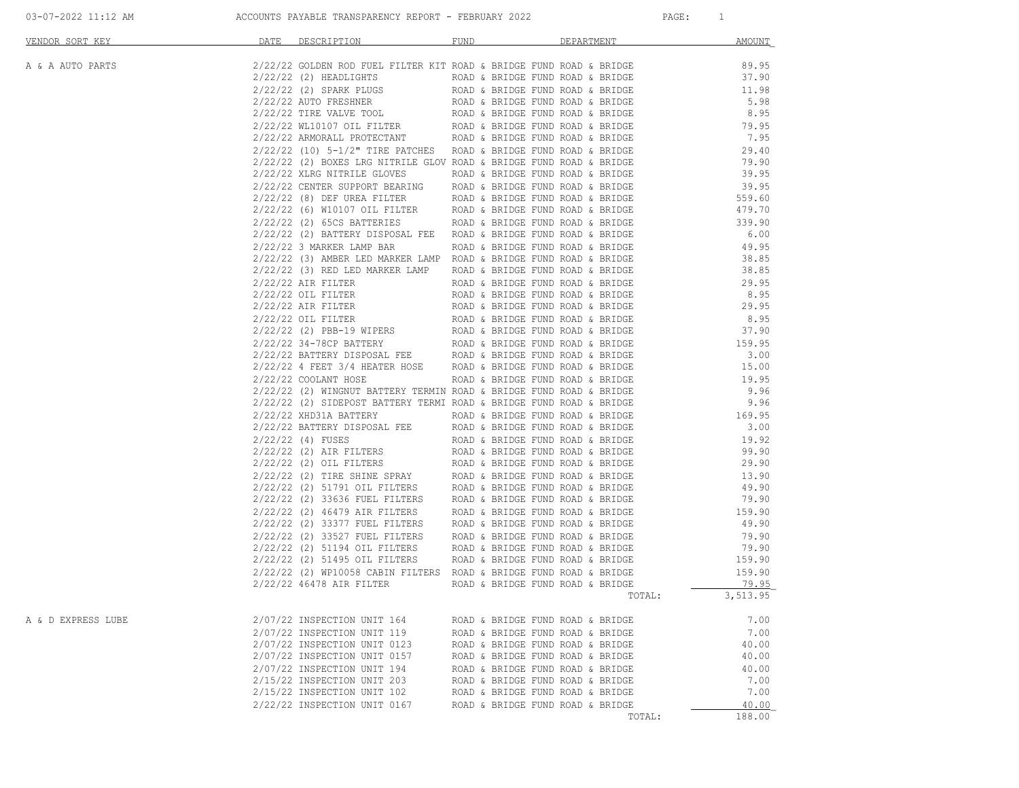| VENDOR SORT KEY    | <u>DATE</u><br>DESCRIPTION<br>RAT. TRACATION CONFIRM FIRED WITH SECTION AND RESULTING SECTION AND RESULTING (1973) 2012 (1974) (1974) 2012 (1974) (1974) 1975) 2013 (1974) (1974) 2013 (1974) (1974) (1974) (1974) (1974) (1974) (1974) (1974) (1974) (1974 | FUND<br>DEPARTMENT               | <b>AMOUNT</b>      |
|--------------------|-------------------------------------------------------------------------------------------------------------------------------------------------------------------------------------------------------------------------------------------------------------|----------------------------------|--------------------|
| A & A AUTO PARTS   |                                                                                                                                                                                                                                                             |                                  |                    |
|                    |                                                                                                                                                                                                                                                             |                                  |                    |
|                    |                                                                                                                                                                                                                                                             |                                  |                    |
|                    |                                                                                                                                                                                                                                                             |                                  |                    |
|                    |                                                                                                                                                                                                                                                             |                                  |                    |
|                    |                                                                                                                                                                                                                                                             |                                  |                    |
|                    |                                                                                                                                                                                                                                                             |                                  |                    |
|                    |                                                                                                                                                                                                                                                             |                                  |                    |
|                    |                                                                                                                                                                                                                                                             |                                  |                    |
|                    |                                                                                                                                                                                                                                                             |                                  |                    |
|                    |                                                                                                                                                                                                                                                             |                                  |                    |
|                    |                                                                                                                                                                                                                                                             |                                  |                    |
|                    |                                                                                                                                                                                                                                                             |                                  |                    |
|                    |                                                                                                                                                                                                                                                             |                                  |                    |
|                    |                                                                                                                                                                                                                                                             |                                  |                    |
|                    |                                                                                                                                                                                                                                                             |                                  |                    |
|                    |                                                                                                                                                                                                                                                             |                                  |                    |
|                    |                                                                                                                                                                                                                                                             |                                  |                    |
|                    |                                                                                                                                                                                                                                                             |                                  |                    |
|                    |                                                                                                                                                                                                                                                             |                                  |                    |
|                    |                                                                                                                                                                                                                                                             |                                  |                    |
|                    |                                                                                                                                                                                                                                                             |                                  |                    |
|                    |                                                                                                                                                                                                                                                             |                                  |                    |
|                    |                                                                                                                                                                                                                                                             |                                  |                    |
|                    |                                                                                                                                                                                                                                                             |                                  |                    |
|                    |                                                                                                                                                                                                                                                             |                                  |                    |
|                    |                                                                                                                                                                                                                                                             |                                  |                    |
|                    |                                                                                                                                                                                                                                                             |                                  |                    |
|                    |                                                                                                                                                                                                                                                             |                                  |                    |
|                    |                                                                                                                                                                                                                                                             |                                  |                    |
|                    |                                                                                                                                                                                                                                                             |                                  |                    |
|                    |                                                                                                                                                                                                                                                             |                                  |                    |
|                    |                                                                                                                                                                                                                                                             |                                  |                    |
|                    |                                                                                                                                                                                                                                                             |                                  |                    |
|                    |                                                                                                                                                                                                                                                             |                                  |                    |
|                    |                                                                                                                                                                                                                                                             |                                  |                    |
|                    |                                                                                                                                                                                                                                                             |                                  |                    |
|                    |                                                                                                                                                                                                                                                             |                                  |                    |
|                    |                                                                                                                                                                                                                                                             |                                  |                    |
|                    |                                                                                                                                                                                                                                                             |                                  |                    |
|                    | $2/22/22$ 46478 AIR FILTER ROAD & BRIDGE FUND ROAD & BRIDGE                                                                                                                                                                                                 |                                  | 79.95              |
|                    |                                                                                                                                                                                                                                                             |                                  | 3,513.95<br>TOTAL: |
| A & D EXPRESS LUBE | 2/07/22 INSPECTION UNIT 164                                                                                                                                                                                                                                 | ROAD & BRIDGE FUND ROAD & BRIDGE | 7.00               |
|                    | 2/07/22 INSPECTION UNIT 119                                                                                                                                                                                                                                 | ROAD & BRIDGE FUND ROAD & BRIDGE | 7.00               |
|                    | 2/07/22 INSPECTION UNIT 0123                                                                                                                                                                                                                                | ROAD & BRIDGE FUND ROAD & BRIDGE | 40.00              |
|                    | 2/07/22 INSPECTION UNIT 0157                                                                                                                                                                                                                                | ROAD & BRIDGE FUND ROAD & BRIDGE | 40.00              |
|                    | 2/07/22 INSPECTION UNIT 194                                                                                                                                                                                                                                 | ROAD & BRIDGE FUND ROAD & BRIDGE | 40.00              |
|                    | 2/15/22 INSPECTION UNIT 203                                                                                                                                                                                                                                 | ROAD & BRIDGE FUND ROAD & BRIDGE | 7.00               |
|                    | 2/15/22 INSPECTION UNIT 102                                                                                                                                                                                                                                 | ROAD & BRIDGE FUND ROAD & BRIDGE | 7.00               |
|                    | 2/22/22 INSPECTION UNIT 0167                                                                                                                                                                                                                                | ROAD & BRIDGE FUND ROAD & BRIDGE | 40.00              |
|                    |                                                                                                                                                                                                                                                             |                                  | 188.00<br>TOTAL:   |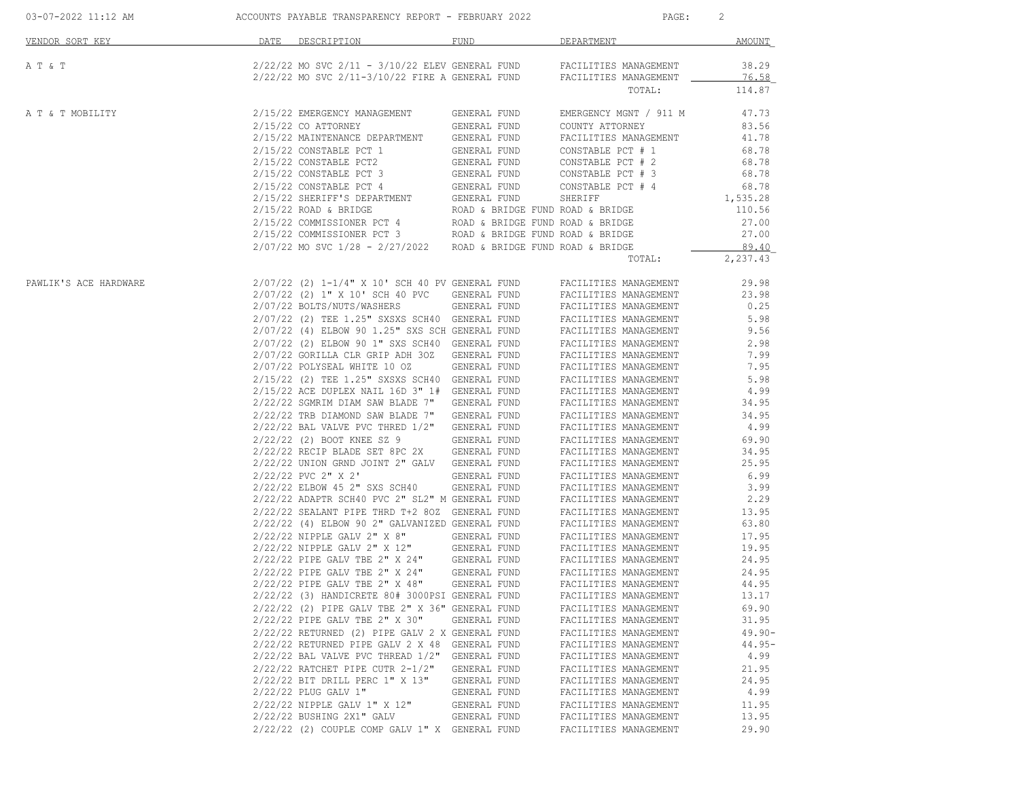| VENDOR SORT KEY       | DATE | DESCRIPTION                                                                                        | FUND                             | DEPARTMENT                                     | AMOUNT                |
|-----------------------|------|----------------------------------------------------------------------------------------------------|----------------------------------|------------------------------------------------|-----------------------|
| A T & T               |      | 2/22/22 MO SVC 2/11 - 3/10/22 ELEV GENERAL FUND<br>2/22/22 MO SVC 2/11-3/10/22 FIRE A GENERAL FUND |                                  | FACILITIES MANAGEMENT<br>FACILITIES MANAGEMENT | 38.29<br><u>76.58</u> |
|                       |      |                                                                                                    |                                  | TOTAL:                                         | 114.87                |
| A T & T MOBILITY      |      | 2/15/22 EMERGENCY MANAGEMENT                                                                       | GENERAL FUND                     | EMERGENCY MGNT / 911 M                         | 47.73                 |
|                       |      | $2/15/22$ CO ATTORNEY                                                                              | GENERAL FUND                     | COUNTY ATTORNEY                                | 83.56                 |
|                       |      | 2/15/22 MAINTENANCE DEPARTMENT                                                                     | GENERAL FUND                     | FACILITIES MANAGEMENT                          | 41.78                 |
|                       |      | 2/15/22 CONSTABLE PCT 1                                                                            | GENERAL FUND                     | CONSTABLE PCT # 1                              | 68.78                 |
|                       |      | 2/15/22 CONSTABLE PCT2                                                                             | GENERAL FUND                     | CONSTABLE PCT # 2                              | 68.78                 |
|                       |      | 2/15/22 CONSTABLE PCT 3                                                                            | GENERAL FUND                     | CONSTABLE PCT # 3                              | 68.78                 |
|                       |      |                                                                                                    |                                  |                                                |                       |
|                       |      | 2/15/22 CONSTABLE PCT 4<br>2/15/22 SHERIFF'S DEPARTMENT                                            | GENERAL FUND<br>GENERAL FUND     | CONSTABLE PCT # 4                              | 68.78                 |
|                       |      | $2/15/22$ ROAD & BRIDGE                                                                            | ROAD & BRIDGE FUND ROAD & BRIDGE | SHERIFF                                        | 1,535.28              |
|                       |      |                                                                                                    |                                  |                                                | 110.56                |
|                       |      | 2/15/22 COMMISSIONER PCT 4<br>$2/15/22$ COMMISSIONER PCT 3 ROAD & BRIDGE FUND ROAD & BRIDGE        | ROAD & BRIDGE FUND ROAD & BRIDGE |                                                | 27.00<br>27.00        |
|                       |      | $2/07/22$ MO SVC $1/28$ - $2/27/2022$ ROAD & BRIDGE FUND ROAD & BRIDGE                             |                                  |                                                |                       |
|                       |      |                                                                                                    |                                  | TOTAL:                                         | 89.40<br>2,237.43     |
|                       |      |                                                                                                    |                                  |                                                |                       |
| PAWLIK'S ACE HARDWARE |      | 2/07/22 (2) 1-1/4" X 10' SCH 40 PV GENERAL FUND                                                    |                                  | FACILITIES MANAGEMENT                          | 29.98                 |
|                       |      | 2/07/22 (2) 1" X 10' SCH 40 PVC                                                                    | GENERAL FUND                     | FACILITIES MANAGEMENT                          | 23.98                 |
|                       |      | 2/07/22 BOLTS/NUTS/WASHERS                                                                         | GENERAL FUND                     | FACILITIES MANAGEMENT                          | 0.25                  |
|                       |      | 2/07/22 (2) TEE 1.25" SXSXS SCH40 GENERAL FUND                                                     |                                  | FACILITIES MANAGEMENT                          | 5.98                  |
|                       |      | 2/07/22 (4) ELBOW 90 1.25" SXS SCH GENERAL FUND                                                    |                                  | FACILITIES MANAGEMENT                          | 9.56                  |
|                       |      | 2/07/22 (2) ELBOW 90 1" SXS SCH40 GENERAL FUND                                                     |                                  | FACILITIES MANAGEMENT                          | 2.98                  |
|                       |      | 2/07/22 GORILLA CLR GRIP ADH 30Z GENERAL FUND                                                      |                                  | FACILITIES MANAGEMENT                          | 7.99                  |
|                       |      | 2/07/22 POLYSEAL WHITE 10 OZ                                                                       | GENERAL FUND                     | FACILITIES MANAGEMENT                          | 7.95                  |
|                       |      | 2/15/22 (2) TEE 1.25" SXSXS SCH40 GENERAL FUND                                                     |                                  | FACILITIES MANAGEMENT                          | 5.98                  |
|                       |      | 2/15/22 ACE DUPLEX NAIL 16D 3" 1# GENERAL FUND                                                     |                                  | FACILITIES MANAGEMENT                          | 4.99                  |
|                       |      | $2/22/22$ SGMRIM DIAM SAW BLADE $7"$                                                               | GENERAL FUND                     | FACILITIES MANAGEMENT                          | 34.95                 |
|                       |      | $2/22/22$ TRB DIAMOND SAW BLADE 7"                                                                 | GENERAL FUND                     | FACILITIES MANAGEMENT                          | 34.95                 |
|                       |      | $2/22/22$ BAL VALVE PVC THRED $1/2$ "                                                              | GENERAL FUND                     | FACILITIES MANAGEMENT                          | 4.99                  |
|                       |      | 2/22/22 (2) BOOT KNEE SZ 9                                                                         | GENERAL FUND                     | FACILITIES MANAGEMENT                          | 69.90                 |
|                       |      | 2/22/22 RECIP BLADE SET 8PC 2X                                                                     | GENERAL FUND                     | FACILITIES MANAGEMENT                          | 34.95                 |
|                       |      | 2/22/22 UNION GRND JOINT 2" GALV GENERAL FUND                                                      |                                  | FACILITIES MANAGEMENT                          | 25.95                 |
|                       |      | $2/22/22$ PVC $2"$ X $2"$                                                                          | GENERAL FUND                     | FACILITIES MANAGEMENT                          | 6.99                  |
|                       |      | 2/22/22 ELBOW 45 2" SXS SCH40                                                                      | GENERAL FUND                     | FACILITIES MANAGEMENT                          | 3.99                  |
|                       |      | 2/22/22 ADAPTR SCH40 PVC 2" SL2" M GENERAL FUND                                                    |                                  | FACILITIES MANAGEMENT                          | 2.29                  |
|                       |      | 2/22/22 SEALANT PIPE THRD T+2 80Z GENERAL FUND                                                     |                                  | FACILITIES MANAGEMENT                          | 13.95                 |
|                       |      | 2/22/22 (4) ELBOW 90 2" GALVANIZED GENERAL FUND                                                    |                                  | FACILITIES MANAGEMENT                          | 63.80                 |
|                       |      | 2/22/22 NIPPLE GALV 2" X 8"                                                                        | GENERAL FUND                     | FACILITIES MANAGEMENT                          | 17.95                 |
|                       |      | 2/22/22 NIPPLE GALV 2" X 12"                                                                       | GENERAL FUND                     | FACILITIES MANAGEMENT                          | 19.95                 |
|                       |      | 2/22/22 PIPE GALV TBE 2" X 24"                                                                     | GENERAL FUND                     | FACILITIES MANAGEMENT                          | 24.95                 |
|                       |      | 2/22/22 PIPE GALV TBE 2" X 24"                                                                     | GENERAL FUND                     | FACILITIES MANAGEMENT                          | 24.95                 |
|                       |      | 2/22/22 PIPE GALV TBE 2" X 48"                                                                     | GENERAL FUND                     | FACILITIES MANAGEMENT                          | 44.95                 |
|                       |      | 2/22/22 (3) HANDICRETE 80# 3000PSI GENERAL FUND                                                    |                                  | FACILITIES MANAGEMENT                          | 13.17                 |
|                       |      | $2/22/22$ (2) PIPE GALV TBE 2" X 36" GENERAL FUND                                                  |                                  | FACILITIES MANAGEMENT                          | 69.90                 |
|                       |      | 2/22/22 PIPE GALV TBE 2" X 30"                                                                     | GENERAL FUND                     | FACILITIES MANAGEMENT                          | 31.95                 |
|                       |      | 2/22/22 RETURNED (2) PIPE GALV 2 X GENERAL FUND                                                    |                                  | FACILITIES MANAGEMENT                          | $49.90 -$             |
|                       |      | 2/22/22 RETURNED PIPE GALV 2 X 48                                                                  | GENERAL FUND                     | FACILITIES MANAGEMENT                          | $44.95-$              |
|                       |      | $2/22/22$ BAL VALVE PVC THREAD $1/2$ "                                                             | GENERAL FUND                     | FACILITIES MANAGEMENT                          | 4.99                  |
|                       |      | 2/22/22 RATCHET PIPE CUTR 2-1/2"                                                                   | GENERAL FUND                     | FACILITIES MANAGEMENT                          | 21.95                 |
|                       |      | 2/22/22 BIT DRILL PERC 1" X 13"                                                                    | GENERAL FUND                     | FACILITIES MANAGEMENT                          | 24.95                 |
|                       |      | 2/22/22 PLUG GALV 1"                                                                               | GENERAL FUND                     | FACILITIES MANAGEMENT                          | 4.99                  |
|                       |      | 2/22/22 NIPPLE GALV 1" X 12"                                                                       | GENERAL FUND                     | FACILITIES MANAGEMENT                          | 11.95                 |
|                       |      | 2/22/22 BUSHING 2X1" GALV                                                                          | GENERAL FUND                     | FACILITIES MANAGEMENT                          | 13.95                 |
|                       |      | 2/22/22 (2) COUPLE COMP GALV 1" X GENERAL FUND                                                     |                                  | FACILITIES MANAGEMENT                          | 29.90                 |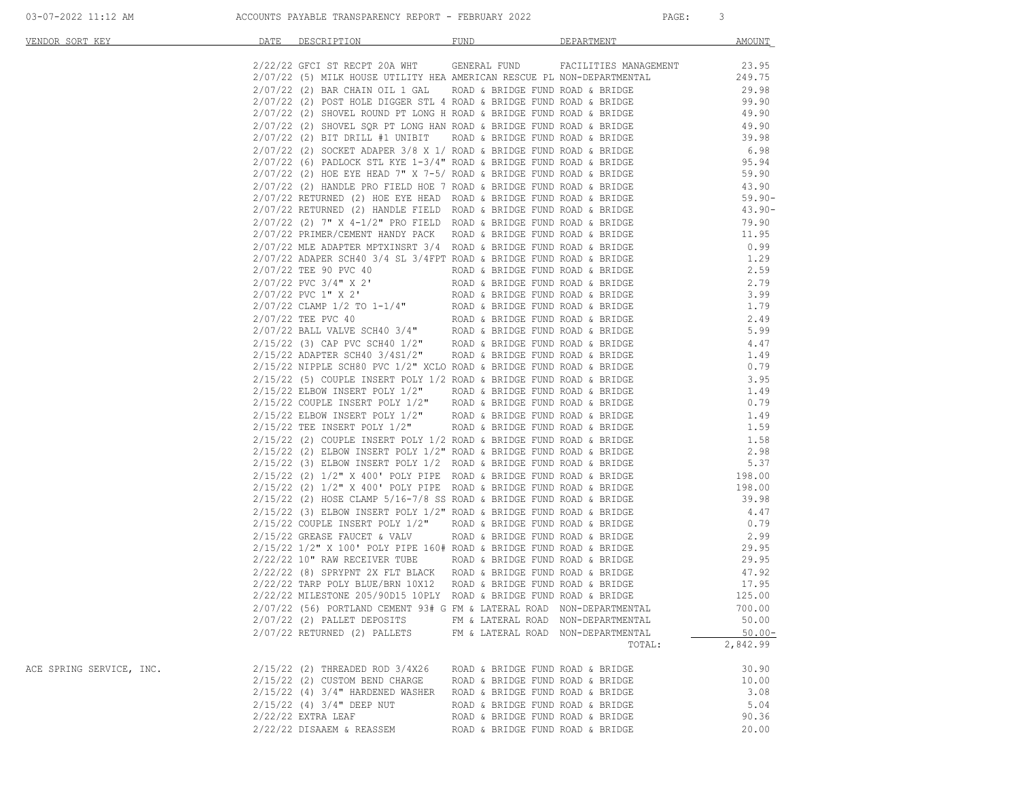| VENDOR SORT KEY          | DATE                 | DESCRIPTION                                                                                                                                                                                                                                                                                                | FUND                             | DEPARTMENT | AMOUNT                                                             |
|--------------------------|----------------------|------------------------------------------------------------------------------------------------------------------------------------------------------------------------------------------------------------------------------------------------------------------------------------------------------------|----------------------------------|------------|--------------------------------------------------------------------|
|                          |                      | 2/22/22 GFCI ST RECPT 20A WHT GENERAL FUND FACILITIES MANAGEMENT                                                                                                                                                                                                                                           |                                  |            | 23.95                                                              |
|                          |                      | 2/07/22 (5) MILK HOUSE UTILITY HEA AMERICAN RESCUE PL NON-DEPARTMENTAL                                                                                                                                                                                                                                     |                                  |            | 249.75                                                             |
|                          |                      | $2/07/22$ (2) BAR CHAIN OIL 1 GAL ROAD & BRIDGE FUND ROAD & BRIDGE                                                                                                                                                                                                                                         |                                  |            | 29.98                                                              |
|                          |                      |                                                                                                                                                                                                                                                                                                            |                                  |            | 99.90                                                              |
|                          |                      | $2/07/22$ (2) POST HOLE DIGGER STL 4 ROAD & BRIDGE FUND ROAD & BRIDGE<br>$2/07/22$ (2) SHOVEL ROUND PT LONG H ROAD & BRIDGE FUND ROAD & BRIDGE                                                                                                                                                             |                                  |            | 49.90                                                              |
|                          |                      | 2/07/22 (2) SHOVEL ROUND PT LONG H ROAD & BRIDGE FUND ROAD & BRIDGE<br>2/07/22 (2) SHOVEL SQR PT LONG HAN ROAD & BRIDGE FUND ROAD & BRIDGE<br>2/07/22 (2) BIT DRILL #1 UNIBIT ROAD & BRIDGE FUND ROAD & BRIDGE<br>2/07/22 (2) SOCKET A                                                                     |                                  |            |                                                                    |
|                          |                      |                                                                                                                                                                                                                                                                                                            |                                  |            | 49.90<br>39.98                                                     |
|                          |                      |                                                                                                                                                                                                                                                                                                            |                                  |            |                                                                    |
|                          |                      |                                                                                                                                                                                                                                                                                                            |                                  |            | 6.98<br>95.94                                                      |
|                          |                      |                                                                                                                                                                                                                                                                                                            |                                  |            | 59.90                                                              |
|                          |                      |                                                                                                                                                                                                                                                                                                            |                                  |            | 43.90                                                              |
|                          |                      | $2/07/22$ (2) HANDLE PRO FIELD HOE 7 ROAD & BRIDGE FUND ROAD & BRIDGE $2/07/22$ RETURNED (2) HOE EYE HEAD ROAD & BRIDGE FUND ROAD & BRIDGE                                                                                                                                                                 |                                  |            | $59.90 -$                                                          |
|                          |                      |                                                                                                                                                                                                                                                                                                            |                                  |            | $43.90-$                                                           |
|                          |                      |                                                                                                                                                                                                                                                                                                            |                                  |            | 79.90                                                              |
|                          |                      |                                                                                                                                                                                                                                                                                                            |                                  |            | 11.95                                                              |
|                          |                      |                                                                                                                                                                                                                                                                                                            |                                  |            |                                                                    |
|                          |                      | 2/07/22 RETURNED (2) HOE EYE HEAD ROAD & BRIDGE FUND ROAD & BRIDGE 2/07/22 RETURNED (2) HANDLE FIELD ROAD & BRIDGE FUND ROAD & BRIDGE 2/07/22 (2) 7" X 4-1/2" PRO FIELD ROAD & BRIDGE FUND ROAD & BRIDGE 2/07/22 PRIMER/CEMENT                                                                             |                                  |            | 0.99                                                               |
|                          |                      |                                                                                                                                                                                                                                                                                                            |                                  |            | 1.29<br>2.59                                                       |
|                          |                      |                                                                                                                                                                                                                                                                                                            |                                  |            | 2.79                                                               |
|                          |                      | 2/07/22 TEE 90 PVC 40<br>2/07/22 PVC 3/4" x 2'<br>2/07/22 PVC 1" x 2'<br>2/07/22 CLAMP 1/2 TO 1-1/4"<br>ROAD & BRIDGE FUND ROAD & BRIDGE<br>2/07/22 TEE PVC 40<br>2/07/22 TEE PVC 40<br>2/07/22 BALL VALVE SCH40 3/4"<br>ROAD & BRIDGE FUND R                                                              |                                  |            | 3.99                                                               |
|                          |                      |                                                                                                                                                                                                                                                                                                            |                                  |            | 1.79                                                               |
|                          |                      |                                                                                                                                                                                                                                                                                                            |                                  |            |                                                                    |
|                          |                      |                                                                                                                                                                                                                                                                                                            |                                  |            | $2.49$<br>$5.99$                                                   |
|                          |                      |                                                                                                                                                                                                                                                                                                            |                                  |            |                                                                    |
|                          |                      |                                                                                                                                                                                                                                                                                                            |                                  |            | $4.47$<br>$1.49$                                                   |
|                          |                      |                                                                                                                                                                                                                                                                                                            |                                  |            |                                                                    |
|                          |                      | $2/15/22$ NIPPLE SCH80 PVC $1/2$ " XCLO ROAD & BRIDGE FUND ROAD & BRIDGE<br>$2/15/22$ NIPPLE SCH80 PVC $1/2$ " XCLO ROAD & BRIDGE FUND ROAD & BRIDGE<br>$2/15/22$ (5) COUPLE INSERT POLY $1/2$ ROAD & BRIDGE FUND ROAD & BRIDGE<br>$2/15/22$ (5) COUPLE INSERT POLY $1/2$ ROAD & BRIDGE FUND ROAD & BRIDGE |                                  |            | $0.79$<br>$3.95$<br>$1.49$<br>$0.79$<br>$1.49$<br>$1.59$<br>$1.58$ |
|                          |                      |                                                                                                                                                                                                                                                                                                            |                                  |            |                                                                    |
|                          |                      | 2/15/22 ELBOW INSERT POLY 1/2" ROAD & BRIDGE FUND ROAD & BRIDGE 2/15/22 COUPLE INSERT POLY 1/2" ROAD & BRIDGE FUND ROAD & BRIDGE 2/15/22 ELBOW INSERT POLY 1/2" ROAD & BRIDGE FUND ROAD & BRIDGE 2/15/22 TEE INSERT POLY 1/2"                                                                              |                                  |            |                                                                    |
|                          |                      |                                                                                                                                                                                                                                                                                                            |                                  |            |                                                                    |
|                          |                      |                                                                                                                                                                                                                                                                                                            |                                  |            |                                                                    |
|                          |                      |                                                                                                                                                                                                                                                                                                            |                                  |            |                                                                    |
|                          |                      |                                                                                                                                                                                                                                                                                                            |                                  |            | 2.98                                                               |
|                          |                      |                                                                                                                                                                                                                                                                                                            |                                  |            | 5.37                                                               |
|                          |                      | $2/15/22$ (3) ELBOW INSERT POLY 1/2 ROAD & BRIDGE FUND ROAD & BRIDGE 5.37 $2/15/22$ (2) $1/2$ " x 400' POLY PIPE ROAD & BRIDGE FUND ROAD & BRIDGE 198.00                                                                                                                                                   |                                  |            |                                                                    |
|                          |                      |                                                                                                                                                                                                                                                                                                            |                                  |            | 198.00                                                             |
|                          |                      | $2/15/22$ (2) $1/2$ " X 400' POLY PIPE ROAD & BRIDGE FUND ROAD & BRIDGE<br>2/15/22 (2) HOSE CLAMP 5/16-7/8 SS ROAD & BRIDGE FUND ROAD & BRIDGE                                                                                                                                                             |                                  |            | 39.98                                                              |
|                          |                      |                                                                                                                                                                                                                                                                                                            |                                  |            | 4.47                                                               |
|                          |                      |                                                                                                                                                                                                                                                                                                            |                                  |            | 0.79                                                               |
|                          |                      | 2/15/22 (2) HOSE CLAMP $5/16$ -7/8 SS ROAD & BRIDGE FUND ROAD & BRIDGE<br>2/15/22 (3) ELBOW INSERT POLY 1/2" ROAD & BRIDGE FUND ROAD & BRIDGE<br>2/15/22 COUPLE INSERT POLY 1/2" ROAD & BRIDGE FUND ROAD & BRIDGE<br>2/15/22 GREASE FAU                                                                    |                                  |            | 2.99                                                               |
|                          |                      |                                                                                                                                                                                                                                                                                                            |                                  |            | دد.2<br>29.95                                                      |
|                          |                      | 2/15/22 1/2" X 100' POLY PIPE 160# ROAD & BRIDGE FUND ROAD & BRIDGE<br>2/22/22 10" RAW RECEIVER TUBE      ROAD & BRIDGE FUND ROAD & BRIDGE                                                                                                                                                                 |                                  |            | 29.95                                                              |
|                          |                      |                                                                                                                                                                                                                                                                                                            |                                  |            | 47.92                                                              |
|                          |                      |                                                                                                                                                                                                                                                                                                            |                                  |            | 17.95                                                              |
|                          |                      |                                                                                                                                                                                                                                                                                                            |                                  |            | 125.00                                                             |
|                          |                      | $2/07/22$ (56) PORTLAND CEMENT 93# G FM & LATERAL ROAD NON-DEPARTMENTAL                                                                                                                                                                                                                                    |                                  |            | 700.00                                                             |
|                          |                      | $2/07/22$ (2) PALLET DEPOSITS FM & LATERAL ROAD NON-DEPARTMENTAL                                                                                                                                                                                                                                           |                                  |            | 50.00                                                              |
|                          |                      | 2/07/22 RETURNED (2) PALLETS FM & LATERAL ROAD NON-DEPARTMENTAL                                                                                                                                                                                                                                            |                                  |            | $50.00 -$                                                          |
|                          |                      |                                                                                                                                                                                                                                                                                                            |                                  | TOTAL:     | 2,842.99                                                           |
| ACE SPRING SERVICE, INC. |                      | 2/15/22 (2) THREADED ROD 3/4X26                                                                                                                                                                                                                                                                            | ROAD & BRIDGE FUND ROAD & BRIDGE |            | 30.90                                                              |
|                          |                      | 2/15/22 (2) CUSTOM BEND CHARGE                                                                                                                                                                                                                                                                             | ROAD & BRIDGE FUND ROAD & BRIDGE |            | 10.00                                                              |
|                          |                      | $2/15/22$ (4) $3/4$ " HARDENED WASHER                                                                                                                                                                                                                                                                      | ROAD & BRIDGE FUND ROAD & BRIDGE |            | 3.08                                                               |
|                          |                      | 2/15/22 (4) 3/4" DEEP NUT                                                                                                                                                                                                                                                                                  | ROAD & BRIDGE FUND ROAD & BRIDGE |            | 5.04                                                               |
|                          | $2/22/22$ EXTRA LEAF |                                                                                                                                                                                                                                                                                                            | ROAD & BRIDGE FUND ROAD & BRIDGE |            | 90.36                                                              |
|                          |                      | 2/22/22 DISAAEM & REASSEM                                                                                                                                                                                                                                                                                  | ROAD & BRIDGE FUND ROAD & BRIDGE |            | 20.00                                                              |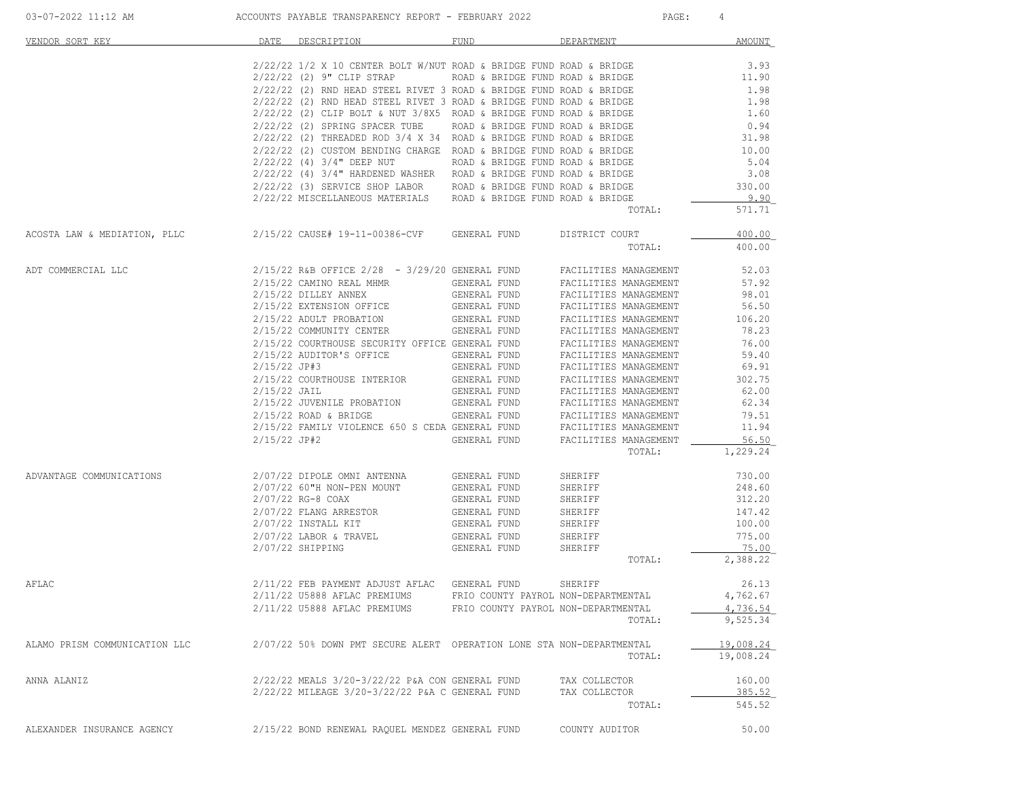| VENDOR SORT KEY               |                                                  | DATE DESCRIPTION                                                                                                                                                                                                                                                                                                                                                                                                                                                                                                                                                                                                                                                                                                                                                                               | FUND                                                                                                                                                                                         | DEPARTMENT                                                                                                                                                                                                                                                                                                                                                                                    | <b>AMOUNT</b>                                                                                                                                     |
|-------------------------------|--------------------------------------------------|------------------------------------------------------------------------------------------------------------------------------------------------------------------------------------------------------------------------------------------------------------------------------------------------------------------------------------------------------------------------------------------------------------------------------------------------------------------------------------------------------------------------------------------------------------------------------------------------------------------------------------------------------------------------------------------------------------------------------------------------------------------------------------------------|----------------------------------------------------------------------------------------------------------------------------------------------------------------------------------------------|-----------------------------------------------------------------------------------------------------------------------------------------------------------------------------------------------------------------------------------------------------------------------------------------------------------------------------------------------------------------------------------------------|---------------------------------------------------------------------------------------------------------------------------------------------------|
|                               |                                                  | $2/22/22$ 1/2 X 10 CENTER BOLT W/NUT ROAD & BRIDGE FUND ROAD & BRIDGE<br>$2/22/22$ (2) $9"$ CLIP STRAP<br>$2/22/22$ (2) RND HEAD STEEL RIVET 3 ROAD & BRIDGE FUND ROAD & BRIDGE<br>$2/22/22$ (2) RND HEAD STEEL RIVET 3 ROAD & BRIDGE FUND ROAD & BRIDGE<br>$2/22/22$ (2) CLIP BOLT & NUT $3/8X5$ ROAD & BRIDGE FUND ROAD & BRIDGE<br>2/22/22 (2) SPRING SPACER TUBE ROAD & BRIDGE FUND ROAD & BRIDGE<br>$2/22/22$ (2) THREADED ROD $3/4$ X 34 ROAD & BRIDGE FUND ROAD & BRIDGE<br>2/22/22 (2) CUSTOM BENDING CHARGE ROAD & BRIDGE FUND ROAD & BRIDGE<br>2/22/22 (4) 3/4" DEEP NUT<br>2/22/22 (4) 3/4" HARDENED WASHER ROAD & BRIDGE FUND ROAD & BRIDGE<br>2/22/22 (3) SERVICE SHOP LABOR ROAD & BRIDGE FUND ROAD & BRIDGE<br>2/22/22 MISCELLANEOUS MATERIALS ROAD & BRIDGE FUND ROAD & BRIDGE | ROAD & BRIDGE FUND ROAD & BRIDGE<br>ROAD & BRIDGE FUND ROAD & BRIDGE                                                                                                                         | TOTAL:                                                                                                                                                                                                                                                                                                                                                                                        | 3.93<br>11.90<br>1.98<br>1.98<br>1.60<br>0.94<br>31.98<br>10.00<br>5.04<br>3.08<br>330.00<br>9.90<br>571.71                                       |
| ACOSTA LAW & MEDIATION, PLLC  |                                                  | 2/15/22 CAUSE# 19-11-00386-CVF GENERAL FUND                                                                                                                                                                                                                                                                                                                                                                                                                                                                                                                                                                                                                                                                                                                                                    |                                                                                                                                                                                              | DISTRICT COURT<br>TOTAL:                                                                                                                                                                                                                                                                                                                                                                      | 400.00<br>400.00                                                                                                                                  |
| ADT COMMERCIAL LLC            | 2/15/22 JP#3<br>$2/15/22$ JAIL<br>$2/15/22$ JP#2 | $2/15/22$ R&B OFFICE $2/28$ - $3/29/20$ GENERAL FUND<br>2/15/22 CAMINO REAL MHMR<br>2/15/22 DILLEY ANNEX<br>2/15/22 EXTENSION OFFICE<br>2/15/22 ADULT PROBATION<br>2/15/22 COMMUNITY CENTER<br>2/15/22 COURTHOUSE SECURITY OFFICE GENERAL FUND<br>2/15/22 AUDITOR'S OFFICE<br>2/15/22 COURTHOUSE INTERIOR<br>2/15/22 JUVENILE PROBATION<br>$2/15/22$ ROAD & BRIDGE<br>2/15/22 FAMILY VIOLENCE 650 S CEDA GENERAL FUND                                                                                                                                                                                                                                                                                                                                                                          | GENERAL FUND<br>GENERAL FUND<br>GENERAL FUND<br>GENERAL FUND<br>GENERAL FUND<br>GENERAL FUND<br>GENERAL FUND<br>GENERAL FUND<br>GENERAL FUND<br>GENERAL FUND<br>GENERAL FUND<br>GENERAL FUND | FACILITIES MANAGEMENT<br>FACILITIES MANAGEMENT<br>FACILITIES MANAGEMENT<br>FACILITIES MANAGEMENT<br>FACILITIES MANAGEMENT<br>FACILITIES MANAGEMENT<br>FACILITIES MANAGEMENT<br>FACILITIES MANAGEMENT<br>FACILITIES MANAGEMENT<br>FACILITIES MANAGEMENT<br>FACILITIES MANAGEMENT<br>FACILITIES MANAGEMENT<br>FACILITIES MANAGEMENT<br>FACILITIES MANAGEMENT<br>FACILITIES MANAGEMENT<br>TOTAL: | 52.03<br>57.92<br>98.01<br>56.50<br>106.20<br>78.23<br>76.00<br>59.40<br>69.91<br>302.75<br>62.00<br>62.34<br>79.51<br>11.94<br>56.50<br>1,229.24 |
| ADVANTAGE COMMUNICATIONS      |                                                  | 2/07/22 DIPOLE OMNI ANTENNA<br>2/07/22 60"H NON-PEN MOUNT<br>2/07/22 RG-8 COAX<br>2/07/22 FLANG ARRESTOR<br>$2/07/22$ INSTALL KIT<br>$2/07/22$ LABOR & TRAVEL<br>2/07/22 SHIPPING                                                                                                                                                                                                                                                                                                                                                                                                                                                                                                                                                                                                              | GENERAL FUND<br>GENERAL FUND<br>GENERAL FUND<br>GENERAL FUND<br>GENERAL FUND<br>GENERAL FUND<br>GENERAL FUND                                                                                 | SHERIFF<br>SHERIFF<br>SHERIFF<br>SHERIFF<br>SHERIFF<br>SHERIFF<br>SHERIFF<br>TOTAL:                                                                                                                                                                                                                                                                                                           | 730.00<br>248.60<br>312.20<br>147.42<br>100.00<br>775.00<br>75.00<br>2,388.22                                                                     |
| AFLAC                         |                                                  | 2/11/22 FEB PAYMENT ADJUST AFLAC GENERAL FUND<br>2/11/22 U5888 AFLAC PREMIUMS<br>2/11/22 U5888 AFLAC PREMIUMS                                                                                                                                                                                                                                                                                                                                                                                                                                                                                                                                                                                                                                                                                  | FRIO COUNTY PAYROL NON-DEPARTMENTAL<br>FRIO COUNTY PAYROL NON-DEPARTMENTAL                                                                                                                   | SHERIFF<br>TOTAL:                                                                                                                                                                                                                                                                                                                                                                             | 26.13<br>4,762.67<br><u>4,736.54</u><br>9,525.34                                                                                                  |
| ALAMO PRISM COMMUNICATION LLC |                                                  | 2/07/22 50% DOWN PMT SECURE ALERT OPERATION LONE STA NON-DEPARTMENTAL                                                                                                                                                                                                                                                                                                                                                                                                                                                                                                                                                                                                                                                                                                                          |                                                                                                                                                                                              | TOTAL:                                                                                                                                                                                                                                                                                                                                                                                        | 19,008.24<br>19,008.24                                                                                                                            |
| ANNA ALANIZ                   |                                                  | 2/22/22 MEALS 3/20-3/22/22 P&A CON GENERAL FUND<br>2/22/22 MILEAGE 3/20-3/22/22 P&A C GENERAL FUND                                                                                                                                                                                                                                                                                                                                                                                                                                                                                                                                                                                                                                                                                             |                                                                                                                                                                                              | TAX COLLECTOR<br>TAX COLLECTOR<br>TOTAL:                                                                                                                                                                                                                                                                                                                                                      | 160.00<br>385.52<br>545.52                                                                                                                        |

ALEXANDER INSURANCE AGENCY 2/15/22 BOND RENEWAL RAQUEL MENDEZ GENERAL FUND COUNTY AUDITOR 50.00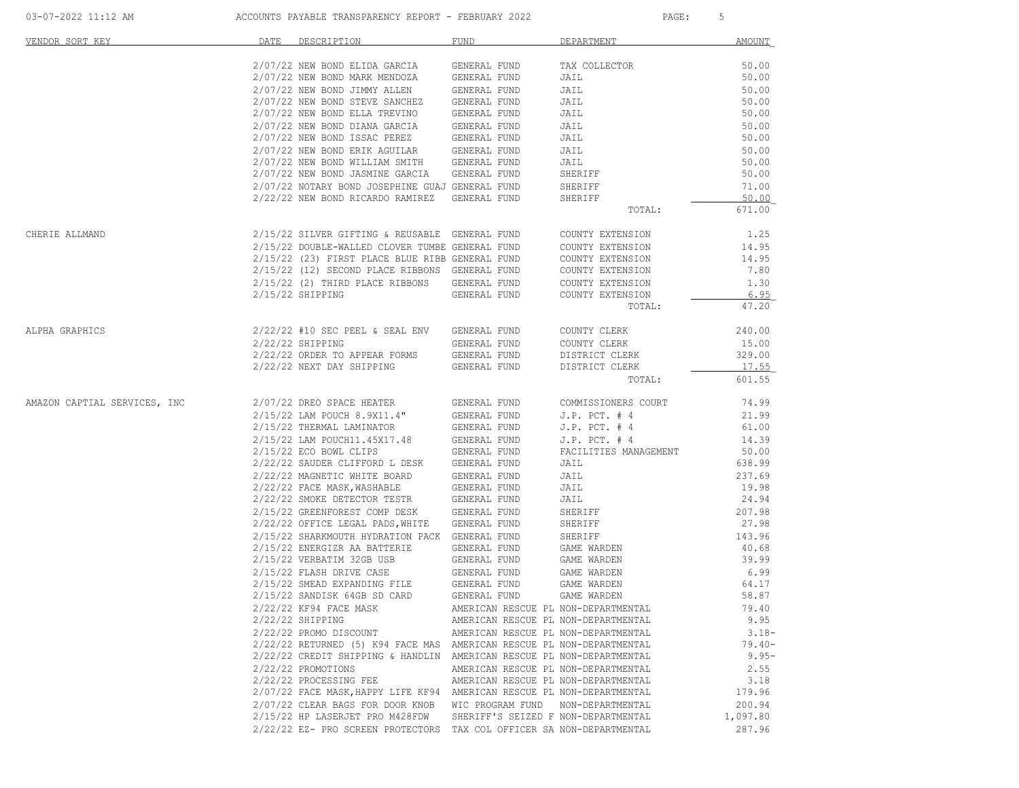| VENDOR SORT KEY |                  | DATE DESCRIPTION                                                                                                                                                                                                                       | FUND                                | DEPARTMENT   | AMOUNT             |
|-----------------|------------------|----------------------------------------------------------------------------------------------------------------------------------------------------------------------------------------------------------------------------------------|-------------------------------------|--------------|--------------------|
|                 |                  | 2/07/22 NEW BOND ELIDA GARCIA GENERAL FUND TAX COLLECTOR                                                                                                                                                                               |                                     |              | 50.00              |
|                 |                  |                                                                                                                                                                                                                                        |                                     | JAIL         |                    |
|                 |                  |                                                                                                                                                                                                                                        |                                     | JAIL         | $50.00$<br>$50.00$ |
|                 |                  |                                                                                                                                                                                                                                        |                                     | JAIL<br>JAIL | 50.00              |
|                 |                  |                                                                                                                                                                                                                                        |                                     | JAIL         | 50.00              |
|                 |                  |                                                                                                                                                                                                                                        |                                     | <b>JAIL</b>  | 50.00              |
|                 |                  | 2/07/22 NEW BOND BLIDA INSTITUTE ORDERAL FUND<br>2/07/22 NEW BOND ISSAC PEREZ GENERAL FUND<br>2/07/22 NEW BOND ERIK AGUILAR GENERAL FUND<br>2/07/22 NEW BOND NILLIAM SMITH GENERAL FUND<br>2/07/22 NEW BOND NILLIAM SMITH GENERAL FUND |                                     | JAIL         | 50.00              |
|                 |                  |                                                                                                                                                                                                                                        |                                     | <b>JAIL</b>  | 50.00              |
|                 |                  |                                                                                                                                                                                                                                        |                                     | JAIL         | 50.00              |
|                 |                  | 2/07/22 NEW BOND JASMINE GARCIA GENERAL FUND                                                                                                                                                                                           |                                     | SHERIFF      | 50.00              |
|                 |                  | 2/07/22 NOTARY BOND JOSEPHINE GUAJ GENERAL FUND                                                                                                                                                                                        |                                     | SHERIFF      | 71.00              |
|                 |                  | 2/22/22 NEW BOND RICARDO RAMIREZ GENERAL FUND                                                                                                                                                                                          |                                     | SHERIFF      | 50.00              |
|                 |                  |                                                                                                                                                                                                                                        |                                     | TOTAL:       | 671.00             |
| CHERIE ALLMAND  |                  | 2/15/22 SILVER GIFTING & REUSABLE GENERAL FUND COUNTY EXTENSION                                                                                                                                                                        |                                     |              | 1.25               |
|                 |                  | $2/15/22$ DOUBLE-WALLED CLOVER TUMBE GENERAL FUND COUNTY EXTENSION $2/15/22$ (23) FIRST PLACE BLUE RIBB GENERAL FUND COUNTY EXTENSION                                                                                                  |                                     |              | 14.95              |
|                 |                  |                                                                                                                                                                                                                                        |                                     |              | 14.95              |
|                 |                  | $2/15/22$ (12) SECOND PLACE RIBBONS GENERAL FUND COUNTY EXTENSION $2/15/22$ (2) THIRD PLACE RIBBONS GENERAL FUND COUNTY EXTENSION                                                                                                      |                                     |              | 7.80               |
|                 |                  |                                                                                                                                                                                                                                        |                                     |              | 1.30               |
|                 |                  | 2/15/22 SHIPPING CENERAL FUND COUNTY EXTENSION                                                                                                                                                                                         |                                     |              | 6.95               |
|                 |                  |                                                                                                                                                                                                                                        |                                     | TOTAL:       | 47.20              |
| ALPHA GRAPHICS  |                  | $2/22/22$ #10 SEC PEEL & SEAL ENV GENERAL FUND<br>2/22/22 SHIPPING CENERAL FUND                                                                                                                                                        |                                     | COUNTY CLERK | 240.00             |
|                 | 2/22/22 SHIPPING |                                                                                                                                                                                                                                        |                                     |              | 15.00              |
|                 |                  |                                                                                                                                                                                                                                        |                                     |              | 329.00             |
|                 |                  |                                                                                                                                                                                                                                        |                                     |              | 17.55              |
|                 |                  |                                                                                                                                                                                                                                        |                                     | TOTAL:       | 601.55             |
|                 |                  |                                                                                                                                                                                                                                        |                                     |              | 74.99              |
|                 |                  |                                                                                                                                                                                                                                        |                                     |              | 21.99              |
|                 |                  |                                                                                                                                                                                                                                        |                                     |              | 61.00              |
|                 |                  |                                                                                                                                                                                                                                        |                                     |              | 14.39              |
|                 |                  |                                                                                                                                                                                                                                        |                                     |              | 50.00              |
|                 |                  |                                                                                                                                                                                                                                        |                                     |              | 638.99             |
|                 |                  |                                                                                                                                                                                                                                        |                                     |              | 237.69             |
|                 |                  | 2/22/22 FACE MASK, WASHABLE<br>2/22/22 FACE MASK, WASHABLE GENERAL FUND<br>2/22/22 SMOKE DETECTOR TESTR GENERAL FUND                                                                                                                   |                                     | JAIL         | 19.98              |
|                 |                  |                                                                                                                                                                                                                                        |                                     | JAIL         | 24.94              |
|                 |                  | 2/15/22 GREENFOREST COMP DESK GENERAL FUND                                                                                                                                                                                             |                                     | SHERIFF      | 207.98             |
|                 |                  | 2/22/22 OFFICE LEGAL PADS, WHITE GENERAL FUND                                                                                                                                                                                          |                                     | SHERIFF      | 27.98              |
|                 |                  | 2/15/22 SHARKMOUTH HYDRATION PACK GENERAL FUND                                                                                                                                                                                         |                                     | SHERIFF      | 143.96             |
|                 |                  | $2/15/22$ ENERGIZR AA BATTERIE GENERAL FUND GAME WARDEN $2/15/22$ VERBATIM 32GB USB GENERAL FUND GAME WARDEN                                                                                                                           |                                     | GAME WARDEN  | 40.68              |
|                 |                  |                                                                                                                                                                                                                                        |                                     |              | 39.99              |
|                 |                  |                                                                                                                                                                                                                                        |                                     |              | 6.99               |
|                 |                  | $2/15/22 \text{ FLASH DRIVE CASE} \hspace{2.6cm} \text{GENERAL FUND} \hspace{1.6cm} \text{GAME WARDEN} \\ 2/15/22 \text{ SMBAD EXPANDING FILE} \hspace{2.6cm} \text{GENERAL FUND} \hspace{2.6cm} \text{GAME WARDEN}$                   |                                     |              | 64.17              |
|                 |                  | 2/15/22 SANDISK 64GB SD CARD GENERAL FUND                                                                                                                                                                                              |                                     | GAME WARDEN  | 58.87              |
|                 |                  | 2/22/22 KF94 FACE MASK                                                                                                                                                                                                                 | AMERICAN RESCUE PL NON-DEPARTMENTAL |              | 79.40              |
|                 |                  | $2/22/22$ SHIPPING                                                                                                                                                                                                                     | AMERICAN RESCUE PL NON-DEPARTMENTAL |              | 9.95               |
|                 |                  | 2/22/22 PROMO DISCOUNT                                                                                                                                                                                                                 | AMERICAN RESCUE PL NON-DEPARTMENTAL |              | $3.18-$            |
|                 |                  | 2/22/22 RETURNED (5) K94 FACE MAS AMERICAN RESCUE PL NON-DEPARTMENTAL                                                                                                                                                                  |                                     |              | $79.40 -$          |
|                 |                  | 2/22/22 CREDIT SHIPPING & HANDLIN AMERICAN RESCUE PL NON-DEPARTMENTAL                                                                                                                                                                  |                                     |              | $9.95 -$           |
|                 |                  | 2/22/22 PROMOTIONS                                                                                                                                                                                                                     | AMERICAN RESCUE PL NON-DEPARTMENTAL |              | 2.55               |
|                 |                  | 2/22/22 PROCESSING FEE                                                                                                                                                                                                                 | AMERICAN RESCUE PL NON-DEPARTMENTAL |              | 3.18               |
|                 |                  | 2/07/22 FACE MASK, HAPPY LIFE KF94 AMERICAN RESCUE PL NON-DEPARTMENTAL                                                                                                                                                                 |                                     |              | 179.96             |
|                 |                  | 2/07/22 CLEAR BAGS FOR DOOR KNOB WIC PROGRAM FUND NON-DEPARTMENTAL                                                                                                                                                                     |                                     |              | 200.94             |
|                 |                  | 2/15/22 HP LASERJET PRO M428FDW                                                                                                                                                                                                        | SHERIFF'S SEIZED F NON-DEPARTMENTAL |              | 1,097.80           |
|                 |                  | 2/22/22 EZ- PRO SCREEN PROTECTORS TAX COL OFFICER SA NON-DEPARTMENTAL                                                                                                                                                                  |                                     |              | 287.96             |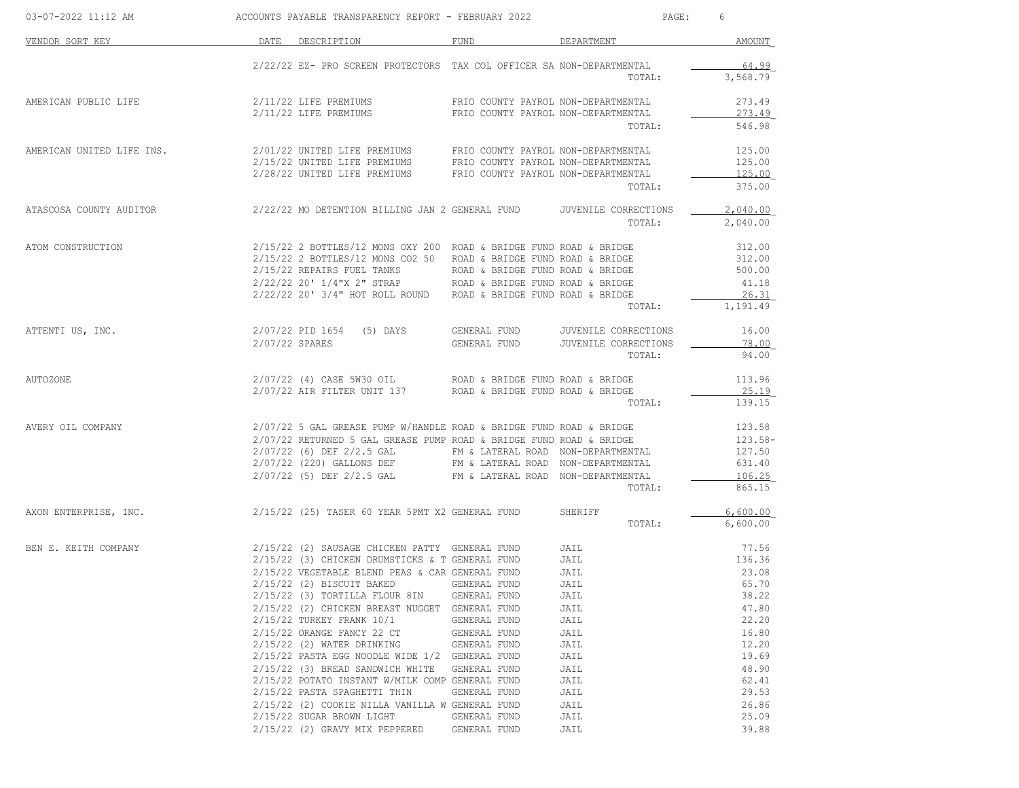| 03-07-2022 11:12 AM       | ACCOUNTS PAYABLE TRANSPARENCY REPORT - FEBRUARY 2022                                                                        |                                    | PAGE:                | 6         |
|---------------------------|-----------------------------------------------------------------------------------------------------------------------------|------------------------------------|----------------------|-----------|
| VENDOR SORT KEY           | DATE DESCRIPTION                                                                                                            | FUND                               | DEPARTMENT           | AMOUNT    |
|                           | 2/22/22 EZ- PRO SCREEN PROTECTORS TAX COL OFFICER SA NON-DEPARTMENTAL                                                       |                                    |                      | 64.99     |
|                           |                                                                                                                             |                                    | TOTAL:               | 3,568.79  |
| AMERICAN PUBLIC LIFE      | 2/11/22 LIFE PREMIUMS TRIO COUNTY PAYROL NON-DEPARTMENTAL                                                                   |                                    |                      | 273.49    |
|                           | 2/11/22 LIFE PREMIUMS FRIO COUNTY PAYROL NON-DEPARTMENTAL                                                                   |                                    |                      | 273.49    |
|                           |                                                                                                                             |                                    | TOTAL:               | 546.98    |
| AMERICAN UNITED LIFE INS. |                                                                                                                             |                                    |                      | 125.00    |
|                           |                                                                                                                             |                                    |                      | 125.00    |
|                           |                                                                                                                             |                                    |                      | 125.00    |
|                           |                                                                                                                             |                                    | TOTAL:               | 375.00    |
|                           | ATASCOSA COUNTY AUDITOR 2/22/22 MO DETENTION BILLING JAN 2 GENERAL FUND JUVENILE CORRECTIONS                                |                                    |                      | 2,040.00  |
|                           |                                                                                                                             |                                    | TOTAL:               | 2,040.00  |
| ATOM CONSTRUCTION         | 2/15/22 2 BOTTLES/12 MONS OXY 200 ROAD & BRIDGE FUND ROAD & BRIDGE                                                          |                                    |                      | 312.00    |
|                           | 2/15/22 2 BOTTLES/12 MONS CO2 50 ROAD & BRIDGE FUND ROAD & BRIDGE                                                           |                                    |                      | 312.00    |
|                           |                                                                                                                             |                                    |                      | 500.00    |
|                           | $2/15/22$ REPAIRS FUEL TANKS ROAD & BRIDGE FUND ROAD & BRIDGE $2/22/22$ 20' 1/4"X 2" STRAP ROAD & BRIDGE FUND ROAD & BRIDGE |                                    |                      | 41.18     |
|                           | $2/22/22$ 20' 3/4" HOT ROLL ROUND ROAD & BRIDGE FUND ROAD & BRIDGE                                                          |                                    |                      | 26.31     |
|                           |                                                                                                                             |                                    | TOTAL:               | 1,191.49  |
| ATTENTI US, INC.          | 2/07/22 PID 1654 (5) DAYS                                                                                                   | GENERAL FUND                       | JUVENILE CORRECTIONS | 16.00     |
|                           | 2/07/22 SPARES                                                                                                              | GENERAL FUND                       | JUVENILE CORRECTIONS | 78.00     |
|                           |                                                                                                                             |                                    | TOTAL:               | 94.00     |
| AUTOZONE                  | 2/07/22 (4) CASE 5W30 OIL ROAD & BRIDGE FUND ROAD & BRIDGE 2/07/22 AIR FILTER UNIT 137 ROAD & BRIDGE FUND ROAD & BRIDGE     |                                    |                      | 113.96    |
|                           |                                                                                                                             |                                    |                      | 25.19     |
|                           |                                                                                                                             |                                    | TOTAL:               | 139.15    |
| AVERY OIL COMPANY         | 2/07/22 5 GAL GREASE PUMP W/HANDLE ROAD & BRIDGE FUND ROAD & BRIDGE                                                         |                                    |                      | 123.58    |
|                           | 2/07/22 RETURNED 5 GAL GREASE PUMP ROAD & BRIDGE FUND ROAD & BRIDGE                                                         |                                    |                      | $123.58-$ |
|                           | 2/07/22 (6) DEF 2/2.5 GAL FM & LATERAL ROAD NON-DEPARTMENTAL                                                                |                                    |                      | 127.50    |
|                           | 2/07/22 (220) GALLONS DEF FM & LATERAL ROAD NON-DEPARTMENTAL                                                                |                                    |                      | 631.40    |
|                           | 2/07/22 (5) DEF 2/2.5 GAL                                                                                                   | FM & LATERAL ROAD NON-DEPARTMENTAL |                      | 106.25    |
|                           |                                                                                                                             |                                    | TOTAL:               | 865.15    |
| AXON ENTERPRISE, INC.     | 2/15/22 (25) TASER 60 YEAR 5PMT X2 GENERAL FUND                                                                             |                                    | SHERIFF              | 6,600.00  |
|                           |                                                                                                                             |                                    | TOTAL:               | 6,600.00  |
| BEN E. KEITH COMPANY      | 2/15/22 (2) SAUSAGE CHICKEN PATTY GENERAL FUND                                                                              |                                    | JAIL                 | 77.56     |
|                           | 2/15/22 (3) CHICKEN DRUMSTICKS & T GENERAL FUND                                                                             |                                    | JAIL                 | 136.36    |
|                           | 2/15/22 VEGETABLE BLEND PEAS & CAR GENERAL FUND                                                                             |                                    | JAIL                 | 23.08     |
|                           | $2/15/22$ (2) BISCUIT BAKED                                                                                                 | GENERAL FUND                       | JAIL                 | 65.70     |
|                           | $2/15/22$ (3) TORTILLA FLOUR 8IN                                                                                            | GENERAL FUND                       | JAIL                 | 38.22     |
|                           | 2/15/22 (2) CHICKEN BREAST NUGGET GENERAL FUND                                                                              |                                    | JAIL                 | 47.80     |
|                           | 2/15/22 TURKEY FRANK 10/1                                                                                                   | GENERAL FUND                       | JAIL                 | 22.20     |
|                           | 2/15/22 ORANGE FANCY 22 CT                                                                                                  | GENERAL FUND                       | JAIL                 | 16.80     |
|                           | 2/15/22 (2) WATER DRINKING                                                                                                  | GENERAL FUND                       | JAIL                 | 12.20     |
|                           | 2/15/22 PASTA EGG NOODLE WIDE 1/2 GENERAL FUND                                                                              |                                    | JAIL                 | 19.69     |
|                           | 2/15/22 (3) BREAD SANDWICH WHITE                                                                                            | <b>GENERAL FUND</b>                | JAIL                 | 48.90     |
|                           | 2/15/22 POTATO INSTANT W/MILK COMP GENERAL FUND                                                                             |                                    | JAIL                 | 62.41     |
|                           | 2/15/22 PASTA SPAGHETTI THIN                                                                                                | GENERAL FUND                       | JAIL                 | 29.53     |
|                           | 2/15/22 (2) COOKIE NILLA VANILLA W GENERAL FUND                                                                             |                                    | JAIL                 | 26.86     |
|                           | 2/15/22 SUGAR BROWN LIGHT                                                                                                   | GENERAL FUND                       | JAIL                 | 25.09     |
|                           | 2/15/22 (2) GRAVY MIX PEPPERED                                                                                              | GENERAL FUND                       | JAIL                 | 39.88     |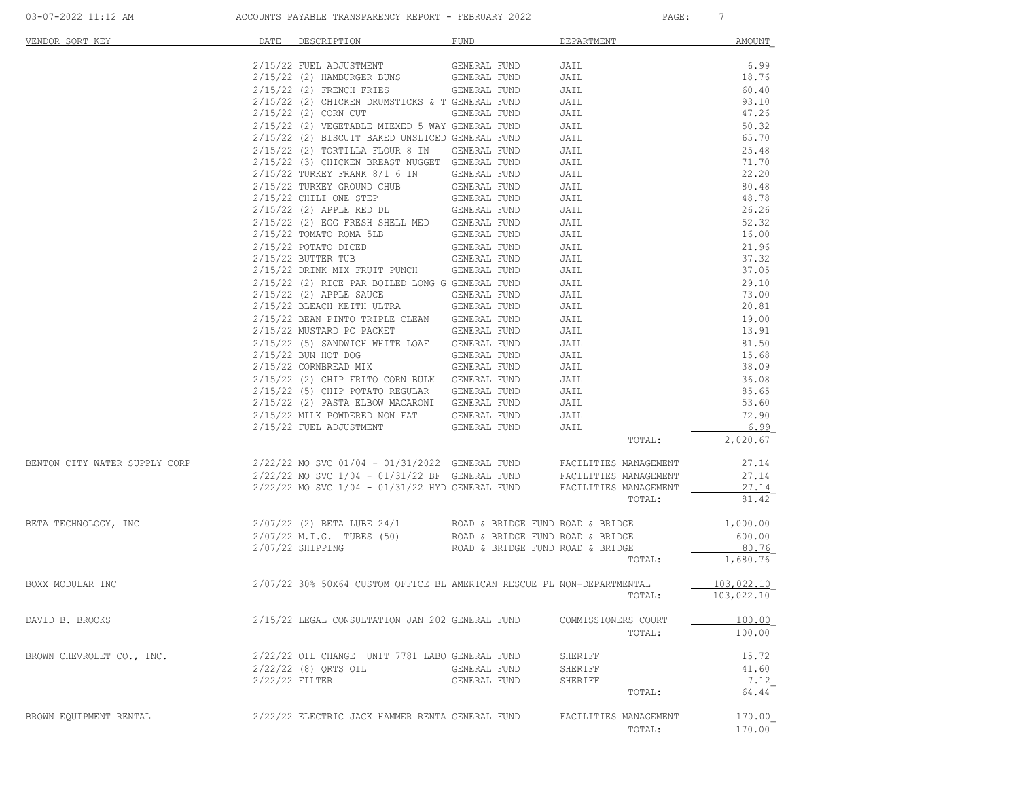| VENDOR SORT KEY               |                | DATE DESCRIPTION                                                                                                                               | <b>FUND</b>                      | DEPARTMENT            | AMOUNT         |
|-------------------------------|----------------|------------------------------------------------------------------------------------------------------------------------------------------------|----------------------------------|-----------------------|----------------|
|                               |                | 2/15/22 FUEL ADJUSTMENT                                                                                                                        | GENERAL FUND                     | JAIL                  | 6.99           |
|                               |                | 2/15/22 (2) HAMBURGER BUNS                                                                                                                     | GENERAL FUND                     | JAIL                  | 18.76          |
|                               |                | 2/15/22 (2) FRENCH FRIES                                                                                                                       | GENERAL FUND                     | JAIL                  | 60.40          |
|                               |                | 2/15/22 (2) CHICKEN DRUMSTICKS & T GENERAL FUND                                                                                                |                                  | JAIL                  | 93.10          |
|                               |                | 2/15/22 (2) CORN CUT                                                                                                                           | GENERAL FUND                     | JAIL                  | 47.26          |
|                               |                | 2/15/22 (2) VEGETABLE MIEXED 5 WAY GENERAL FUND                                                                                                |                                  | JAIL                  | 50.32          |
|                               |                | 2/15/22 (2) BISCUIT BAKED UNSLICED GENERAL FUND                                                                                                |                                  | JAIL                  | 65.70          |
|                               |                | 2/15/22 (2) TORTILLA FLOUR 8 IN GENERAL FUND                                                                                                   |                                  | JAIL                  | 25.48          |
|                               |                | 2/15/22 (3) CHICKEN BREAST NUGGET GENERAL FUND                                                                                                 |                                  | JAIL                  | 71.70          |
|                               |                | 2/15/22 TURKEY FRANK 8/1 6 IN                                                                                                                  | GENERAL FUND                     | JAIL                  | 22.20          |
|                               |                | 2/15/22 TURKEY GROUND CHUB                                                                                                                     | GENERAL FUND                     | JAIL                  | 80.48          |
|                               |                | 2/15/22 CHILI ONE STEP                                                                                                                         | GENERAL FUND                     | JAIL                  | 48.78          |
|                               |                | 2/15/22 (2) APPLE RED DL GENERAL FUND                                                                                                          |                                  | JAIL                  | 26.26          |
|                               |                | 2/15/22 (2) EGG FRESH SHELL MED GENERAL FUND                                                                                                   |                                  | JAIL                  | 52.32          |
|                               |                | $2/15/22$ TOMATO ROMA 5LB                                                                                                                      | GENERAL FUND                     | JAIL                  | 16.00          |
|                               |                | 2/15/22 POTATO DICED                                                                                                                           | GENERAL FUND                     | JAIL                  | 21.96          |
|                               |                | 2/15/22 BUTTER TUB                                                                                                                             | GENERAL FUND                     | JAIL                  | 37.32          |
|                               |                | 2/15/22 DRINK MIX FRUIT PUNCH GENERAL FUND                                                                                                     |                                  | JAIL                  | 37.05          |
|                               |                | 2/15/22 (2) RICE PAR BOILED LONG G GENERAL FUND                                                                                                | GENERAL FUND                     | JAIL                  | 29.10          |
|                               |                | 2/15/22 (2) APPLE SAUCE<br>2/15/22 BLEACH KEITH ULTRA                                                                                          | GENERAL FUND                     | JAIL<br>JAIL          | 73.00<br>20.81 |
|                               |                | 2/15/22 BEAN PINTO TRIPLE CLEAN GENERAL FUND                                                                                                   |                                  | JAIL                  | 19.00          |
|                               |                | 2/15/22 MUSTARD PC PACKET                                                                                                                      | GENERAL FUND                     | JAIL                  | 13.91          |
|                               |                | 2/15/22 (5) SANDWICH WHITE LOAF GENERAL FUND                                                                                                   |                                  | JAIL                  | 81.50          |
|                               |                | 2/15/22 BUN HOT DOG                                                                                                                            | GENERAL FUND                     | JAIL                  | 15.68          |
|                               |                | 2/15/22 CORNBREAD MIX                                                                                                                          | GENERAL FUND                     | JAIL                  | 38.09          |
|                               |                | 2/15/22 (2) CHIP FRITO CORN BULK GENERAL FUND                                                                                                  |                                  | JAIL                  | 36.08          |
|                               |                | 2/15/22 (5) CHIP POTATO REGULAR GENERAL FUND                                                                                                   |                                  | JAIL                  | 85.65          |
|                               |                | 2/15/22 (2) PASTA ELBOW MACARONI GENERAL FUND                                                                                                  |                                  | JAIL                  | 53.60          |
|                               |                | 2/15/22 MILK POWDERED NON FAT GENERAL FUND                                                                                                     |                                  | JAIL                  | 72.90          |
|                               |                | 2/15/22 FUEL ADJUSTMENT                                                                                                                        | GENERAL FUND                     | JAIL                  | 6.99           |
|                               |                |                                                                                                                                                |                                  | TOTAL:                | 2,020.67       |
| BENTON CITY WATER SUPPLY CORP |                |                                                                                                                                                |                                  |                       | 27.14          |
|                               |                | $2/22/22$ MO SVC 01/04 - 01/31/2022 GENERAL FUND FACILITIES MANAGEMENT<br>2/22/22 MO SVC 1/04 - 01/31/22 BF GENERAL FUND FACILITIES MANAGEMENT |                                  |                       | 27.14          |
|                               |                | $2/22/22$ MO SVC $1/04$ - $01/31/22$ HYD GENERAL FUND FACILITIES MANAGEMENT                                                                    |                                  |                       | 27.14          |
|                               |                |                                                                                                                                                |                                  | TOTAL:                | 81.42          |
| BETA TECHNOLOGY, INC          |                | 2/07/22 (2) BETA LUBE 24/1                                                                                                                     | ROAD & BRIDGE FUND ROAD & BRIDGE |                       | 1,000.00       |
|                               |                | 2/07/22 M.I.G. TUBES (50)                                                                                                                      | ROAD & BRIDGE FUND ROAD & BRIDGE |                       | 600.00         |
|                               |                | 2/07/22 SHIPPING                                                                                                                               | ROAD & BRIDGE FUND ROAD & BRIDGE |                       | 80.76          |
|                               |                |                                                                                                                                                |                                  | TOTAL:                | 1,680.76       |
| BOXX MODULAR INC              |                | 2/07/22 30% 50X64 CUSTOM OFFICE BL AMERICAN RESCUE PL NON-DEPARTMENTAL                                                                         |                                  |                       | 103,022.10     |
|                               |                |                                                                                                                                                |                                  | TOTAL:                | 103,022.10     |
|                               |                |                                                                                                                                                |                                  |                       |                |
| DAVID B. BROOKS               |                | 2/15/22 LEGAL CONSULTATION JAN 202 GENERAL FUND                                                                                                |                                  | COMMISSIONERS COURT   | 100.00         |
|                               |                |                                                                                                                                                |                                  | TOTAL:                | 100.00         |
| BROWN CHEVROLET CO., INC.     |                | 2/22/22 OIL CHANGE UNIT 7781 LABO GENERAL FUND                                                                                                 |                                  | SHERIFF               | 15.72          |
|                               |                | 2/22/22 (8) ORTS OIL                                                                                                                           | GENERAL FUND                     | SHERIFF               | 41.60          |
|                               | 2/22/22 FILTER |                                                                                                                                                | GENERAL FUND                     | SHERIFF               | 7.12           |
|                               |                |                                                                                                                                                |                                  | TOTAL:                | 64.44          |
| BROWN EQUIPMENT RENTAL        |                | 2/22/22 ELECTRIC JACK HAMMER RENTA GENERAL FUND                                                                                                |                                  | FACILITIES MANAGEMENT | 170.00         |
|                               |                |                                                                                                                                                |                                  | TOTAL:                | 170.00         |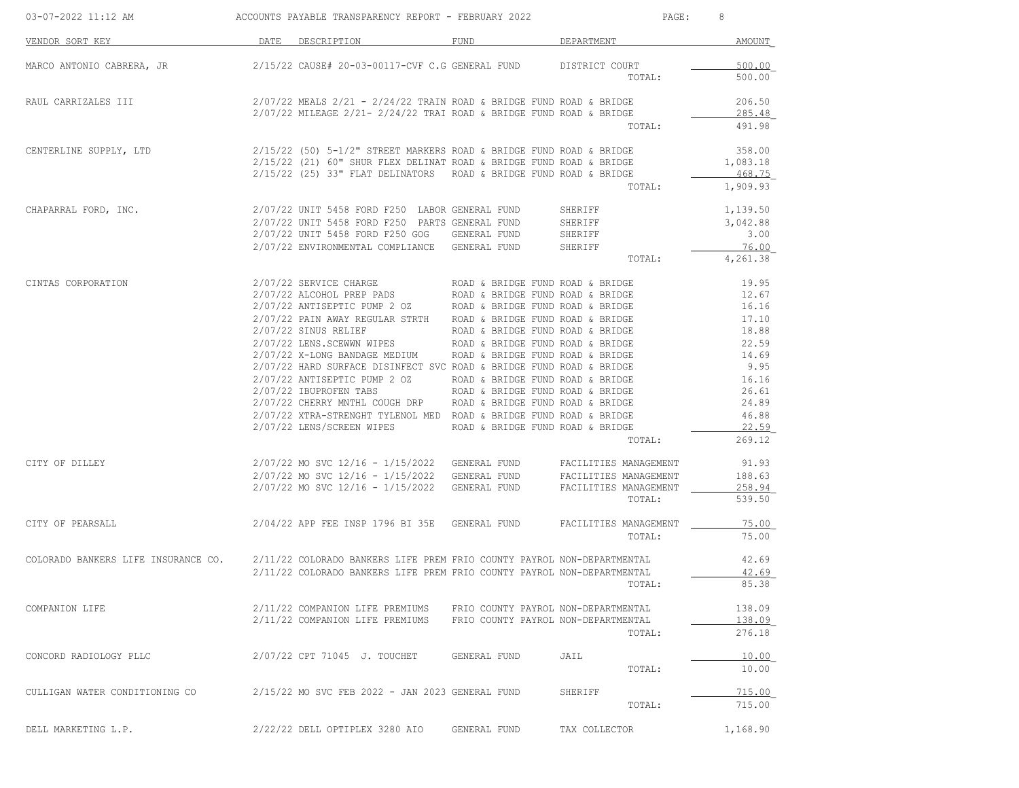| 03-07-2022 11:12 AM                                                                                        | ACCOUNTS PAYABLE TRANSPARENCY REPORT - FEBRUARY 2022                                                                                                                                                                                                                                                                                                                                                                                                                                                                                                                                                                                                                                                                                                                                                                                    |                                                                            | PAGE:                                   | 8                                                                                                                          |
|------------------------------------------------------------------------------------------------------------|-----------------------------------------------------------------------------------------------------------------------------------------------------------------------------------------------------------------------------------------------------------------------------------------------------------------------------------------------------------------------------------------------------------------------------------------------------------------------------------------------------------------------------------------------------------------------------------------------------------------------------------------------------------------------------------------------------------------------------------------------------------------------------------------------------------------------------------------|----------------------------------------------------------------------------|-----------------------------------------|----------------------------------------------------------------------------------------------------------------------------|
| VENDOR SORT KEY                                                                                            | DATE DESCRIPTION DATE                                                                                                                                                                                                                                                                                                                                                                                                                                                                                                                                                                                                                                                                                                                                                                                                                   | FUND DEPARTMENT                                                            |                                         | AMOUNT                                                                                                                     |
| MARCO ANTONIO CABRERA, JR                                                                                  | 2/15/22 CAUSE# 20-03-00117-CVF C.G GENERAL FUND DISTRICT COURT                                                                                                                                                                                                                                                                                                                                                                                                                                                                                                                                                                                                                                                                                                                                                                          |                                                                            | TOTAL:                                  | 500.00<br>500.00                                                                                                           |
| RAUL CARRIZALES III                                                                                        | $2/07/22$ MEALS $2/21$ - $2/24/22$ TRAIN ROAD & BRIDGE FUND ROAD & BRIDGE<br>$2/07/22$ MILEAGE $2/21 - 2/24/22$ TRAI ROAD & BRIDGE FUND ROAD & BRIDGE                                                                                                                                                                                                                                                                                                                                                                                                                                                                                                                                                                                                                                                                                   |                                                                            | TOTAL:                                  | 206.50<br>285.48<br>491.98                                                                                                 |
| CENTERLINE SUPPLY, LTD                                                                                     | $2/15/22$ (50) 5-1/2" STREET MARKERS ROAD & BRIDGE FUND ROAD & BRIDGE<br>$2/15/22$ (21) 60" SHUR FLEX DELINAT ROAD & BRIDGE FUND ROAD & BRIDGE<br>2/15/22 (25) 33" FLAT DELINATORS ROAD & BRIDGE FUND ROAD & BRIDGE                                                                                                                                                                                                                                                                                                                                                                                                                                                                                                                                                                                                                     |                                                                            | TOTAL:                                  | 358.00<br>1,083.18<br>468.75<br>1,909.93                                                                                   |
| CHAPARRAL FORD, INC.                                                                                       | 2/07/22 UNIT 5458 FORD F250 LABOR GENERAL FUND SHERIFF<br>2/07/22 UNIT 5458 FORD F250 PARTS GENERAL FUND<br>2/07/22 UNIT 5458 FORD F250 GOG GENERAL FUND<br>2/07/22 ENVIRONMENTAL COMPLIANCE GENERAL FUND                                                                                                                                                                                                                                                                                                                                                                                                                                                                                                                                                                                                                               |                                                                            | SHERIFF<br>SHERIFF<br>SHERIFF<br>TOTAL: | 1,139.50<br>3,042.88<br>3.00<br>76.00<br>4,261.38                                                                          |
| CINTAS CORPORATION                                                                                         | 2/07/22 SERVICE CHARGE THE ROAD & BRIDGE FUND ROAD & BRIDGE<br>2/07/22 ALCOHOL PREP PADS<br>2/07/22 ALCOHOL PREP PADS<br>2/07/22 ANTISEPTIC PUMP 2 OZ ROAD & BRIDGE FUND ROAD & BRIDGE<br>2/07/22 PAIN AWAY REGULAR STRTH ROAD & BRIDGE FUND ROAD & BRIDGE<br>$2/07/22$ SINUS RELIEF<br>$2/07/22$ LENS.SCEWWN WIPES<br>ROAD & BRIDGE FUND ROAD & BRIDGE<br>2/07/22 X-LONG BANDAGE MEDIUM ROAD & BRIDGE FUND ROAD & BRIDGE<br>2/07/22 HARD SURFACE DISINFECT SVC ROAD & BRIDGE FUND ROAD & BRIDGE<br>$2/07/22$ ANTISEPTIC PUMP 2 OZ ROAD & BRIDGE FUND ROAD & BRIDGE<br>$2/07/22$ IBUPROFEN TABS ROAD & BRIDGE FUND ROAD & BRIDGE<br>2/07/22 CHERRY MNTHL COUGH DRP ROAD & BRIDGE FUND ROAD & BRIDGE<br>2/07/22 XTRA-STRENGHT TYLENOL MED ROAD & BRIDGE FUND ROAD & BRIDGE<br>2/07/22 LENS/SCREEN WIPES ROAD & BRIDGE FUND ROAD & BRIDGE |                                                                            | TOTAL:                                  | 19.95<br>12.67<br>16.16<br>17.10<br>18.88<br>22.59<br>14.69<br>9.95<br>16.16<br>26.61<br>24.89<br>46.88<br>22.59<br>269.12 |
| CITY OF DILLEY                                                                                             | $2/07/22$ MO SVC $12/16 - 1/15/2022$ GENERAL FUND FACILITIES MANAGEMENT<br>2/07/22 MO SVC 12/16 - 1/15/2022 GENERAL FUND<br>$2/07/22$ MO SVC $12/16 - 1/15/2022$ GENERAL FUND FACILITIES MANAGEMENT                                                                                                                                                                                                                                                                                                                                                                                                                                                                                                                                                                                                                                     |                                                                            | FACILITIES MANAGEMENT<br>TOTAL:         | 91.93<br>188.63<br>258.94<br>539.50                                                                                        |
| CITY OF PEARSALL                                                                                           | 2/04/22 APP FEE INSP 1796 BI 35E GENERAL FUND FACILITIES MANAGEMENT                                                                                                                                                                                                                                                                                                                                                                                                                                                                                                                                                                                                                                                                                                                                                                     |                                                                            | TOTAL:                                  | 75.00<br>75.00                                                                                                             |
| COLORADO BANKERS LIFE INSURANCE CO. 2/11/22 COLORADO BANKERS LIFE PREM FRIO COUNTY PAYROL NON-DEPARTMENTAL | 2/11/22 COLORADO BANKERS LIFE PREM FRIO COUNTY PAYROL NON-DEPARTMENTAL                                                                                                                                                                                                                                                                                                                                                                                                                                                                                                                                                                                                                                                                                                                                                                  |                                                                            | TOTAL:                                  | 42.69<br>42.69<br>85.38                                                                                                    |
| COMPANION LIFE                                                                                             | 2/11/22 COMPANION LIFE PREMIUMS<br>2/11/22 COMPANION LIFE PREMIUMS                                                                                                                                                                                                                                                                                                                                                                                                                                                                                                                                                                                                                                                                                                                                                                      | FRIO COUNTY PAYROL NON-DEPARTMENTAL<br>FRIO COUNTY PAYROL NON-DEPARTMENTAL | TOTAL:                                  | 138.09<br>138.09<br>276.18                                                                                                 |
| CONCORD RADIOLOGY PLLC                                                                                     | 2/07/22 CPT 71045 J. TOUCHET                                                                                                                                                                                                                                                                                                                                                                                                                                                                                                                                                                                                                                                                                                                                                                                                            | GENERAL FUND                                                               | JAIL<br>TOTAL:                          | 10.00<br>10.00                                                                                                             |
| CULLIGAN WATER CONDITIONING CO                                                                             | 2/15/22 MO SVC FEB 2022 - JAN 2023 GENERAL FUND                                                                                                                                                                                                                                                                                                                                                                                                                                                                                                                                                                                                                                                                                                                                                                                         |                                                                            | SHERIFF<br>TOTAL:                       | 715.00<br>715.00                                                                                                           |
| DELL MARKETING L.P.                                                                                        | 2/22/22 DELL OPTIPLEX 3280 AIO                                                                                                                                                                                                                                                                                                                                                                                                                                                                                                                                                                                                                                                                                                                                                                                                          | GENERAL FUND                                                               | TAX COLLECTOR                           | 1,168.90                                                                                                                   |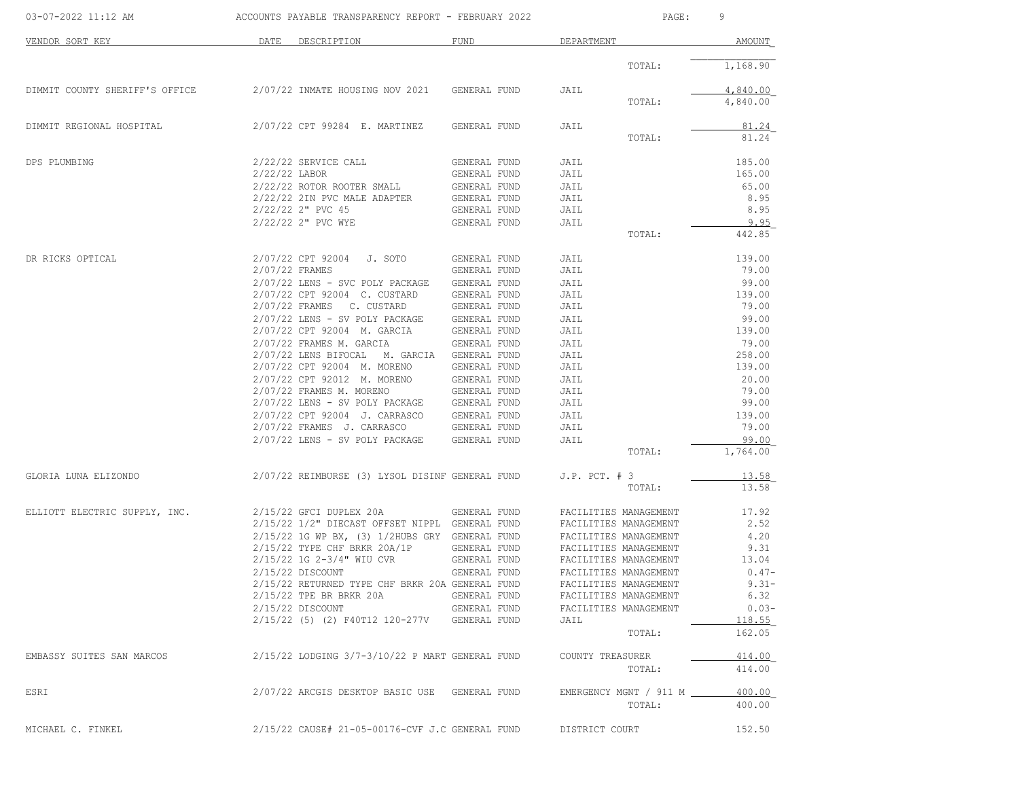| 03-07-2022 11:12 AM            | ACCOUNTS PAYABLE TRANSPARENCY REPORT - FEBRUARY 2022 |              | PAGE:                       | 9                 |
|--------------------------------|------------------------------------------------------|--------------|-----------------------------|-------------------|
| VENDOR SORT KEY                | DATE<br>DESCRIPTION                                  | <b>FUND</b>  | DEPARTMENT                  | AMOUNT            |
|                                |                                                      |              | TOTAL:                      | 1,168.90          |
| DIMMIT COUNTY SHERIFF'S OFFICE | 2/07/22 INMATE HOUSING NOV 2021                      | GENERAL FUND | JAIL                        | 4,840.00          |
|                                |                                                      |              | TOTAL:                      | 4,840.00          |
| DIMMIT REGIONAL HOSPITAL       | 2/07/22 CPT 99284 E. MARTINEZ                        | GENERAL FUND | JAIL                        | 81.24             |
|                                |                                                      |              | TOTAL:                      | 81.24             |
| DPS PLUMBING                   | 2/22/22 SERVICE CALL                                 | GENERAL FUND | JAIL                        | 185.00            |
|                                | 2/22/22 LABOR                                        | GENERAL FUND | JAIL                        | 165.00            |
|                                | 2/22/22 ROTOR ROOTER SMALL                           | GENERAL FUND | JAIL                        | 65.00             |
|                                | 2/22/22 2IN PVC MALE ADAPTER                         | GENERAL FUND | JAIL                        | 8.95              |
|                                | $2/22/22$ 2" PVC 45                                  | GENERAL FUND | JAIL                        | 8.95              |
|                                | 2/22/22 2" PVC WYE                                   | GENERAL FUND | JAIL                        | 9.95              |
|                                |                                                      |              | TOTAL:                      | 442.85            |
| DR RICKS OPTICAL               | 2/07/22 CPT 92004<br>J. SOTO                         | GENERAL FUND | JAIL                        | 139.00            |
|                                | 2/07/22 FRAMES                                       | GENERAL FUND | JAIL                        | 79.00             |
|                                | 2/07/22 LENS - SVC POLY PACKAGE                      | GENERAL FUND | JAIL                        | 99.00             |
|                                | 2/07/22 CPT 92004 C. CUSTARD                         | GENERAL FUND | JAIL                        | 139.00            |
|                                | 2/07/22 FRAMES C. CUSTARD                            | GENERAL FUND | JAIL                        | 79.00             |
|                                | 2/07/22 LENS - SV POLY PACKAGE                       | GENERAL FUND | JAIL                        | 99.00             |
|                                | 2/07/22 CPT 92004 M. GARCIA                          | GENERAL FUND | JAIL                        | 139.00            |
|                                | 2/07/22 FRAMES M. GARCIA                             | GENERAL FUND | JAIL                        | 79.00             |
|                                | 2/07/22 LENS BIFOCAL M. GARCIA                       | GENERAL FUND | JAIL                        | 258.00            |
|                                | 2/07/22 CPT 92004 M. MORENO                          | GENERAL FUND | JAIL                        | 139.00            |
|                                | 2/07/22 CPT 92012 M. MORENO                          | GENERAL FUND | JAIL                        | 20.00             |
|                                | 2/07/22 FRAMES M. MORENO                             | GENERAL FUND | JAIL                        | 79.00             |
|                                | 2/07/22 LENS - SV POLY PACKAGE                       | GENERAL FUND | JAIL                        | 99.00             |
|                                | 2/07/22 CPT 92004 J. CARRASCO                        | GENERAL FUND | JAIL                        | 139.00            |
|                                | 2/07/22 FRAMES J. CARRASCO                           | GENERAL FUND | JAIL                        | 79.00             |
|                                | 2/07/22 LENS - SV POLY PACKAGE                       | GENERAL FUND | JAIL<br>TOTAL:              | 99.00<br>1,764.00 |
|                                |                                                      |              |                             |                   |
| GLORIA LUNA ELIZONDO           | 2/07/22 REIMBURSE (3) LYSOL DISINF GENERAL FUND      |              | $J.P.$ PCT. $# 3$<br>TOTAL: | 13.58<br>13.58    |
| ELLIOTT ELECTRIC SUPPLY, INC.  | 2/15/22 GFCI DUPLEX 20A                              | GENERAL FUND | FACILITIES MANAGEMENT       | 17.92             |
|                                | 2/15/22 1/2" DIECAST OFFSET NIPPL GENERAL FUND       |              | FACILITIES MANAGEMENT       | 2.52              |
|                                | 2/15/22 1G WP BX, (3) 1/2HUBS GRY GENERAL FUND       |              | FACILITIES MANAGEMENT       | 4.20              |
|                                | $2/15/22$ TYPE CHF BRKR $20A/1P$                     | GENERAL FUND | FACILITIES MANAGEMENT       | 9.31              |
|                                | 2/15/22 1G 2-3/4" WIU CVR                            | GENERAL FUND | FACILITIES MANAGEMENT       | 13.04             |
|                                | 2/15/22 DISCOUNT                                     | GENERAL FUND | FACILITIES MANAGEMENT       | $0.47-$           |
|                                | 2/15/22 RETURNED TYPE CHF BRKR 20A GENERAL FUND      |              | FACILITIES MANAGEMENT       | $9.31 -$          |
|                                | 2/15/22 TPE BR BRKR 20A                              | GENERAL FUND | FACILITIES MANAGEMENT       | 6.32              |
|                                | 2/15/22 DISCOUNT                                     | GENERAL FUND | FACILITIES MANAGEMENT       | $0.03-$           |
|                                | 2/15/22 (5) (2) F40T12 120-277V                      | GENERAL FUND | JAIL                        | 118.55            |
|                                |                                                      |              | TOTAL:                      | 162.05            |
| EMBASSY SUITES SAN MARCOS      | 2/15/22 LODGING 3/7-3/10/22 P MART GENERAL FUND      |              | COUNTY TREASURER            | 414.00            |
|                                |                                                      |              | TOTAL:                      | 414.00            |
| ESRI                           | 2/07/22 ARCGIS DESKTOP BASIC USE GENERAL FUND        |              | EMERGENCY MGNT / 911 M __   | 400.00            |
|                                |                                                      |              | TOTAL:                      | 400.00            |
| MICHAEL C. FINKEL              | 2/15/22 CAUSE# 21-05-00176-CVF J.C GENERAL FUND      |              | DISTRICT COURT              | 152.50            |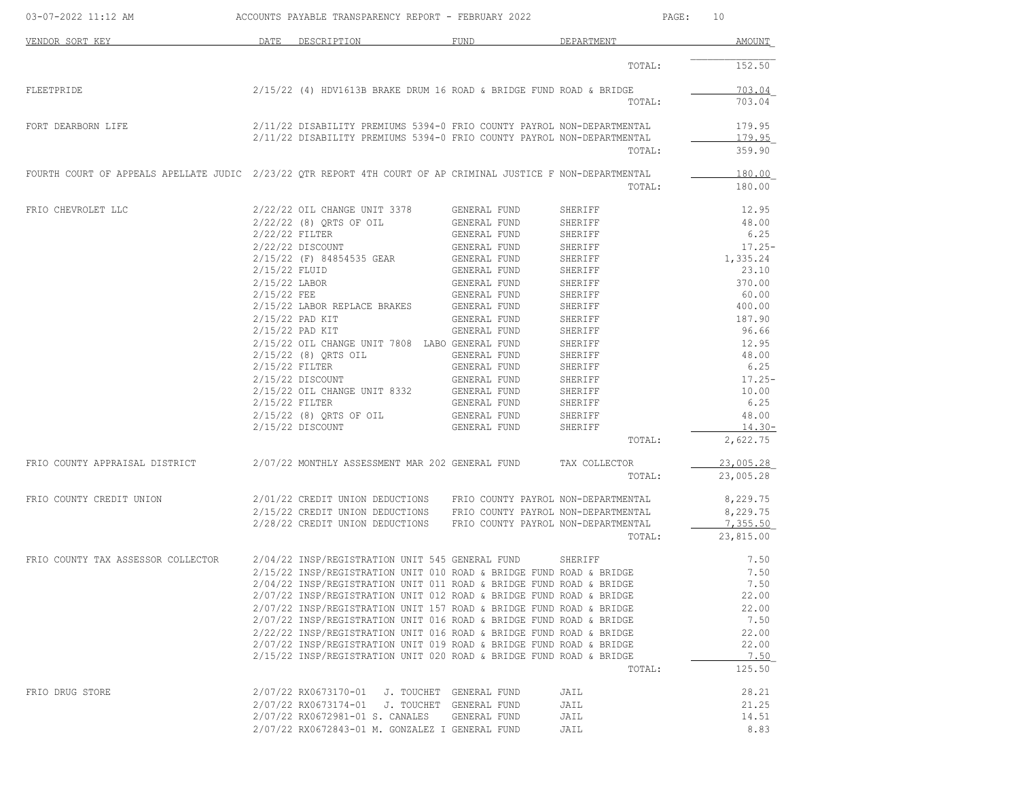| 03-07-2022 11:12 AM                                                                                           | ACCOUNTS PAYABLE TRANSPARENCY REPORT - FEBRUARY 2022                   |              | PAGE:         | 10             |
|---------------------------------------------------------------------------------------------------------------|------------------------------------------------------------------------|--------------|---------------|----------------|
| VENDOR SORT KEY                                                                                               | DATE DESCRIPTION                                                       | FUND         | DEPARTMENT    | AMOUNT         |
|                                                                                                               |                                                                        |              | TOTAL:        | 152.50         |
| FLEETPRIDE                                                                                                    | $2/15/22$ (4) HDV1613B BRAKE DRUM 16 ROAD & BRIDGE FUND ROAD & BRIDGE  |              |               | 703.04         |
|                                                                                                               |                                                                        |              | TOTAL:        | 703.04         |
| FORT DEARBORN LIFE                                                                                            | 2/11/22 DISABILITY PREMIUMS 5394-0 FRIO COUNTY PAYROL NON-DEPARTMENTAL |              |               | 179.95         |
|                                                                                                               | 2/11/22 DISABILITY PREMIUMS 5394-0 FRIO COUNTY PAYROL NON-DEPARTMENTAL |              |               | 179.95         |
|                                                                                                               |                                                                        |              | TOTAL:        | 359.90         |
| FOURTH COURT OF APPEALS APELLATE JUDIC 2/23/22 QTR REPORT 4TH COURT OF AP CRIMINAL JUSTICE F NON-DEPARTMENTAL |                                                                        |              |               | 180.00         |
|                                                                                                               |                                                                        |              | TOTAL:        | 180.00         |
| FRIO CHEVROLET LLC                                                                                            | 2/22/22 OIL CHANGE UNIT 3378                                           | GENERAL FUND | SHERIFF       | 12.95          |
|                                                                                                               | $2/22/22$ (8) QRTS OF OIL                                              | GENERAL FUND | SHERIFF       | 48.00          |
|                                                                                                               | 2/22/22 FILTER                                                         | GENERAL FUND | SHERIFF       | 6.25           |
|                                                                                                               | 2/22/22 DISCOUNT                                                       | GENERAL FUND | SHERIFF       | $17.25-$       |
|                                                                                                               | 2/15/22 (F) 84854535 GEAR                                              | GENERAL FUND | SHERIFF       | 1,335.24       |
|                                                                                                               | 2/15/22 FLUID                                                          | GENERAL FUND | SHERIFF       | 23.10          |
|                                                                                                               | 2/15/22 LABOR                                                          | GENERAL FUND | SHERIFF       | 370.00         |
|                                                                                                               | $2/15/22$ FEE                                                          | GENERAL FUND | SHERIFF       | 60.00          |
|                                                                                                               | 2/15/22 LABOR REPLACE BRAKES GENERAL FUND                              |              | SHERIFF       | 400.00         |
|                                                                                                               | $2/15/22$ PAD KIT                                                      | GENERAL FUND | SHERIFF       | 187.90         |
|                                                                                                               | 2/15/22 PAD KIT                                                        | GENERAL FUND | SHERIFF       | 96.66          |
|                                                                                                               |                                                                        |              |               |                |
|                                                                                                               | 2/15/22 OIL CHANGE UNIT 7808 LABO GENERAL FUND                         |              | SHERIFF       | 12.95          |
|                                                                                                               | 2/15/22 (8) QRTS OIL                                                   | GENERAL FUND | SHERIFF       | 48.00          |
|                                                                                                               | 2/15/22 FILTER                                                         | GENERAL FUND | SHERIFF       | 6.25           |
|                                                                                                               | $2/15/22$ DISCOUNT                                                     | GENERAL FUND | SHERIFF       | $17.25-$       |
|                                                                                                               | 2/15/22 OIL CHANGE UNIT 8332 GENERAL FUND                              |              | SHERIFF       | 10.00          |
|                                                                                                               | 2/15/22 FILTER                                                         | GENERAL FUND | SHERIFF       | 6.25           |
|                                                                                                               | 2/15/22 (8) QRTS OF OIL                                                | GENERAL FUND | SHERIFF       | 48.00          |
|                                                                                                               | $2/15/22$ DISCOUNT                                                     | GENERAL FUND | SHERIFF       | $14.30-$       |
|                                                                                                               |                                                                        |              | TOTAL:        | 2,622.75       |
|                                                                                                               |                                                                        |              | TAX COLLECTOR | 23,005.28      |
|                                                                                                               |                                                                        |              | TOTAL:        | 23,005.28      |
| FRIO COUNTY CREDIT UNION                                                                                      | 2/01/22 CREDIT UNION DEDUCTIONS FRIO COUNTY PAYROL NON-DEPARTMENTAL    |              |               | 8,229.75       |
|                                                                                                               | 2/15/22 CREDIT UNION DEDUCTIONS FRIO COUNTY PAYROL NON-DEPARTMENTAL    |              |               | 8,229.75       |
|                                                                                                               | 2/28/22 CREDIT UNION DEDUCTIONS FRIO COUNTY PAYROL NON-DEPARTMENTAL    |              |               | 7,355.50       |
|                                                                                                               |                                                                        |              | TOTAL:        | 23,815.00      |
| FRIO COUNTY TAX ASSESSOR COLLECTOR                                                                            | 2/04/22 INSP/REGISTRATION UNIT 545 GENERAL FUND                        |              | SHERIFF       | 7.50           |
|                                                                                                               | 2/15/22 INSP/REGISTRATION UNIT 010 ROAD & BRIDGE FUND ROAD & BRIDGE    |              |               | 7.50           |
|                                                                                                               | 2/04/22 INSP/REGISTRATION UNIT 011 ROAD & BRIDGE FUND ROAD & BRIDGE    |              |               | 7.50           |
|                                                                                                               | 2/07/22 INSP/REGISTRATION UNIT 012 ROAD & BRIDGE FUND ROAD & BRIDGE    |              |               | 22.00          |
|                                                                                                               |                                                                        |              |               | 22.00          |
|                                                                                                               | 2/07/22 INSP/REGISTRATION UNIT 157 ROAD & BRIDGE FUND ROAD & BRIDGE    |              |               |                |
|                                                                                                               | 2/07/22 INSP/REGISTRATION UNIT 016 ROAD & BRIDGE FUND ROAD & BRIDGE    |              |               | 7.50           |
|                                                                                                               | 2/22/22 INSP/REGISTRATION UNIT 016 ROAD & BRIDGE FUND ROAD & BRIDGE    |              |               | 22.00          |
|                                                                                                               | 2/07/22 INSP/REGISTRATION UNIT 019 ROAD & BRIDGE FUND ROAD & BRIDGE    |              |               | 22.00          |
|                                                                                                               | 2/15/22 INSP/REGISTRATION UNIT 020 ROAD & BRIDGE FUND ROAD & BRIDGE    |              |               | 7.50<br>125.50 |
|                                                                                                               |                                                                        |              | TOTAL:        |                |
| FRIO DRUG STORE                                                                                               | 2/07/22 RX0673170-01 J. TOUCHET GENERAL FUND                           |              | JAIL          | 28.21          |
|                                                                                                               | 2/07/22 RX0673174-01 J. TOUCHET GENERAL FUND                           |              | JAIL          | 21.25          |
|                                                                                                               | 2/07/22 RX0672981-01 S. CANALES                                        | GENERAL FUND | JAIL          | 14.51          |
|                                                                                                               | 2/07/22 RX0672843-01 M. GONZALEZ I GENERAL FUND                        |              | JAIL          | 8.83           |
|                                                                                                               |                                                                        |              |               |                |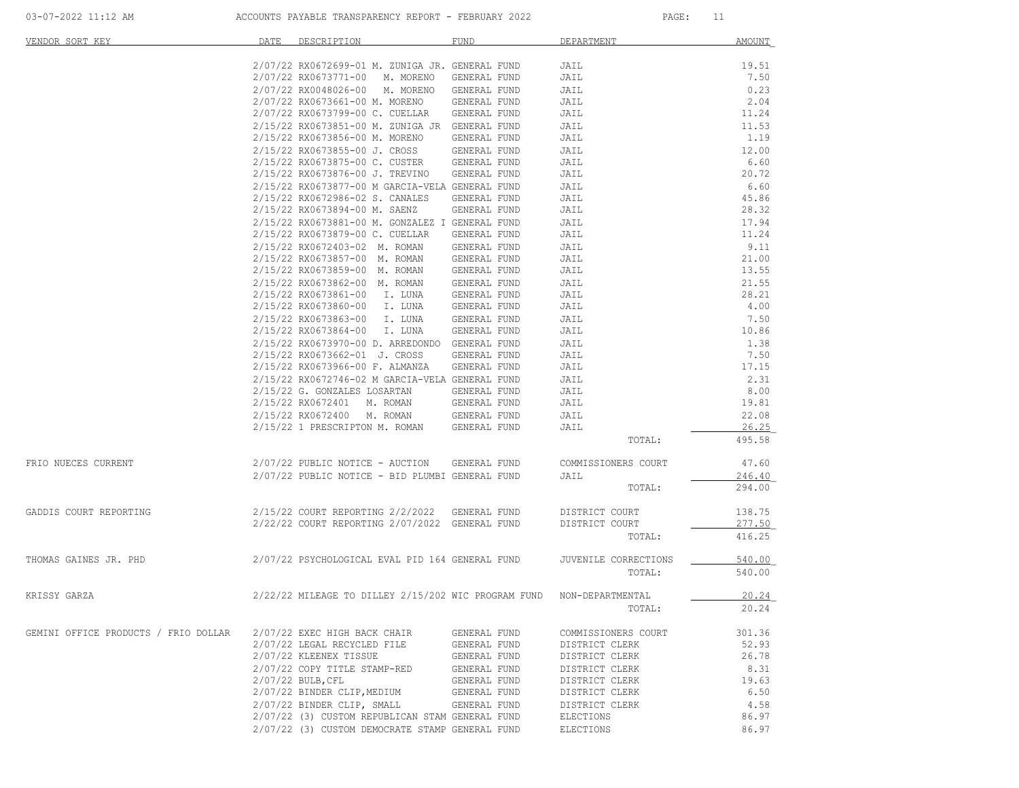| VENDOR SORT KEY                      | DATE | DESCRIPTION                                         | <b>FUND</b>  | DEPARTMENT           | <b>AMOUNT</b> |
|--------------------------------------|------|-----------------------------------------------------|--------------|----------------------|---------------|
|                                      |      | 2/07/22 RX0672699-01 M. ZUNIGA JR. GENERAL FUND     |              | JAIL                 | 19.51         |
|                                      |      | 2/07/22 RX0673771-00<br>M. MORENO                   | GENERAL FUND | JAIL                 | 7.50          |
|                                      |      | 2/07/22 RX0048026-00<br>M. MORENO                   | GENERAL FUND | JAIL                 | 0.23          |
|                                      |      | 2/07/22 RX0673661-00 M. MORENO                      | GENERAL FUND | JAIL                 | 2.04          |
|                                      |      | 2/07/22 RX0673799-00 C. CUELLAR                     | GENERAL FUND | JAIL                 | 11.24         |
|                                      |      | 2/15/22 RX0673851-00 M. ZUNIGA JR GENERAL FUND      |              | JAIL                 | 11.53         |
|                                      |      | 2/15/22 RX0673856-00 M. MORENO                      | GENERAL FUND | JAIL                 | 1.19          |
|                                      |      |                                                     |              |                      |               |
|                                      |      | 2/15/22 RX0673855-00 J. CROSS                       | GENERAL FUND | JAIL                 | 12.00         |
|                                      |      | 2/15/22 RX0673875-00 C. CUSTER                      | GENERAL FUND | JAIL                 | 6.60<br>20.72 |
|                                      |      | 2/15/22 RX0673876-00 J. TREVINO                     | GENERAL FUND | JAIL                 |               |
|                                      |      | 2/15/22 RX0673877-00 M GARCIA-VELA GENERAL FUND     |              | JAIL                 | 6.60          |
|                                      |      | 2/15/22 RX0672986-02 S. CANALES                     | GENERAL FUND | JAIL                 | 45.86         |
|                                      |      | 2/15/22 RX0673894-00 M. SAENZ                       | GENERAL FUND | JAIL                 | 28.32         |
|                                      |      | 2/15/22 RX0673881-00 M. GONZALEZ I GENERAL FUND     |              | JAIL                 | 17.94         |
|                                      |      | 2/15/22 RX0673879-00 C. CUELLAR                     | GENERAL FUND | JAIL                 | 11.24         |
|                                      |      | 2/15/22 RX0672403-02 M. ROMAN                       | GENERAL FUND | JAIL                 | 9.11          |
|                                      |      | 2/15/22 RX0673857-00 M. ROMAN                       | GENERAL FUND | JAIL                 | 21.00         |
|                                      |      | 2/15/22 RX0673859-00 M. ROMAN                       | GENERAL FUND | JAIL                 | 13.55         |
|                                      |      | 2/15/22 RX0673862-00 M. ROMAN                       | GENERAL FUND | JAIL                 | 21.55         |
|                                      |      | 2/15/22 RX0673861-00 I. LUNA                        | GENERAL FUND | JAIL                 | 28.21         |
|                                      |      | 2/15/22 RX0673860-00 I. LUNA                        | GENERAL FUND | JAIL                 | 4.00          |
|                                      |      | 2/15/22 RX0673863-00 I. LUNA                        | GENERAL FUND | JAIL                 | 7.50          |
|                                      |      | 2/15/22 RX0673864-00 I. LUNA                        | GENERAL FUND | JAIL                 | 10.86         |
|                                      |      | 2/15/22 RX0673970-00 D. ARREDONDO GENERAL FUND      |              | JAIL                 | 1.38          |
|                                      |      | 2/15/22 RX0673662-01 J. CROSS                       | GENERAL FUND | JAIL                 | 7.50          |
|                                      |      | 2/15/22 RX0673966-00 F. ALMANZA                     | GENERAL FUND | JAIL                 | 17.15         |
|                                      |      | 2/15/22 RX0672746-02 M GARCIA-VELA GENERAL FUND     |              | JAIL                 | 2.31          |
|                                      |      | 2/15/22 G. GONZALES LOSARTAN                        | GENERAL FUND | JAIL                 | 8.00          |
|                                      |      | 2/15/22 RX0672401 M. ROMAN                          | GENERAL FUND | JAIL                 | 19.81         |
|                                      |      | 2/15/22 RX0672400 M. ROMAN                          | GENERAL FUND | JAIL                 | 22.08         |
|                                      |      | 2/15/22 1 PRESCRIPTON M. ROMAN                      | GENERAL FUND | JAIL                 | 26.25         |
|                                      |      |                                                     |              | TOTAL:               | 495.58        |
|                                      |      |                                                     |              |                      |               |
| FRIO NUECES CURRENT                  |      | 2/07/22 PUBLIC NOTICE - AUCTION                     | GENERAL FUND | COMMISSIONERS COURT  | 47.60         |
|                                      |      | 2/07/22 PUBLIC NOTICE - BID PLUMBI GENERAL FUND     |              | JAIL                 | 246.40        |
|                                      |      |                                                     |              | TOTAL:               | 294.00        |
|                                      |      |                                                     |              |                      |               |
| GADDIS COURT REPORTING               |      | $2/15/22$ COURT REPORTING $2/2/2022$ GENERAL FUND   |              | DISTRICT COURT       | 138.75        |
|                                      |      | 2/22/22 COURT REPORTING 2/07/2022 GENERAL FUND      |              | DISTRICT COURT       | 277.50        |
|                                      |      |                                                     |              | TOTAL:               | 416.25        |
|                                      |      |                                                     |              |                      |               |
| THOMAS GAINES JR. PHD                |      | 2/07/22 PSYCHOLOGICAL EVAL PID 164 GENERAL FUND     |              | JUVENILE CORRECTIONS | 540.00        |
|                                      |      |                                                     |              | TOTAL:               | 540.00        |
| KRISSY GARZA                         |      | 2/22/22 MILEAGE TO DILLEY 2/15/202 WIC PROGRAM FUND |              | NON-DEPARTMENTAL     | 20.24         |
|                                      |      |                                                     |              | TOTAL:               | 20.24         |
|                                      |      |                                                     |              |                      |               |
| GEMINI OFFICE PRODUCTS / FRIO DOLLAR |      | 2/07/22 EXEC HIGH BACK CHAIR                        | GENERAL FUND | COMMISSIONERS COURT  | 301.36        |
|                                      |      | 2/07/22 LEGAL RECYCLED FILE                         | GENERAL FUND | DISTRICT CLERK       | 52.93         |
|                                      |      | 2/07/22 KLEENEX TISSUE                              | GENERAL FUND | DISTRICT CLERK       | 26.78         |
|                                      |      | 2/07/22 COPY TITLE STAMP-RED                        | GENERAL FUND | DISTRICT CLERK       | 8.31          |
|                                      |      | $2/07/22$ BULB, CFL                                 | GENERAL FUND | DISTRICT CLERK       | 19.63         |
|                                      |      | 2/07/22 BINDER CLIP, MEDIUM                         | GENERAL FUND | DISTRICT CLERK       | 6.50          |
|                                      |      | 2/07/22 BINDER CLIP, SMALL                          | GENERAL FUND | DISTRICT CLERK       | 4.58          |
|                                      |      | 2/07/22 (3) CUSTOM REPUBLICAN STAM GENERAL FUND     |              | ELECTIONS            | 86.97         |
|                                      |      |                                                     |              |                      |               |
|                                      |      | 2/07/22 (3) CUSTOM DEMOCRATE STAMP GENERAL FUND     |              | ELECTIONS            | 86.97         |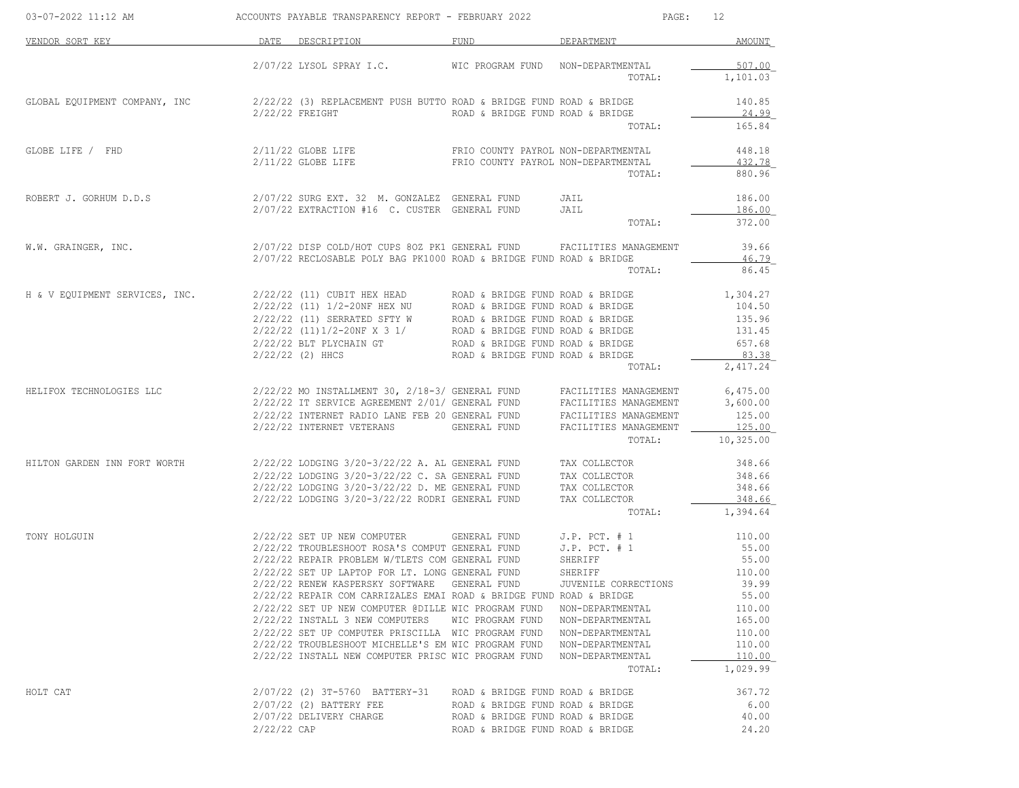| 03-07-2022 11:12 AM            | ACCOUNTS PAYABLE TRANSPARENCY REPORT - FEBRUARY 2022<br>PAGE:<br>12 |                                                                                                                                                |                                     |                                                |                            |
|--------------------------------|---------------------------------------------------------------------|------------------------------------------------------------------------------------------------------------------------------------------------|-------------------------------------|------------------------------------------------|----------------------------|
| VENDOR SORT KEY                |                                                                     | DATE DESCRIPTION                                                                                                                               | FUND                                | DEPARTMENT                                     | AMOUNT                     |
|                                |                                                                     | $2/07/22$ LYSOL SPRAY I.C.                                                                                                                     | WIC PROGRAM FUND NON-DEPARTMENTAL   | TOTAL:                                         | 507.00<br>1,101.03         |
| GLOBAL EQUIPMENT COMPANY, INC  |                                                                     | $2/22/22$ (3) REPLACEMENT PUSH BUTTO ROAD & BRIDGE FUND ROAD & BRIDGE                                                                          |                                     |                                                | 140.85                     |
|                                |                                                                     | $2/22/22$ FREIGHT                                                                                                                              | ROAD & BRIDGE FUND ROAD & BRIDGE    | TOTAL:                                         | 24.99<br>165.84            |
| GLOBE LIFE / FHD               |                                                                     | $2/11/22$ GLOBE LIFE<br>2/11/22 GLOBE LIFE FRIO COUNTY PAYROL NON-DEPARTMENTAL                                                                 | FRIO COUNTY PAYROL NON-DEPARTMENTAL | TOTAL:                                         | 448.18<br>432.78<br>880.96 |
| ROBERT J. GORHUM D.D.S         |                                                                     | 2/07/22 SURG EXT. 32 M. GONZALEZ GENERAL FUND<br>2/07/22 EXTRACTION #16 C. CUSTER GENERAL FUND                                                 |                                     | JAIL<br>JAIL                                   | 186.00<br>186.00           |
|                                |                                                                     |                                                                                                                                                |                                     | TOTAL:                                         | 372.00                     |
| W.W. GRAINGER, INC.            |                                                                     | 2/07/22 DISP COLD/HOT CUPS 80Z PK1 GENERAL FUND FACILITIES MANAGEMENT<br>$2/07/22$ RECLOSABLE POLY BAG PK1000 ROAD & BRIDGE FUND ROAD & BRIDGE |                                     |                                                | 39.66<br>46.79             |
|                                |                                                                     |                                                                                                                                                |                                     | TOTAL:                                         | 86.45                      |
| H & V EQUIPMENT SERVICES, INC. |                                                                     |                                                                                                                                                |                                     |                                                | 1,304.27<br>104.50         |
|                                |                                                                     |                                                                                                                                                |                                     |                                                | 135.96                     |
|                                |                                                                     |                                                                                                                                                |                                     |                                                | 131.45                     |
|                                |                                                                     | 2/22/22 (2) HHCS                                                                                                                               | ROAD & BRIDGE FUND ROAD & BRIDGE    |                                                | 657.68<br>83.38            |
|                                |                                                                     |                                                                                                                                                |                                     | TOTAL:                                         | 2,417.24                   |
| HELIFOX TECHNOLOGIES LLC       |                                                                     | 2/22/22 MO INSTALLMENT 30, 2/18-3/ GENERAL FUND FACILITIES MANAGEMENT                                                                          |                                     |                                                | 6,475.00                   |
|                                |                                                                     | 2/22/22 IT SERVICE AGREEMENT 2/01/ GENERAL FUND<br>2/22/22 INTERNET RADIO LANE FEB 20 GENERAL FUND                                             |                                     | FACILITIES MANAGEMENT<br>FACILITIES MANAGEMENT | 3,600.00<br>125.00         |
|                                |                                                                     | 2/22/22 INTERNET VETERANS                                                                                                                      | GENERAL FUND                        | FACILITIES MANAGEMENT                          | 125.00                     |
|                                |                                                                     |                                                                                                                                                |                                     | TOTAL:                                         | 10,325.00                  |
| HILTON GARDEN INN FORT WORTH   |                                                                     | $2/22/22$ LODGING $3/20-3/22/22$ A. AL GENERAL FUND TAX COLLECTOR                                                                              |                                     |                                                | 348.66                     |
|                                |                                                                     | 2/22/22 LODGING 3/20-3/22/22 C. SA GENERAL FUND                                                                                                |                                     | TAX COLLECTOR                                  | 348.66                     |
|                                |                                                                     | 2/22/22 LODGING 3/20-3/22/22 D. ME GENERAL FUND<br>2/22/22 LODGING 3/20-3/22/22 RODRI GENERAL FUND                                             |                                     | TAX COLLECTOR<br>TAX COLLECTOR                 | 348.66<br>348.66           |
|                                |                                                                     |                                                                                                                                                |                                     | TOTAL:                                         | 1,394.64                   |
| TONY HOLGUIN                   |                                                                     | 2/22/22 SET UP NEW COMPUTER                                                                                                                    | GENERAL FUND                        | $J.P.$ PCT. $# 1$                              | 110.00                     |
|                                |                                                                     | 2/22/22 TROUBLESHOOT ROSA'S COMPUT GENERAL FUND                                                                                                |                                     | $J.P.$ PCT. $# 1$                              | 55.00                      |
|                                |                                                                     | 2/22/22 REPAIR PROBLEM W/TLETS COM GENERAL FUND                                                                                                |                                     | SHERIFF                                        | 55.00                      |
|                                |                                                                     | 2/22/22 SET UP LAPTOP FOR LT. LONG GENERAL FUND<br>2/22/22 RENEW KASPERSKY SOFTWARE                                                            | GENERAL FUND                        | SHERIFF<br>JUVENILE CORRECTIONS                | 110.00<br>39.99            |
|                                |                                                                     | 2/22/22 REPAIR COM CARRIZALES EMAI ROAD & BRIDGE FUND ROAD & BRIDGE                                                                            |                                     |                                                | 55.00                      |
|                                |                                                                     | 2/22/22 SET UP NEW COMPUTER @DILLE WIC PROGRAM FUND                                                                                            |                                     | NON-DEPARTMENTAL                               | 110.00                     |
|                                |                                                                     | 2/22/22 INSTALL 3 NEW COMPUTERS                                                                                                                | WIC PROGRAM FUND                    | NON-DEPARTMENTAL                               | 165.00                     |
|                                |                                                                     | 2/22/22 SET UP COMPUTER PRISCILLA WIC PROGRAM FUND                                                                                             |                                     | NON-DEPARTMENTAL                               | 110.00                     |
|                                |                                                                     | 2/22/22 TROUBLESHOOT MICHELLE'S EM WIC PROGRAM FUND                                                                                            |                                     | NON-DEPARTMENTAL                               | 110.00                     |
|                                |                                                                     | 2/22/22 INSTALL NEW COMPUTER PRISC WIC PROGRAM FUND                                                                                            |                                     | NON-DEPARTMENTAL<br>TOTAL:                     | 110.00<br>1,029.99         |
| HOLT CAT                       |                                                                     | 2/07/22 (2) 3T-5760 BATTERY-31                                                                                                                 | ROAD & BRIDGE FUND ROAD & BRIDGE    |                                                | 367.72                     |
|                                |                                                                     | 2/07/22 (2) BATTERY FEE                                                                                                                        | ROAD & BRIDGE FUND ROAD & BRIDGE    |                                                | 6.00                       |
|                                |                                                                     | 2/07/22 DELIVERY CHARGE                                                                                                                        | ROAD & BRIDGE FUND ROAD & BRIDGE    |                                                | 40.00                      |
|                                | $2/22/22$ CAP                                                       |                                                                                                                                                | ROAD & BRIDGE FUND ROAD & BRIDGE    |                                                | 24.20                      |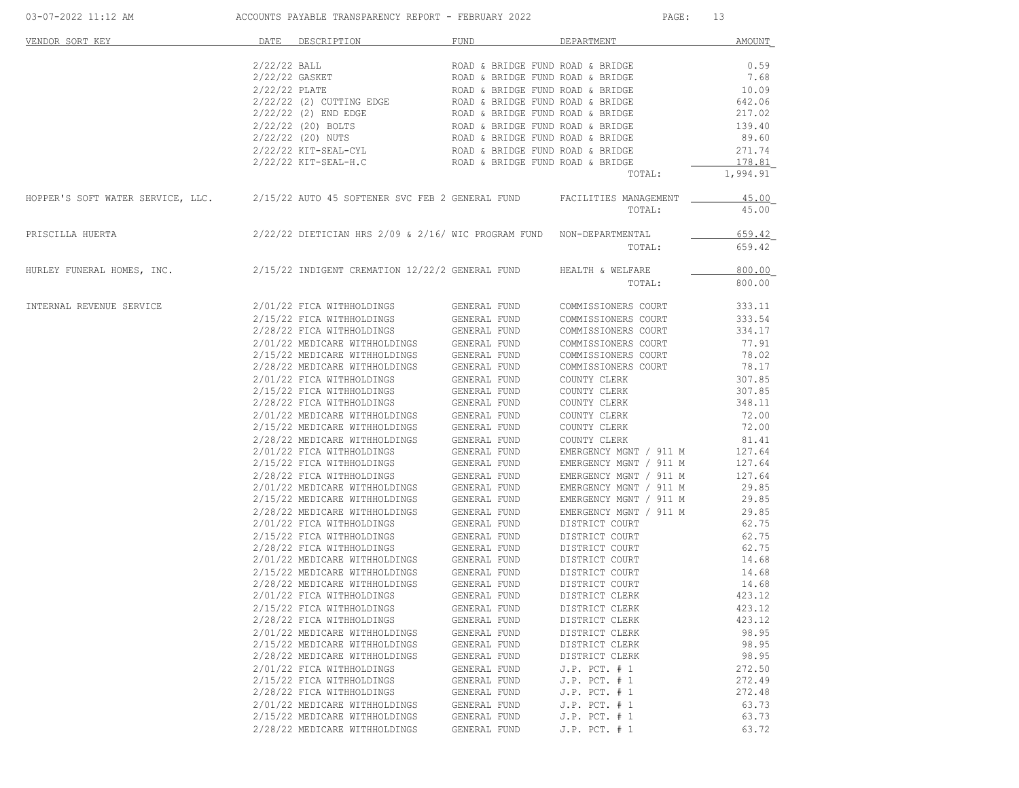| 03-07-2022 11:12 AM                                                                                     | ACCOUNTS PAYABLE TRANSPARENCY REPORT - FEBRUARY 2022 |                                                                      |              | PAGE:<br>13                                |                    |  |
|---------------------------------------------------------------------------------------------------------|------------------------------------------------------|----------------------------------------------------------------------|--------------|--------------------------------------------|--------------------|--|
| VENDOR SORT KEY                                                                                         |                                                      | DATE DESCRIPTION                                                     | FUND         | DEPARTMENT                                 | AMOUNT             |  |
|                                                                                                         | $2/22/22$ BALL                                       |                                                                      |              | ROAD & BRIDGE FUND ROAD & BRIDGE           | 0.59               |  |
|                                                                                                         | 2/22/22 GASKET                                       |                                                                      |              | ROAD & BRIDGE FUND ROAD & BRIDGE           | 7.68               |  |
|                                                                                                         | $2/22/22$ PLATE                                      |                                                                      |              | ROAD & BRIDGE FUND ROAD & BRIDGE           | 10.09              |  |
|                                                                                                         |                                                      | 2/22/22 (2) CUTTING EDGE                                             |              | ROAD & BRIDGE FUND ROAD & BRIDGE           | 642.06             |  |
|                                                                                                         |                                                      | 2/22/22 (2) END EDGE                                                 |              | ROAD & BRIDGE FUND ROAD & BRIDGE           | 217.02             |  |
|                                                                                                         |                                                      | 2/22/22 (20) BOLTS                                                   |              | ROAD & BRIDGE FUND ROAD & BRIDGE           | 139.40             |  |
|                                                                                                         |                                                      | 2/22/22 (20) NUTS                                                    |              | ROAD & BRIDGE FUND ROAD & BRIDGE           | 89.60              |  |
|                                                                                                         |                                                      | 2/22/22 KIT-SEAL-CYL                                                 |              | ROAD & BRIDGE FUND ROAD & BRIDGE           | 271.74             |  |
|                                                                                                         |                                                      | 2/22/22 KIT-SEAL-H.C                                                 |              | ROAD & BRIDGE FUND ROAD & BRIDGE<br>TOTAL: | 178.81<br>1,994.91 |  |
|                                                                                                         |                                                      |                                                                      |              |                                            |                    |  |
| HOPPER'S SOFT WATER SERVICE, LLC. 2/15/22 AUTO 45 SOFTENER SVC FEB 2 GENERAL FUND FACILITIES MANAGEMENT |                                                      |                                                                      |              | TOTAL:                                     | 45.00<br>45.00     |  |
| PRISCILLA HUERTA                                                                                        |                                                      | 2/22/22 DIETICIAN HRS 2/09 & 2/16/ WIC PROGRAM FUND NON-DEPARTMENTAL |              |                                            | 659.42             |  |
|                                                                                                         |                                                      |                                                                      |              | TOTAL:                                     | 659.42             |  |
| HURLEY FUNERAL HOMES, INC.                                                                              |                                                      | 2/15/22 INDIGENT CREMATION 12/22/2 GENERAL FUND                      |              | HEALTH & WELFARE                           | 800.00             |  |
|                                                                                                         |                                                      |                                                                      |              | TOTAL:                                     | 800.00             |  |
| INTERNAL REVENUE SERVICE                                                                                |                                                      | 2/01/22 FICA WITHHOLDINGS                                            | GENERAL FUND | COMMISSIONERS COURT                        | 333.11             |  |
|                                                                                                         |                                                      | 2/15/22 FICA WITHHOLDINGS                                            | GENERAL FUND | COMMISSIONERS COURT                        | 333.54             |  |
|                                                                                                         |                                                      | 2/28/22 FICA WITHHOLDINGS                                            | GENERAL FUND | COMMISSIONERS COURT                        | 334.17             |  |
|                                                                                                         |                                                      | 2/01/22 MEDICARE WITHHOLDINGS                                        | GENERAL FUND | COMMISSIONERS COURT                        | 77.91              |  |
|                                                                                                         |                                                      | 2/15/22 MEDICARE WITHHOLDINGS                                        | GENERAL FUND | COMMISSIONERS COURT                        | 78.02              |  |
|                                                                                                         |                                                      | 2/28/22 MEDICARE WITHHOLDINGS                                        | GENERAL FUND | COMMISSIONERS COURT                        | 78.17              |  |
|                                                                                                         |                                                      | 2/01/22 FICA WITHHOLDINGS                                            | GENERAL FUND | COUNTY CLERK                               | 307.85             |  |
|                                                                                                         |                                                      | 2/15/22 FICA WITHHOLDINGS                                            | GENERAL FUND | COUNTY CLERK                               | 307.85             |  |
|                                                                                                         |                                                      | 2/28/22 FICA WITHHOLDINGS                                            | GENERAL FUND | COUNTY CLERK                               | 348.11             |  |
|                                                                                                         |                                                      | 2/01/22 MEDICARE WITHHOLDINGS                                        | GENERAL FUND | COUNTY CLERK                               | 72.00              |  |
|                                                                                                         |                                                      | 2/15/22 MEDICARE WITHHOLDINGS                                        | GENERAL FUND | COUNTY CLERK                               | 72.00              |  |
|                                                                                                         |                                                      | 2/28/22 MEDICARE WITHHOLDINGS                                        | GENERAL FUND | COUNTY CLERK                               | 81.41              |  |
|                                                                                                         |                                                      | 2/01/22 FICA WITHHOLDINGS                                            | GENERAL FUND | EMERGENCY MGNT / 911 M                     | 127.64             |  |
|                                                                                                         |                                                      | 2/15/22 FICA WITHHOLDINGS                                            | GENERAL FUND | EMERGENCY MGNT / 911 M                     | 127.64             |  |
|                                                                                                         |                                                      | 2/28/22 FICA WITHHOLDINGS                                            | GENERAL FUND | EMERGENCY MGNT / 911 M                     | 127.64             |  |
|                                                                                                         |                                                      | 2/01/22 MEDICARE WITHHOLDINGS                                        | GENERAL FUND | EMERGENCY MGNT / 911 M                     | 29.85              |  |
|                                                                                                         |                                                      | 2/15/22 MEDICARE WITHHOLDINGS                                        | GENERAL FUND | EMERGENCY MGNT / 911 M                     | 29.85              |  |
|                                                                                                         |                                                      | 2/28/22 MEDICARE WITHHOLDINGS                                        | GENERAL FUND | EMERGENCY MGNT / 911 M                     | 29.85              |  |
|                                                                                                         |                                                      | 2/01/22 FICA WITHHOLDINGS                                            | GENERAL FUND | DISTRICT COURT                             | 62.75              |  |
|                                                                                                         |                                                      | 2/15/22 FICA WITHHOLDINGS                                            | GENERAL FUND | DISTRICT COURT                             | 62.75              |  |
|                                                                                                         |                                                      | 2/28/22 FICA WITHHOLDINGS                                            | GENERAL FUND | DISTRICT COURT                             | 62.75              |  |
|                                                                                                         |                                                      | 2/01/22 MEDICARE WITHHOLDINGS                                        | GENERAL FUND | DISTRICT COURT                             | 14.68              |  |
|                                                                                                         |                                                      | 2/15/22 MEDICARE WITHHOLDINGS                                        | GENERAL FUND | DISTRICT COURT                             | 14.68              |  |
|                                                                                                         |                                                      | 2/28/22 MEDICARE WITHHOLDINGS                                        | GENERAL FUND | DISTRICT COURT                             | 14.68              |  |
|                                                                                                         |                                                      | 2/01/22 FICA WITHHOLDINGS                                            | GENERAL FUND | DISTRICT CLERK                             | 423.12             |  |
|                                                                                                         |                                                      | 2/15/22 FICA WITHHOLDINGS                                            | GENERAL FUND | DISTRICT CLERK                             | 423.12             |  |
|                                                                                                         |                                                      | 2/28/22 FICA WITHHOLDINGS                                            | GENERAL FUND | DISTRICT CLERK                             | 423.12             |  |
|                                                                                                         |                                                      | 2/01/22 MEDICARE WITHHOLDINGS                                        | GENERAL FUND | DISTRICT CLERK                             | 98.95              |  |
|                                                                                                         |                                                      | 2/15/22 MEDICARE WITHHOLDINGS                                        | GENERAL FUND | DISTRICT CLERK                             | 98.95              |  |
|                                                                                                         |                                                      | 2/28/22 MEDICARE WITHHOLDINGS                                        | GENERAL FUND | DISTRICT CLERK                             | 98.95              |  |
|                                                                                                         |                                                      | 2/01/22 FICA WITHHOLDINGS                                            | GENERAL FUND | $J.P.$ PCT. $# 1$                          | 272.50             |  |
|                                                                                                         |                                                      | 2/15/22 FICA WITHHOLDINGS                                            | GENERAL FUND | J.P. PCT. # 1                              | 272.49             |  |
|                                                                                                         |                                                      | 2/28/22 FICA WITHHOLDINGS                                            | GENERAL FUND | J.P. PCT. # 1                              | 272.48             |  |
|                                                                                                         |                                                      | 2/01/22 MEDICARE WITHHOLDINGS                                        | GENERAL FUND | $J.P.$ PCT. $# 1$                          | 63.73              |  |
|                                                                                                         |                                                      | 2/15/22 MEDICARE WITHHOLDINGS                                        | GENERAL FUND | J.P. PCT. # 1                              | 63.73              |  |
|                                                                                                         |                                                      | 2/28/22 MEDICARE WITHHOLDINGS                                        | GENERAL FUND | J.P. PCT. # 1                              | 63.72              |  |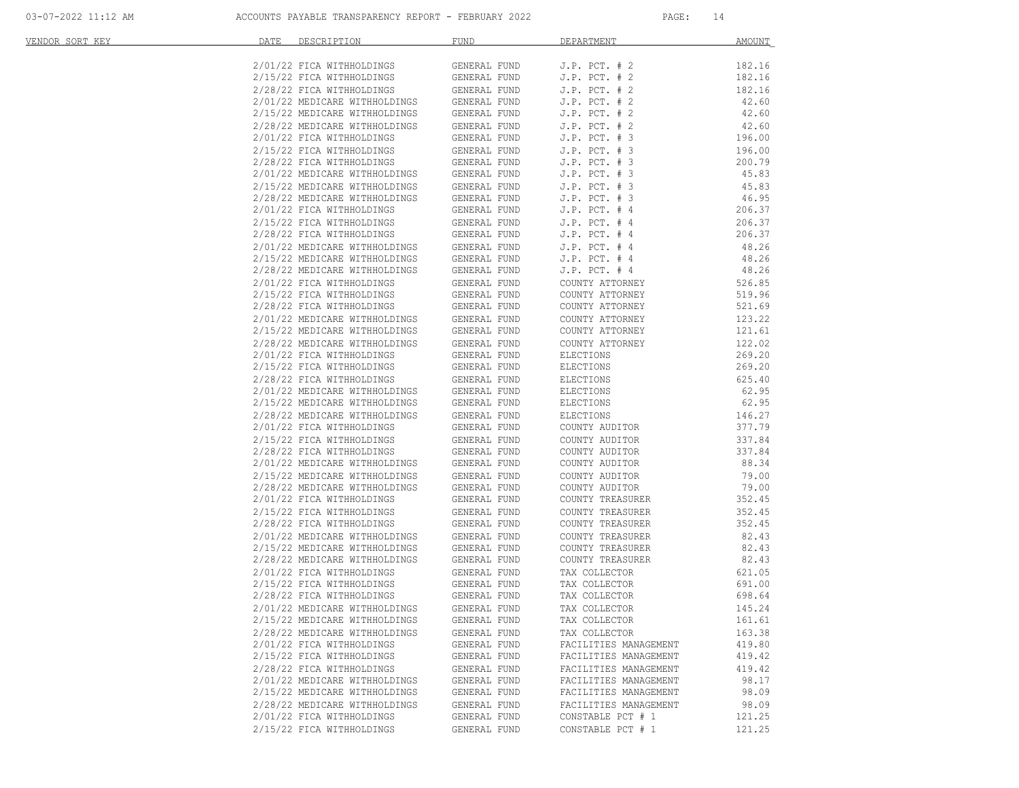| VENDOR SORT KEY | DATE<br>DESCRIPTION <b>Andrew Property</b>                                                                                                                      | FUND                         | DEPARTMENT                                     | AMOUNT           |
|-----------------|-----------------------------------------------------------------------------------------------------------------------------------------------------------------|------------------------------|------------------------------------------------|------------------|
|                 | 2/01/22 FICA WITHHOLDINGS                                                                                                                                       | GENERAL FUND                 | $J.P.$ PCT. $# 2$                              | 182.16           |
|                 | $2/15/22$ FICA WITHHOLDINGS                                                                                                                                     | GENERAL FUND                 | $J.P.$ PCT. $# 2$                              | 182.16           |
|                 | 2/28/22 FICA WITHHOLDINGS                                                                                                                                       | GENERAL FUND                 | $J.P.$ PCT. $# 2$                              | 182.16           |
|                 | $2/01/22 \text{ MEDICARE WITHHOLDINGS} \hspace{1.5cm} \text{GENERAL FUND} \\ 2/15/22 \text{ MEDICARE WITHHOLDINGS} \hspace{1.5cm} \text{GENERAL FUND}$          |                              | $J.P.$ PCT. $# 2$                              | 42.60            |
|                 |                                                                                                                                                                 |                              | $J.P.$ PCT. $# 2$                              | 42.60            |
|                 |                                                                                                                                                                 |                              | $J.P.$ PCT. $# 2$                              | 42.60            |
|                 | 2/28/22 MEDICARE WITHHOLDINGS<br>2/28/22 MEDICARE WITHHOLDINGS GENERAL FUND<br>2/01/22 FICA WITHHOLDINGS GENERAL FUND<br>2/15/22 FICA WITHHOLDINGS GENERAL FUND |                              | $J.P.$ PCT. $# 3$                              | 196.00           |
|                 | 2/15/22 FICA WITHHOLDINGS                                                                                                                                       |                              | $J.P.$ PCT. $# 3$                              | 196.00           |
|                 | 2/28/22 FICA WITHHOLDINGS<br>2/01/22 MEDICARE WITHHOLDINGS                                                                                                      | GENERAL FUND                 | $J.P.$ PCT. $# 3$                              | 200.79           |
|                 |                                                                                                                                                                 | GENERAL FUND                 | $J.P.$ PCT. $# 3$                              | 45.83            |
|                 | 2/15/22 MEDICARE WITHHOLDINGS<br>2/28/22 MEDICARE WITHHOLDINGS<br>2/01/22 FICA WITHHOLDINGS                                                                     | GENERAL FUND                 | $J.P.$ PCT. $# 3$                              | 45.83            |
|                 |                                                                                                                                                                 | GENERAL FUND                 | $J.P.$ PCT. $# 3$                              | 46.95            |
|                 |                                                                                                                                                                 | GENERAL FUND                 | $J.P.$ PCT. $#4$                               | 206.37           |
|                 | 2/15/22 FICA WITHHOLDINGS<br>2/15/22 FICA WITHHOLDINGS GENERAL FUND                                                                                             | GENERAL FUND                 | $J.P.$ PCT. $#4$<br>$J.P.$ PCT. $#4$           | 206.37<br>206.37 |
|                 |                                                                                                                                                                 | GENERAL FUND                 | J.P. $PCT. # 4$                                | 48.26            |
|                 | 2/01/22 MEDICARE WITHHOLDINGS<br>2/15/22 MEDICARE WITHHOLDINGS                                                                                                  | GENERAL FUND                 | $J.P.$ PCT. $#4$                               | 48.26            |
|                 |                                                                                                                                                                 | GENERAL FUND                 | $J.P.$ PCT. $#4$                               | 48.26            |
|                 | 2/28/22 MEDICARE WITHHOLDINGS<br>2/01/22 FICA WITHHOLDINGS                                                                                                      | GENERAL FUND                 | COUNTY ATTORNEY                                | 526.85           |
|                 | 2/15/22 FICA WITHHOLDINGS                                                                                                                                       | GENERAL FUND                 | COUNTY ATTORNEY                                | 519.96           |
|                 | 2/28/22 FICA WITHHOLDINGS                                                                                                                                       | GENERAL FUND                 | COUNTY ATTORNEY                                | 521.69           |
|                 | 2/20/22 FIGA MITHIOLDINGS<br>2/15/22 MEDICARE WITHHOLDINGS GENERAL FUND<br>2/28/22 MEDICARE WITHHOLDINGS GENERAL FUND                                           |                              | COUNTY ATTORNEY                                | 123.22           |
|                 |                                                                                                                                                                 |                              | COUNTY ATTORNEY                                | 121.61           |
|                 |                                                                                                                                                                 |                              | COUNTY ATTORNEY                                | 122.02           |
|                 | 2/01/22 FICA WITHHOLDINGS<br>2/15/22 FICA WITHHOLDINGS                                                                                                          | GENERAL FUND                 | ELECTIONS                                      | 269.20           |
|                 |                                                                                                                                                                 | GENERAL FUND                 | ELECTIONS                                      | 269.20           |
|                 | 2/28/22 FICA WITHHOLDINGS<br>2/01/22 MEDICARE WITHHOLDINGS                                                                                                      | GENERAL FUND                 | ELECTIONS                                      | 625.40           |
|                 |                                                                                                                                                                 | GENERAL FUND                 | ELECTIONS                                      | 62.95            |
|                 | 2/15/22 MEDICARE WITHHOLDINGS<br>2/28/22 MEDICARE WITHHOLDINGS<br>2/01/22 FICA WITHHOLDINGS                                                                     | GENERAL FUND                 | ELECTIONS                                      | 62.95            |
|                 |                                                                                                                                                                 | GENERAL FUND                 | ELECTIONS                                      | 146.27           |
|                 |                                                                                                                                                                 | GENERAL FUND                 | COUNTY AUDITOR                                 | 377.79           |
|                 | 2/15/22 FICA WITHHOLDINGS<br>2/28/22 FICA WITHHOLDINGS                                                                                                          | GENERAL FUND                 | COUNTY AUDITOR<br>COUNTY AUDITOR               | 337.84<br>337.84 |
|                 |                                                                                                                                                                 | GENERAL FUND<br>GENERAL FUND | COUNTY AUDITOR                                 | 88.34            |
|                 | 2/01/22 MEDICARE WITHHOLDINGS<br>2/15/22 MEDICARE WITHHOLDINGS                                                                                                  | GENERAL FUND                 | COUNTY AUDITOR                                 | 79.00            |
|                 |                                                                                                                                                                 | GENERAL FUND                 | COUNTY AUDITOR                                 | 79.00            |
|                 | 2/28/22 MEDICARE WITHHOLDINGS<br>2/01/22 FICA WITHHOLDINGS<br>2/01/22 FICA WITHHOLDINGS                                                                         | GENERAL FUND                 | COUNTY TREASURER                               | 352.45           |
|                 | 2/15/22 FICA WITHHOLDINGS                                                                                                                                       | GENERAL FUND                 | COUNTY TREASURER                               | 352.45           |
|                 | 2/28/22 FICA WITHHOLDINGS                                                                                                                                       | GENERAL FUND                 | COUNTY TREASURER                               | 352.45           |
|                 | 2/01/22 MEDICARE WITHHOLDINGS                                                                                                                                   | GENERAL FUND                 | COUNTY TREASURER                               | 82.43            |
|                 | 2/15/22 MEDICARE WITHHOLDINGS<br>2/28/22 MEDICARE WITHHOLDINGS                                                                                                  | GENERAL FUND                 | COUNTY TREASURER                               | 82.43            |
|                 |                                                                                                                                                                 | GENERAL FUND                 | COUNTY TREASURER                               | 82.43            |
|                 | $2/01/22$ FICA WITHHOLDINGS GENERAL FUND                                                                                                                        |                              | TAX COLLECTOR                                  | 621.05           |
|                 | 2/15/22 FICA WITHHOLDINGS                                                                                                                                       | GENERAL FUND                 | TAX COLLECTOR                                  | 691.00           |
|                 | 2/28/22 FICA WITHHOLDINGS                                                                                                                                       | GENERAL FUND                 | TAX COLLECTOR                                  | 698.64           |
|                 | 2/01/22 MEDICARE WITHHOLDINGS GENERAL FUND                                                                                                                      |                              | TAX COLLECTOR                                  | 145.24           |
|                 | 2/15/22 MEDICARE WITHHOLDINGS                                                                                                                                   | GENERAL FUND                 | TAX COLLECTOR                                  | 161.61           |
|                 | 2/28/22 MEDICARE WITHHOLDINGS                                                                                                                                   | GENERAL FUND                 | TAX COLLECTOR                                  | 163.38           |
|                 | 2/01/22 FICA WITHHOLDINGS                                                                                                                                       | GENERAL FUND                 | FACILITIES MANAGEMENT                          | 419.80           |
|                 | 2/15/22 FICA WITHHOLDINGS                                                                                                                                       | GENERAL FUND                 | FACILITIES MANAGEMENT                          | 419.42           |
|                 | 2/28/22 FICA WITHHOLDINGS<br>2/01/22 MEDICARE WITHHOLDINGS                                                                                                      | GENERAL FUND<br>GENERAL FUND | FACILITIES MANAGEMENT<br>FACILITIES MANAGEMENT | 419.42<br>98.17  |
|                 | 2/15/22 MEDICARE WITHHOLDINGS                                                                                                                                   | GENERAL FUND                 | FACILITIES MANAGEMENT                          | 98.09            |
|                 | 2/28/22 MEDICARE WITHHOLDINGS                                                                                                                                   | GENERAL FUND                 | FACILITIES MANAGEMENT                          | 98.09            |
|                 | 2/01/22 FICA WITHHOLDINGS                                                                                                                                       | GENERAL FUND                 | CONSTABLE PCT # 1                              | 121.25           |
|                 | 2/15/22 FICA WITHHOLDINGS                                                                                                                                       | GENERAL FUND                 | CONSTABLE PCT # 1                              | 121.25           |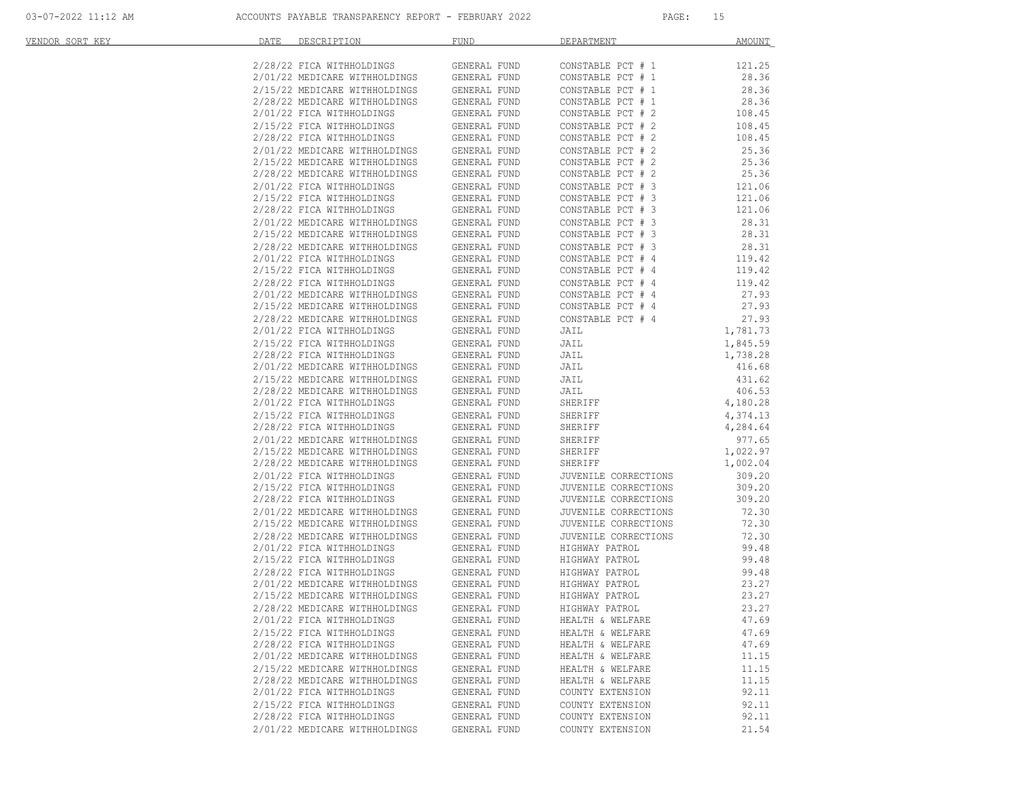| VENDOR SORT KEY | DATE<br>DESCRIPTION                                            | FUND                         | DEPARTMENT                             | AMOUNT         |
|-----------------|----------------------------------------------------------------|------------------------------|----------------------------------------|----------------|
|                 |                                                                |                              |                                        |                |
|                 | 2/28/22 FICA WITHHOLDINGS                                      | GENERAL FUND                 | CONSTABLE PCT # 1                      | 121.25         |
|                 | 2/01/22 MEDICARE WITHHOLDINGS                                  | GENERAL FUND                 | CONSTABLE PCT # 1                      | 28.36          |
|                 | 2/15/22 MEDICARE WITHHOLDINGS                                  | GENERAL FUND                 | CONSTABLE PCT # 1                      | 28.36          |
|                 | 2/28/22 MEDICARE WITHHOLDINGS                                  | GENERAL FUND                 | CONSTABLE PCT # 1                      | 28.36          |
|                 | 2/01/22 FICA WITHHOLDINGS                                      | GENERAL FUND                 | CONSTABLE PCT # 2                      | 108.45         |
|                 | 2/15/22 FICA WITHHOLDINGS                                      | GENERAL FUND                 | CONSTABLE PCT # 2<br>CONSTABLE PCT # 2 | 108.45         |
|                 | 2/28/22 FICA WITHHOLDINGS                                      | GENERAL FUND                 |                                        | 108.45         |
|                 | 2/01/22 MEDICARE WITHHOLDINGS                                  | GENERAL FUND                 | CONSTABLE PCT # 2                      | 25.36          |
|                 | 2/15/22 MEDICARE WITHHOLDINGS                                  | GENERAL FUND                 | CONSTABLE PCT # 2                      | 25.36          |
|                 | 2/28/22 MEDICARE WITHHOLDINGS                                  | GENERAL FUND                 | CONSTABLE PCT # 2                      | 25.36          |
|                 | 2/01/22 FICA WITHHOLDINGS                                      | GENERAL FUND                 | CONSTABLE PCT # 3<br>CONSTABLE PCT # 3 | 121.06         |
|                 | 2/15/22 FICA WITHHOLDINGS                                      | GENERAL FUND                 |                                        | 121.06         |
|                 | 2/28/22 FICA WITHHOLDINGS                                      | GENERAL FUND                 | CONSTABLE PCT # 3                      | 121.06         |
|                 | 2/01/22 MEDICARE WITHHOLDINGS                                  | GENERAL FUND                 | CONSTABLE PCT # 3                      | 28.31          |
|                 | 2/15/22 MEDICARE WITHHOLDINGS                                  | GENERAL FUND                 | CONSTABLE PCT # 3<br>CONSTABLE PCT # 3 | 28.31          |
|                 | 2/28/22 MEDICARE WITHHOLDINGS                                  | GENERAL FUND                 |                                        | 28.31          |
|                 | 2/01/22 FICA WITHHOLDINGS                                      | GENERAL FUND                 | CONSTABLE PCT # 4                      | 119.42         |
|                 | 2/15/22 FICA WITHHOLDINGS                                      | GENERAL FUND                 | CONSTABLE PCT # 4                      | 119.42         |
|                 | 2/28/22 FICA WITHHOLDINGS                                      | GENERAL FUND                 | CONSTABLE PCT # 4                      | 119.42         |
|                 | 2/01/22 MEDICARE WITHHOLDINGS<br>2/15/22 MEDICARE WITHHOLDINGS | GENERAL FUND<br>GENERAL FUND | CONSTABLE PCT # 4<br>CONSTABLE PCT # 4 | 27.93<br>27.93 |
|                 | 2/28/22 MEDICARE WITHHOLDINGS                                  | GENERAL FUND                 | CONSTABLE PCT # 4                      | 27.93          |
|                 | 2/01/22 FICA WITHHOLDINGS                                      | GENERAL FUND                 | JAIL                                   | 1,781.73       |
|                 | 2/15/22 FICA WITHHOLDINGS                                      |                              |                                        | 1,845.59       |
|                 | 2/28/22 FICA WITHHOLDINGS                                      | GENERAL FUND<br>GENERAL FUND | JAIL<br>JAIL                           | 1,738.28       |
|                 | 2/01/22 MEDICARE WITHHOLDINGS                                  | GENERAL FUND                 | JAIL                                   | 416.68         |
|                 | 2/15/22 MEDICARE WITHHOLDINGS                                  | GENERAL FUND                 | JAIL                                   | 431.62         |
|                 | 2/28/22 MEDICARE WITHHOLDINGS                                  | GENERAL FUND                 | JAIL                                   | 406.53         |
|                 | 2/01/22 FICA WITHHOLDINGS                                      | GENERAL FUND                 | SHERIFF                                | 4,180.28       |
|                 | 2/15/22 FICA WITHHOLDINGS                                      | GENERAL FUND                 | SHERIFF                                | 4,374.13       |
|                 | 2/28/22 FICA WITHHOLDINGS                                      | GENERAL FUND                 | SHERIFF                                | 4,284.64       |
|                 | 2/01/22 MEDICARE WITHHOLDINGS                                  | GENERAL FUND                 | SHERIFF                                | 977.65         |
|                 | 2/15/22 MEDICARE WITHHOLDINGS                                  | GENERAL FUND                 | SHERIFF                                | 1,022.97       |
|                 | 2/28/22 MEDICARE WITHHOLDINGS                                  | GENERAL FUND                 | SHERIFF                                | 1,002.04       |
|                 | 2/01/22 FICA WITHHOLDINGS                                      | GENERAL FUND                 | JUVENILE CORRECTIONS                   | 309.20         |
|                 | 2/15/22 FICA WITHHOLDINGS                                      | GENERAL FUND                 | JUVENILE CORRECTIONS                   | 309.20         |
|                 | 2/28/22 FICA WITHHOLDINGS                                      | GENERAL FUND                 | JUVENILE CORRECTIONS                   | 309.20         |
|                 | 2/01/22 MEDICARE WITHHOLDINGS                                  | GENERAL FUND                 | JUVENILE CORRECTIONS                   | 72.30          |
|                 | 2/15/22 MEDICARE WITHHOLDINGS                                  | GENERAL FUND                 | JUVENILE CORRECTIONS                   | 72.30          |
|                 | 2/28/22 MEDICARE WITHHOLDINGS                                  | GENERAL FUND                 | JUVENILE CORRECTIONS                   | 72.30          |
|                 | 2/01/22 FICA WITHHOLDINGS                                      | GENERAL FUND                 | HIGHWAY PATROL                         | 99.48          |
|                 | 2/15/22 FICA WITHHOLDINGS                                      | GENERAL FUND                 | HIGHWAY PATROL                         | 99.48          |
|                 | 2/28/22 FICA WITHHOLDINGS                                      | GENERAL FUND                 | HIGHWAY PATROL                         | 99.48          |
|                 | 2/01/22 MEDICARE WITHHOLDINGS                                  | GENERAL FUND                 | HIGHWAY PATROL                         | 23.27          |
|                 | 2/15/22 MEDICARE WITHHOLDINGS                                  | GENERAL FUND                 | HIGHWAY PATROL                         | 23.27          |
|                 | 2/28/22 MEDICARE WITHHOLDINGS                                  | GENERAL FUND                 | HIGHWAY PATROL                         | 23.27          |
|                 | 2/01/22 FICA WITHHOLDINGS                                      | GENERAL FUND                 | HEALTH & WELFARE                       | 47.69          |
|                 | 2/15/22 FICA WITHHOLDINGS                                      | GENERAL FUND                 | HEALTH & WELFARE                       | 47.69          |
|                 | 2/28/22 FICA WITHHOLDINGS                                      | GENERAL FUND                 | HEALTH & WELFARE                       | 47.69          |
|                 | 2/01/22 MEDICARE WITHHOLDINGS                                  | GENERAL FUND                 | HEALTH & WELFARE                       | 11.15          |
|                 | 2/15/22 MEDICARE WITHHOLDINGS                                  | GENERAL FUND                 | HEALTH & WELFARE                       | 11.15          |
|                 | 2/28/22 MEDICARE WITHHOLDINGS                                  | GENERAL FUND                 | HEALTH & WELFARE                       | 11.15          |
|                 | 2/01/22 FICA WITHHOLDINGS                                      | GENERAL FUND                 | COUNTY EXTENSION                       | 92.11          |
|                 | 2/15/22 FICA WITHHOLDINGS                                      | GENERAL FUND                 | COUNTY EXTENSION                       | 92.11          |
|                 | 2/28/22 FICA WITHHOLDINGS                                      | GENERAL FUND                 | COUNTY EXTENSION                       | 92.11          |
|                 | 2/01/22 MEDICARE WITHHOLDINGS                                  | GENERAL FUND                 | COUNTY EXTENSION                       | 21.54          |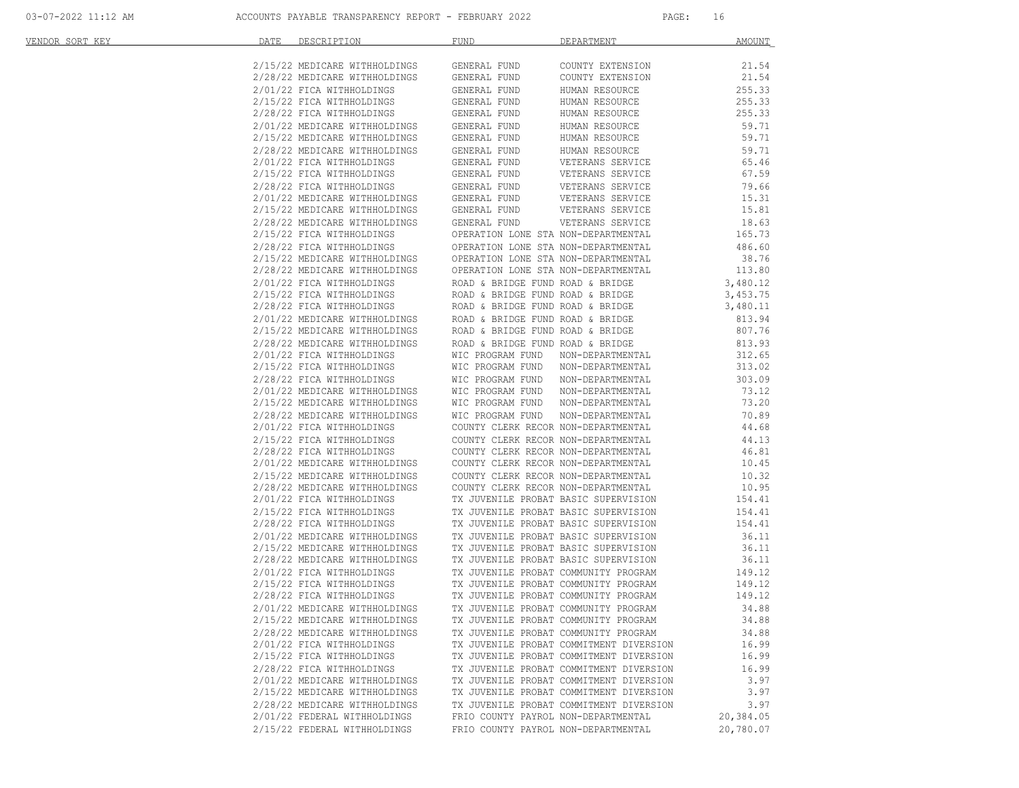| VENDOR SORT KEY | DESCRIPTION DESCRIPTION<br>DATE                                                                                                                                                            | <b>FUND</b><br>DEPARTMENT                                                                                                                                                                                                                    | <b>AMOUNT</b>        |
|-----------------|--------------------------------------------------------------------------------------------------------------------------------------------------------------------------------------------|----------------------------------------------------------------------------------------------------------------------------------------------------------------------------------------------------------------------------------------------|----------------------|
|                 |                                                                                                                                                                                            |                                                                                                                                                                                                                                              | 21.54                |
|                 |                                                                                                                                                                                            |                                                                                                                                                                                                                                              | 21.54                |
|                 |                                                                                                                                                                                            |                                                                                                                                                                                                                                              | 255.33               |
|                 |                                                                                                                                                                                            |                                                                                                                                                                                                                                              | 255.33               |
|                 |                                                                                                                                                                                            |                                                                                                                                                                                                                                              | 255.33               |
|                 |                                                                                                                                                                                            | GENERAL FUND                                                                                                                                                                                                                                 | 59.71                |
|                 | 2/01/22 MEDICARE WITHHOLDINGS<br>2/15/22 MEDICARE WITHHOLDINGS                                                                                                                             | HUMAN RESOURCE<br>HUMAN RESOURCE<br>GENERAL FUND                                                                                                                                                                                             | 59.71                |
|                 |                                                                                                                                                                                            |                                                                                                                                                                                                                                              | 59.71                |
|                 | 2/28/22 MEDICARE WITHHOLDINGS<br>2/01/22 FICA WITHHOLDINGS<br>2/15/22 FICA WITHHOLDINGS                                                                                                    |                                                                                                                                                                                                                                              | 65.46                |
|                 |                                                                                                                                                                                            |                                                                                                                                                                                                                                              | 67.59                |
|                 |                                                                                                                                                                                            |                                                                                                                                                                                                                                              | 79.66                |
|                 | 2/28/22 FICA WITHHOLDINGS<br>2/01/22 MEDICARE WITHHOLDINGS                                                                                                                                 | GENERAL FUND HUMAN RESOURCE<br>GENERAL FUND VETERANS SERVICE<br>GENERAL FUND VETERANS SERVICE<br>GENERAL FUND VETERANS SERVICE<br>GENERAL FUND VETERANS SERVICE<br>GENERAL FUND VETERANS SERVICE<br>GENERAL FUND VETERANS SERVICE<br>GENERAL | 15.31                |
|                 |                                                                                                                                                                                            |                                                                                                                                                                                                                                              | 15.81                |
|                 |                                                                                                                                                                                            |                                                                                                                                                                                                                                              | 18.63                |
|                 | 2/15/22 MEDICARE WITHHOLDINGS<br>2/28/22 MEDICARE WITHHOLDINGS<br>2/15/22 FICA WITHHOLDINGS<br>2/15/22 HECA WITHHOLDINGS<br>2/15/22 MEDICARE WITHHOLDINGS<br>2/15/22 MEDICARE WITHHOLDINGS | OPERATION LONE STA NON-DEPARTMENTAL 165.73                                                                                                                                                                                                   |                      |
|                 |                                                                                                                                                                                            |                                                                                                                                                                                                                                              | 486.60               |
|                 |                                                                                                                                                                                            | OPERATION LONE STA NON-DEPARTMENTAL<br>OPERATION LONE STA NON-DEPARTMENTAL                                                                                                                                                                   | 38.76                |
|                 | 2/28/22 MEDICARE WITHHOLDINGS                                                                                                                                                              | OPERATION LONE STA NON-DEPARTMENTAL                                                                                                                                                                                                          | 113.80               |
|                 | 2/01/22 FICA WITHHOLDINGS                                                                                                                                                                  | ROAD & BRIDGE FUND ROAD & BRIDGE                                                                                                                                                                                                             | 3,480.12             |
|                 |                                                                                                                                                                                            | ROAD & BRIDGE FUND ROAD & BRIDGE                                                                                                                                                                                                             |                      |
|                 | 2/15/22 FICA WITHHOLDINGS<br>2/28/22 FICA WITHHOLDINGS                                                                                                                                     | ROAD & BRIDGE FUND ROAD & BRIDGE                                                                                                                                                                                                             | 3,453.75<br>3,480.11 |
|                 |                                                                                                                                                                                            |                                                                                                                                                                                                                                              | 813.94               |
|                 |                                                                                                                                                                                            | $2/01/22$ MEDICARE WITHHOLDINGS ROAD & BRIDGE FUND ROAD & BRIDGE $2/15/22$ MEDICARE WITHHOLDINGS ROAD & BRIDGE FUND ROAD & BRIDGE                                                                                                            | 807.76               |
|                 |                                                                                                                                                                                            |                                                                                                                                                                                                                                              | 813.93               |
|                 |                                                                                                                                                                                            |                                                                                                                                                                                                                                              | 312.65               |
|                 |                                                                                                                                                                                            |                                                                                                                                                                                                                                              | 313.02               |
|                 |                                                                                                                                                                                            | 2/15/22 MEDICARE WITHHOLDINGS<br>2/01/22 FICA WITHHOLDINGS<br>2/01/22 FICA WITHHOLDINGS<br>2/01/22 FICA WITHHOLDINGS<br>2/15/22 FICA WITHHOLDINGS<br>2/15/22 MEDICARE WITHHOLDINGS<br>2/15/22 MEDICARE WITHHOLDINGS<br>2/15/22 MEDICARE WITH | 303.09               |
|                 |                                                                                                                                                                                            |                                                                                                                                                                                                                                              | 73.12                |
|                 |                                                                                                                                                                                            |                                                                                                                                                                                                                                              | 73.20                |
|                 |                                                                                                                                                                                            |                                                                                                                                                                                                                                              | 70.89                |
|                 |                                                                                                                                                                                            |                                                                                                                                                                                                                                              | 44.68                |
|                 | 2/15/22 FICA WITHHOLDINGS                                                                                                                                                                  | COUNTY CLERK RECOR NON-DEPARTMENTAL                                                                                                                                                                                                          | 44.13                |
|                 | 2/13/22 FICA WITHHOLDINGS<br>2/28/22 FICA WITHHOLDINGS<br>2/01/22 MEDICARE WITHHOLDINGS<br>2/15/22 MEDICARE WITHHOLDINGS<br>2/28/22 MEDICARE WITHHOLDINGS<br>2/01/22 FICA WITHHOLDINGS     | COUNTY CLERK RECOR NON-DEPARTMENTAL                                                                                                                                                                                                          | 46.81                |
|                 |                                                                                                                                                                                            |                                                                                                                                                                                                                                              | 10.45                |
|                 |                                                                                                                                                                                            | COUNTY CLERK RECOR NON-DEPARTMENTAL<br>COUNTY CLERK RECOR NON-DEPARTMENTAL                                                                                                                                                                   | 10.32                |
|                 |                                                                                                                                                                                            |                                                                                                                                                                                                                                              | 10.95                |
|                 |                                                                                                                                                                                            | COUNTY CLERK RECOR NON-DEPARTMENTAL<br>TX JUVENILE PROBAT BASIC SUPERVISION                                                                                                                                                                  | 154.41               |
|                 |                                                                                                                                                                                            |                                                                                                                                                                                                                                              | 154.41               |
|                 |                                                                                                                                                                                            |                                                                                                                                                                                                                                              | 154.41               |
|                 |                                                                                                                                                                                            | 2/01/22 FICA WITHHOLDINGS<br>2/15/22 FICA WITHHOLDINGS<br>2/28/22 FICA WITHHOLDINGS<br>2/01/22 MEDICARE WITHHOLDINGS<br>2/15/22 MEDICARE WITHHOLDINGS<br>2/15/22 MEDICARE WITHHOLDINGS<br>2/15/22 FICA WITHHOLDINGS<br>2/16/22 FICA WITHHOLD | 36.11                |
|                 |                                                                                                                                                                                            |                                                                                                                                                                                                                                              | 36.11                |
|                 |                                                                                                                                                                                            |                                                                                                                                                                                                                                              | 36.11                |
|                 |                                                                                                                                                                                            |                                                                                                                                                                                                                                              | $149.12$<br>$149.12$ |
|                 |                                                                                                                                                                                            |                                                                                                                                                                                                                                              |                      |
|                 |                                                                                                                                                                                            | $2/28/22$ FICA WITHHOLDINGS $$\tt TX$ JUVENILE PROBAT COMMUNITY PROGRAM                                                                                                                                                                      | 149.12               |
|                 |                                                                                                                                                                                            | 2/01/22 MEDICARE WITHHOLDINGS TX JUVENILE PROBAT COMMUNITY PROGRAM 34.88                                                                                                                                                                     |                      |
|                 | 2/15/22 MEDICARE WITHHOLDINGS                                                                                                                                                              | TX JUVENILE PROBAT COMMUNITY PROGRAM                                                                                                                                                                                                         | 34.88                |
|                 | 2/28/22 MEDICARE WITHHOLDINGS                                                                                                                                                              | TX JUVENILE PROBAT COMMUNITY PROGRAM                                                                                                                                                                                                         | 34.88                |
|                 | 2/01/22 FICA WITHHOLDINGS                                                                                                                                                                  | TX JUVENILE PROBAT COMMITMENT DIVERSION                                                                                                                                                                                                      | 16.99                |
|                 | 2/15/22 FICA WITHHOLDINGS                                                                                                                                                                  | TX JUVENILE PROBAT COMMITMENT DIVERSION                                                                                                                                                                                                      | 16.99                |
|                 | 2/28/22 FICA WITHHOLDINGS                                                                                                                                                                  | TX JUVENILE PROBAT COMMITMENT DIVERSION                                                                                                                                                                                                      | 16.99                |
|                 | 2/01/22 MEDICARE WITHHOLDINGS                                                                                                                                                              | TX JUVENILE PROBAT COMMITMENT DIVERSION                                                                                                                                                                                                      | 3.97                 |
|                 | 2/15/22 MEDICARE WITHHOLDINGS                                                                                                                                                              | TX JUVENILE PROBAT COMMITMENT DIVERSION                                                                                                                                                                                                      | 3.97                 |
|                 | 2/28/22 MEDICARE WITHHOLDINGS                                                                                                                                                              | TX JUVENILE PROBAT COMMITMENT DIVERSION                                                                                                                                                                                                      | 3.97                 |
|                 | 2/01/22 FEDERAL WITHHOLDINGS                                                                                                                                                               | FRIO COUNTY PAYROL NON-DEPARTMENTAL                                                                                                                                                                                                          | 20,384.05            |
|                 | 2/15/22 FEDERAL WITHHOLDINGS                                                                                                                                                               | FRIO COUNTY PAYROL NON-DEPARTMENTAL                                                                                                                                                                                                          | 20,780.07            |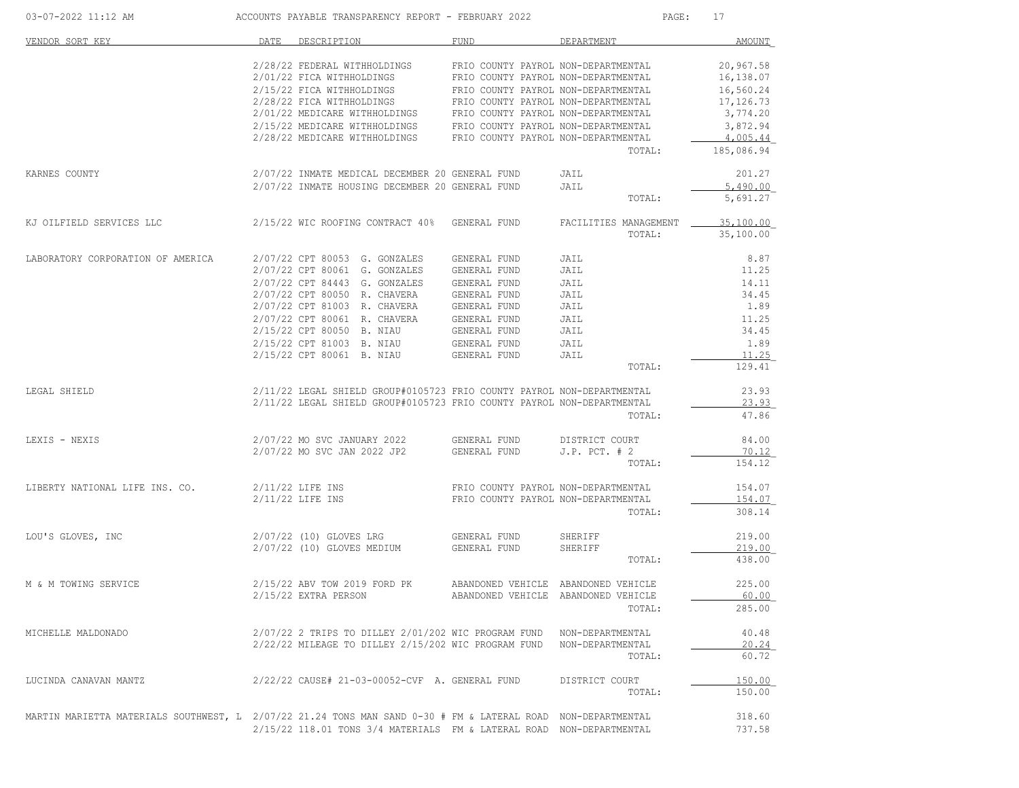| 03-07-2022 11:12 AM                                                                                          |      | ACCOUNTS PAYABLE TRANSPARENCY REPORT - FEBRUARY 2022                                                                                                                                                                                                                                                                                |                                                                                                                                                          | PAGE:                                                                          | 17                                                                                                 |
|--------------------------------------------------------------------------------------------------------------|------|-------------------------------------------------------------------------------------------------------------------------------------------------------------------------------------------------------------------------------------------------------------------------------------------------------------------------------------|----------------------------------------------------------------------------------------------------------------------------------------------------------|--------------------------------------------------------------------------------|----------------------------------------------------------------------------------------------------|
| VENDOR SORT KEY                                                                                              | DATE | DESCRIPTION                                                                                                                                                                                                                                                                                                                         | FUND                                                                                                                                                     | DEPARTMENT                                                                     | AMOUNT                                                                                             |
|                                                                                                              |      | 2/28/22 FEDERAL WITHHOLDINGS<br>2/01/22 FICA WITHHOLDINGS<br>2/15/22 FICA WITHHOLDINGS<br>2/28/22 FICA WITHHOLDINGS<br>2/01/22 MEDICARE WITHHOLDINGS FRIO COUNTY PAYROL NON-DEPARTMENTAL<br>$2/15/22$ MEDICARE WITHHOLDINGS FRIO COUNTY PAYROL NON-DEPARTMENTAL $2/28/22$ MEDICARE WITHHOLDINGS FRIO COUNTY PAYROL NON-DEPARTMENTAL | FRIO COUNTY PAYROL NON-DEPARTMENTAL<br>FRIO COUNTY PAYROL NON-DEPARTMENTAL<br>FRIO COUNTY PAYROL NON-DEPARTMENTAL<br>FRIO COUNTY PAYROL NON-DEPARTMENTAL | TOTAL:                                                                         | 20,967.58<br>16,138.07<br>16,560.24<br>17,126.73<br>3,774.20<br>3,872.94<br>4,005.44<br>185,086.94 |
| KARNES COUNTY                                                                                                |      | 2/07/22 INMATE MEDICAL DECEMBER 20 GENERAL FUND<br>2/07/22 INMATE HOUSING DECEMBER 20 GENERAL FUND                                                                                                                                                                                                                                  |                                                                                                                                                          | JAIL<br>JAIL<br>TOTAL:                                                         | 201.27<br>5,490.00<br>5,691.27                                                                     |
| KJ OILFIELD SERVICES LLC                                                                                     |      | 2/15/22 WIC ROOFING CONTRACT 40% GENERAL FUND                                                                                                                                                                                                                                                                                       |                                                                                                                                                          | FACILITIES MANAGEMENT<br>TOTAL:                                                | 35,100.00<br>35,100.00                                                                             |
| LABORATORY CORPORATION OF AMERICA                                                                            |      | 2/07/22 CPT 80053 G. GONZALES<br>2/07/22 CPT 80061 G. GONZALES<br>2/07/22 CPT 84443 G. GONZALES<br>2/07/22 CPT 80050 R. CHAVERA<br>2/07/22 CPT 81003 R. CHAVERA<br>2/07/22 CPT 80061 R. CHAVERA<br>2/15/22 CPT 80050 B. NIAU<br>2/15/22 CPT 81003 B. NIAU<br>2/15/22 CPT 80061 B. NIAU                                              | GENERAL FUND<br>GENERAL FUND<br>GENERAL FUND<br>GENERAL FUND<br>GENERAL FUND<br>GENERAL FUND<br>GENERAL FUND<br>GENERAL FUND<br>GENERAL FUND             | JAIL<br>JAIL<br>JAIL<br>JAIL<br>JAIL<br>JAIL<br>JAIL<br>JAIL<br>JAIL<br>TOTAL: | 8.87<br>11.25<br>14.11<br>34.45<br>1.89<br>11.25<br>34.45<br>1.89<br>11.25<br>129.41               |
| LEGAL SHIELD                                                                                                 |      | 2/11/22 LEGAL SHIELD GROUP#0105723 FRIO COUNTY PAYROL NON-DEPARTMENTAL<br>2/11/22 LEGAL SHIELD GROUP#0105723 FRIO COUNTY PAYROL NON-DEPARTMENTAL                                                                                                                                                                                    |                                                                                                                                                          | TOTAL:                                                                         | 23.93<br>23.93<br>47.86                                                                            |
| LEXIS - NEXIS                                                                                                |      | 2/07/22 MO SVC JANUARY 2022<br>2/07/22 MO SVC JAN 2022 JP2 GENERAL FUND                                                                                                                                                                                                                                                             | GENERAL FUND                                                                                                                                             | DISTRICT COURT<br>$J.P.$ PCT. $# 2$<br>TOTAL:                                  | 84.00<br>70.12<br>154.12                                                                           |
| LIBERTY NATIONAL LIFE INS. CO.                                                                               |      | 2/11/22 LIFE INS<br>$2/11/22$ LIFE INS                                                                                                                                                                                                                                                                                              | FRIO COUNTY PAYROL NON-DEPARTMENTAL<br>FRIO COUNTY PAYROL NON-DEPARTMENTAL                                                                               | TOTAL:                                                                         | 154.07<br>154.07<br>308.14                                                                         |
| LOU'S GLOVES, INC                                                                                            |      | 2/07/22 (10) GLOVES LRG<br>2/07/22 (10) GLOVES MEDIUM                                                                                                                                                                                                                                                                               | GENERAL FUND<br>GENERAL FUND                                                                                                                             | SHERIFF<br>SHERIFF<br>TOTAL:                                                   | 219.00<br>219.00<br>438.00                                                                         |
| M & M TOWING SERVICE                                                                                         |      | 2/15/22 ABV TOW 2019 FORD PK<br>2/15/22 EXTRA PERSON                                                                                                                                                                                                                                                                                | ABANDONED VEHICLE ABANDONED VEHICLE                                                                                                                      | ABANDONED VEHICLE ABANDONED VEHICLE<br>TOTAL:                                  | 225.00<br>60.00<br>285.00                                                                          |
| MICHELLE MALDONADO                                                                                           |      | 2/07/22 2 TRIPS TO DILLEY 2/01/202 WIC PROGRAM FUND NON-DEPARTMENTAL<br>2/22/22 MILEAGE TO DILLEY 2/15/202 WIC PROGRAM FUND NON-DEPARTMENTAL                                                                                                                                                                                        |                                                                                                                                                          | TOTAL:                                                                         | 40.48<br>20.24<br>60.72                                                                            |
| LUCINDA CANAVAN MANTZ                                                                                        |      | 2/22/22 CAUSE# 21-03-00052-CVF A. GENERAL FUND                                                                                                                                                                                                                                                                                      |                                                                                                                                                          | DISTRICT COURT<br>TOTAL:                                                       | 150.00<br>150.00                                                                                   |
| MARTIN MARIETTA MATERIALS SOUTHWEST, L 2/07/22 21.24 TONS MAN SAND 0-30 # FM & LATERAL ROAD NON-DEPARTMENTAL |      | 2/15/22 118.01 TONS 3/4 MATERIALS FM & LATERAL ROAD NON-DEPARTMENTAL                                                                                                                                                                                                                                                                |                                                                                                                                                          |                                                                                | 318.60<br>737.58                                                                                   |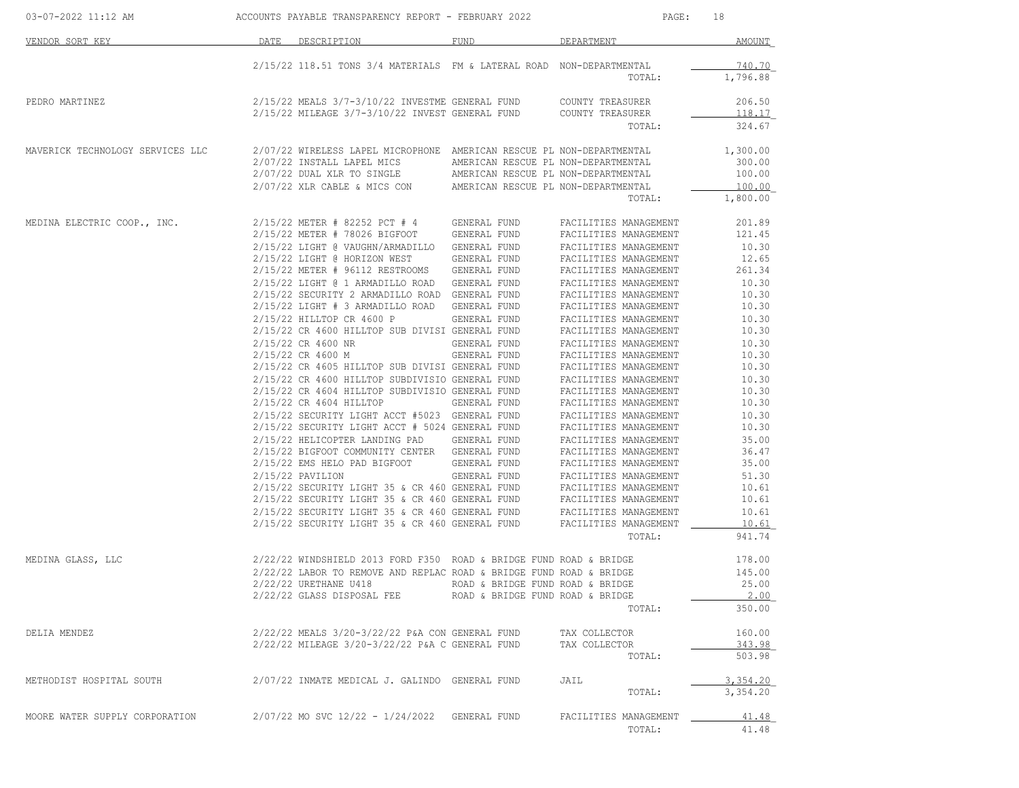| 03-07-2022 11:12 AM ACCOUNTS PAYABLE TRANSPARENCY REPORT - FEBRUARY 2022 |                                                                                                                                                 |                                  | PAGE:                                          | 18               |
|--------------------------------------------------------------------------|-------------------------------------------------------------------------------------------------------------------------------------------------|----------------------------------|------------------------------------------------|------------------|
| VENDOR SORT KEY                                                          | DATE DESCRIPTION                                                                                                                                | FUND                             | DEPARTMENT                                     | AMOUNT           |
|                                                                          | 2/15/22 118.51 TONS 3/4 MATERIALS FM & LATERAL ROAD NON-DEPARTMENTAL                                                                            |                                  |                                                | 740.70           |
|                                                                          |                                                                                                                                                 |                                  | TOTAL:                                         | 1,796.88         |
| PEDRO MARTINEZ                                                           | $2/15/22$ MEALS $3/7-3/10/22$ INVESTME GENERAL FUND COUNTY TREASURER $2/15/22$ MILEAGE $3/7-3/10/22$ INVEST GENERAL FUND COUNTY TREASURER       |                                  |                                                | 206.50           |
|                                                                          |                                                                                                                                                 |                                  | TOTAL:                                         | 118.17<br>324.67 |
| MAVERICK TECHNOLOGY SERVICES LLC                                         | 2/07/22 WIRELESS LAPEL MICROPHONE AMERICAN RESCUE PL NON-DEPARTMENTAL                                                                           |                                  |                                                | 1,300.00         |
|                                                                          | 2/07/22 INSTALL LAPEL MICS AMERICAN RESCUE PL NON-DEPARTMENTAL                                                                                  |                                  |                                                | 300.00           |
|                                                                          | $2/07/22$ DUAL XLR TO SINGLE AMERICAN RESCUE PL NON-DEPARTMENTAL                                                                                |                                  |                                                | 100.00           |
|                                                                          | $2/07/22$ XLR CABLE & MICS CON AMERICAN RESCUE PL NON-DEPARTMENTAL                                                                              |                                  |                                                | 100.00           |
|                                                                          |                                                                                                                                                 |                                  | TOTAL:                                         | 1,800.00         |
| MEDINA ELECTRIC COOP., INC.                                              | $2/15/22$ METER # 82252 PCT # 4 GENERAL FUND                                                                                                    |                                  | FACILITIES MANAGEMENT                          | 201.89           |
|                                                                          | 2/15/22 METER # 78026 BIGFOOT GENERAL FUND                                                                                                      |                                  | FACILITIES MANAGEMENT                          | 121.45           |
|                                                                          | 2/15/22 LIGHT @ VAUGHN/ARMADILLO GENERAL FUND                                                                                                   |                                  | FACILITIES MANAGEMENT                          | 10.30            |
|                                                                          | 2/15/22 LIGHT @ HORIZON WEST GENERAL FUND                                                                                                       |                                  | FACILITIES MANAGEMENT                          | 12.65            |
|                                                                          | 2/15/22 METER # 96112 RESTROOMS GENERAL FUND                                                                                                    |                                  | FACILITIES MANAGEMENT                          | 261.34           |
|                                                                          | 2/15/22 LIGHT @ 1 ARMADILLO ROAD GENERAL FUND                                                                                                   |                                  | FACILITIES MANAGEMENT                          | 10.30            |
|                                                                          | 2/15/22 SECURITY 2 ARMADILLO ROAD GENERAL FUND                                                                                                  |                                  | FACILITIES MANAGEMENT                          | 10.30            |
|                                                                          | 2/15/22 LIGHT # 3 ARMADILLO ROAD GENERAL FUND                                                                                                   |                                  | FACILITIES MANAGEMENT                          | 10.30            |
|                                                                          | 2/15/22 HILLTOP CR 4600 P GENERAL FUND                                                                                                          |                                  | FACILITIES MANAGEMENT                          | 10.30            |
|                                                                          | 2/15/22 CR 4600 HILLTOP SUB DIVISI GENERAL FUND                                                                                                 |                                  | FACILITIES MANAGEMENT                          | 10.30            |
|                                                                          | 2/15/22 CR 4600 NR                                                                                                                              | GENERAL FUND                     | FACILITIES MANAGEMENT                          | 10.30            |
|                                                                          | 2/15/22 CR 4600 M                                                                                                                               | GENERAL FUND                     | FACILITIES MANAGEMENT<br>FACILITIES MANAGEMENT | 10.30            |
|                                                                          | 2/15/22 CR 4605 HILLTOP SUB DIVISI GENERAL FUND                                                                                                 |                                  |                                                | 10.30            |
|                                                                          | 2/15/22 CR 4600 HILLTOP SUBDIVISIO GENERAL FUND<br>2/15/22 CR 4604 HILLTOP SUBDIVISIO GENERAL FUND                                              |                                  | FACILITIES MANAGEMENT                          | 10.30            |
|                                                                          | 2/15/22 CR 4604 HILLTOP                                                                                                                         | GENERAL FUND                     | FACILITIES MANAGEMENT<br>FACILITIES MANAGEMENT | 10.30<br>10.30   |
|                                                                          | 2/15/22 SECURITY LIGHT ACCT #5023 GENERAL FUND                                                                                                  |                                  |                                                |                  |
|                                                                          | 2/15/22 SECURITY LIGHT ACCT # 5024 GENERAL FUND                                                                                                 |                                  | FACILITIES MANAGEMENT<br>FACILITIES MANAGEMENT | 10.30<br>10.30   |
|                                                                          | 2/15/22 HELICOPTER LANDING PAD GENERAL FUND                                                                                                     |                                  |                                                | 35.00            |
|                                                                          | 2/15/22 BIGFOOT COMMUNITY CENTER GENERAL FUND                                                                                                   |                                  | FACILITIES MANAGEMENT<br>FACILITIES MANAGEMENT | 36.47            |
|                                                                          | 2/15/22 EMS HELO PAD BIGFOOT GENERAL FUND                                                                                                       |                                  | FACILITIES MANAGEMENT                          | 35.00            |
|                                                                          | $2/15/22$ PAVILION                                                                                                                              | GENERAL FUND                     | FACILITIES MANAGEMENT                          | 51.30            |
|                                                                          |                                                                                                                                                 |                                  |                                                | 10.61            |
|                                                                          | $2/15/22$ SECURITY LIGHT 35 & CR 460 GENERAL FUND FACILITIES MANAGEMENT $2/15/22$ SECURITY LIGHT 35 & CR 460 GENERAL FUND FACILITIES MANAGEMENT |                                  |                                                | 10.61            |
|                                                                          |                                                                                                                                                 |                                  |                                                | 10.61            |
|                                                                          | $2/15/22$ SECURITY LIGHT 35 & CR 460 GENERAL FUND FACILITIES MANAGEMENT $2/15/22$ SECURITY LIGHT 35 & CR 460 GENERAL FUND FACILITIES MANAGEMENT |                                  |                                                | 10.61            |
|                                                                          |                                                                                                                                                 |                                  | TOTAL:                                         | 941.74           |
| MEDINA GLASS, LLC                                                        | $2/22/22$ WINDSHIELD 2013 FORD F350 ROAD & BRIDGE FUND ROAD & BRIDGE                                                                            |                                  |                                                | 178.00           |
|                                                                          | $2/22/22$ LABOR TO REMOVE AND REPLAC ROAD & BRIDGE FUND ROAD & BRIDGE                                                                           |                                  |                                                | 145.00           |
|                                                                          | 2/22/22 URETHANE U418                                                                                                                           | ROAD & BRIDGE FUND ROAD & BRIDGE |                                                | 25.00            |
|                                                                          | 2/22/22 GLASS DISPOSAL FEE                                                                                                                      | ROAD & BRIDGE FUND ROAD & BRIDGE |                                                | 2.00             |
|                                                                          |                                                                                                                                                 |                                  | TOTAL:                                         | 350.00           |
| DELIA MENDEZ                                                             | 2/22/22 MEALS 3/20-3/22/22 P&A CON GENERAL FUND                                                                                                 |                                  | TAX COLLECTOR                                  | 160.00           |
|                                                                          | 2/22/22 MILEAGE 3/20-3/22/22 P&A C GENERAL FUND                                                                                                 |                                  | TAX COLLECTOR                                  | 343.98           |
|                                                                          |                                                                                                                                                 |                                  | TOTAL:                                         | 503.98           |
| METHODIST HOSPITAL SOUTH                                                 | 2/07/22 INMATE MEDICAL J. GALINDO GENERAL FUND                                                                                                  |                                  | JAIL                                           | 3.354.20         |
|                                                                          |                                                                                                                                                 |                                  | TOTAL:                                         | 3,354.20         |
| MOORE WATER SUPPLY CORPORATION                                           | $2/07/22$ MO SVC $12/22 - 1/24/2022$ GENERAL FUND                                                                                               |                                  | FACILITIES MANAGEMENT                          | 41.48            |
|                                                                          |                                                                                                                                                 |                                  | TOTAL:                                         | 41.48            |
|                                                                          |                                                                                                                                                 |                                  |                                                |                  |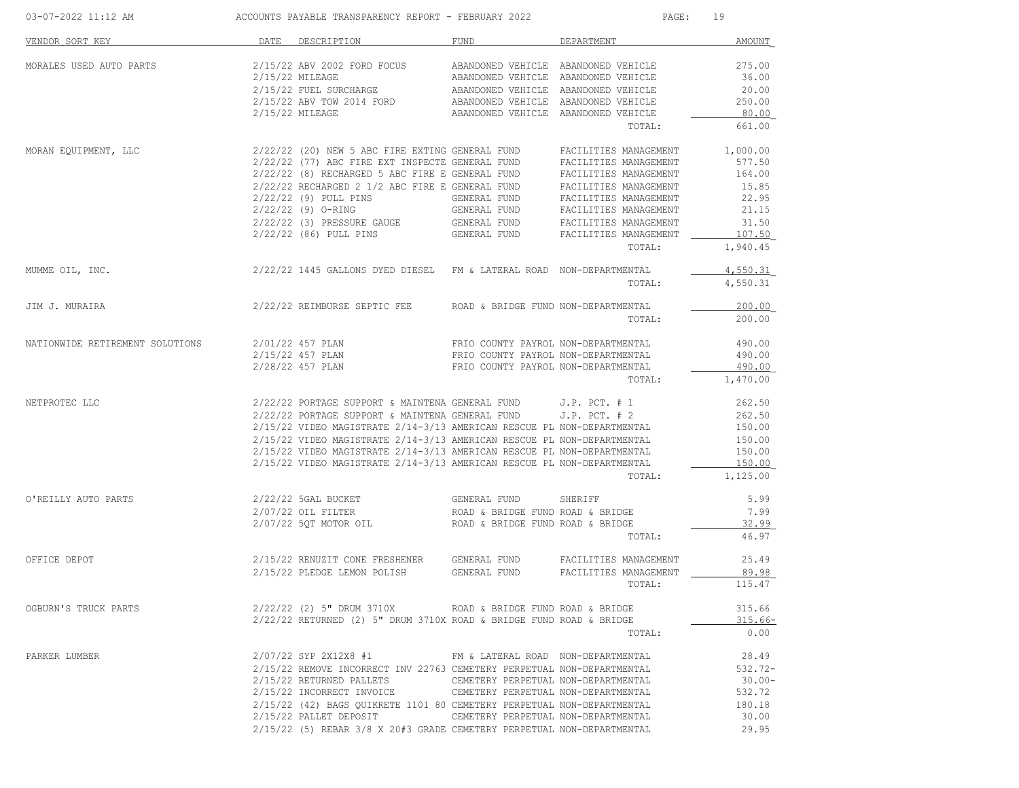| 03-07-2022 11:12 AM ACCOUNTS PAYABLE TRANSPARENCY REPORT - FEBRUARY 2022                                                                                                                                                             |                                                                                                                                           |      |                                     | PAGE: 19        |
|--------------------------------------------------------------------------------------------------------------------------------------------------------------------------------------------------------------------------------------|-------------------------------------------------------------------------------------------------------------------------------------------|------|-------------------------------------|-----------------|
| VENDOR SORT KEY                                                                                                                                                                                                                      | DATE DESCRIPTION                                                                                                                          | FUND | DEPARTMENT                          | AMOUNT          |
| MORALES USED AUTO PARTS                                                                                                                                                                                                              |                                                                                                                                           |      |                                     | 275.00          |
|                                                                                                                                                                                                                                      |                                                                                                                                           |      |                                     | 36.00           |
|                                                                                                                                                                                                                                      |                                                                                                                                           |      |                                     | 20.00           |
|                                                                                                                                                                                                                                      |                                                                                                                                           |      |                                     | 250.00          |
|                                                                                                                                                                                                                                      |                                                                                                                                           |      |                                     | 80.00           |
|                                                                                                                                                                                                                                      |                                                                                                                                           |      | TOTAL:                              | 661.00          |
|                                                                                                                                                                                                                                      |                                                                                                                                           |      |                                     |                 |
|                                                                                                                                                                                                                                      |                                                                                                                                           |      |                                     |                 |
|                                                                                                                                                                                                                                      |                                                                                                                                           |      |                                     |                 |
|                                                                                                                                                                                                                                      | 2/22/22 RECHARGED 2 1/2 ABC FIRE E GENERAL FUND FACILITIES MANAGEMENT 15.85                                                               |      |                                     |                 |
|                                                                                                                                                                                                                                      |                                                                                                                                           |      |                                     |                 |
|                                                                                                                                                                                                                                      |                                                                                                                                           |      |                                     |                 |
|                                                                                                                                                                                                                                      |                                                                                                                                           |      |                                     |                 |
|                                                                                                                                                                                                                                      |                                                                                                                                           |      |                                     | 107.50          |
|                                                                                                                                                                                                                                      |                                                                                                                                           |      |                                     | TOTAL: 1,940.45 |
| MUMME OIL, INC.                                                                                                                                                                                                                      | 2/22/22 1445 GALLONS DYED DIESEL FM & LATERAL ROAD NON-DEPARTMENTAL                                                                       |      |                                     | 4,550.31        |
|                                                                                                                                                                                                                                      |                                                                                                                                           |      | TOTAL:                              | 4,550.31        |
|                                                                                                                                                                                                                                      |                                                                                                                                           |      |                                     | 200.00          |
|                                                                                                                                                                                                                                      |                                                                                                                                           |      | TOTAL:                              | 200.00          |
| 00.00 1990.00 NATIONAL EXTIREMENT SOLUTIONS 2011/22 457 PLAN FRIO COUNTY PAYROL NON-DEPARTMENTAL 490.00<br>2/15/22 457 PLAN FRIO COUNTY PAYROL NON-DEPARTMENTAL 490.00<br>2/28/22 457 PLAN FRIO COUNTY PAYROL NON-DEPARTMENTAL 490.0 |                                                                                                                                           |      |                                     |                 |
|                                                                                                                                                                                                                                      |                                                                                                                                           |      |                                     |                 |
|                                                                                                                                                                                                                                      |                                                                                                                                           |      |                                     |                 |
|                                                                                                                                                                                                                                      |                                                                                                                                           |      | TOTAL:                              | 1,470.00        |
| NETPROTEC LLC                                                                                                                                                                                                                        | $2/22/22$ PORTAGE SUPPORT & MAINTENA GENERAL FUND J.P. PCT. # 1 262.50                                                                    |      |                                     |                 |
|                                                                                                                                                                                                                                      | $2/22/22$ PORTAGE SUPPORT & MAINTENA GENERAL FUND J.P. PCT. # 2<br>2/15/22 VIDEO MAGISTRATE 2/14-3/13 AMERICAN RESCUE PL NON-DEPARTMENTAL |      |                                     | 262.50          |
|                                                                                                                                                                                                                                      |                                                                                                                                           |      |                                     | 202.50          |
|                                                                                                                                                                                                                                      | 2/15/22 VIDEO MAGISTRATE 2/14-3/13 AMERICAN RESCUE PL NON-DEPARTMENTAL 150.00                                                             |      |                                     |                 |
|                                                                                                                                                                                                                                      | 2/15/22 VIDEO MAGISTRATE 2/14-3/13 AMERICAN RESCUE PL NON-DEPARTMENTAL                                                                    |      |                                     | 150.00          |
|                                                                                                                                                                                                                                      | 2/15/22 VIDEO MAGISTRATE 2/14-3/13 AMERICAN RESCUE PL NON-DEPARTMENTAL                                                                    |      |                                     | 150.00          |
|                                                                                                                                                                                                                                      |                                                                                                                                           |      | TOTAL:                              | 1,125.00        |
|                                                                                                                                                                                                                                      |                                                                                                                                           |      |                                     | 5.99            |
|                                                                                                                                                                                                                                      |                                                                                                                                           |      |                                     | 7.99            |
|                                                                                                                                                                                                                                      |                                                                                                                                           |      |                                     | 32.99           |
|                                                                                                                                                                                                                                      |                                                                                                                                           |      | TOTAL:                              | 46.97           |
| OFFICE DEPOT                                                                                                                                                                                                                         | 2/15/22 RENUZIT CONE FRESHENER GENERAL FUND FACILITIES MANAGEMENT                                                                         |      |                                     | 25.49           |
|                                                                                                                                                                                                                                      | 2/15/22 PLEDGE LEMON POLISH GENERAL FUND FACILITIES MANAGEMENT                                                                            |      |                                     | 89.98           |
|                                                                                                                                                                                                                                      |                                                                                                                                           |      | TOTAL:                              | 115.47          |
| OGBURN'S TRUCK PARTS                                                                                                                                                                                                                 | $2/22/22$ (2) 5" DRUM 3710X ROAD & BRIDGE FUND ROAD & BRIDGE                                                                              |      |                                     | 315.66          |
|                                                                                                                                                                                                                                      | $2/22/22$ RETURNED (2) 5" DRUM 3710X ROAD & BRIDGE FUND ROAD & BRIDGE                                                                     |      |                                     | $315.66-$       |
|                                                                                                                                                                                                                                      |                                                                                                                                           |      | TOTAL:                              | 0.00            |
| PARKER LUMBER                                                                                                                                                                                                                        | $2/07/22$ SYP 2X12X8 #1 FM & LATERAL ROAD NON-DEPARTMENTAL                                                                                |      |                                     | 28.49           |
|                                                                                                                                                                                                                                      | 2/15/22 REMOVE INCORRECT INV 22763 CEMETERY PERPETUAL NON-DEPARTMENTAL                                                                    |      |                                     | $532.72 -$      |
|                                                                                                                                                                                                                                      | 2/15/22 RETURNED PALLETS CEMETERY PERPETUAL NON-DEPARTMENTAL                                                                              |      |                                     | $30.00 -$       |
|                                                                                                                                                                                                                                      | 2/15/22 INCORRECT INVOICE                                                                                                                 |      | CEMETERY PERPETUAL NON-DEPARTMENTAL | 532.72          |
|                                                                                                                                                                                                                                      | 2/15/22 (42) BAGS OUIKRETE 1101 80 CEMETERY PERPETUAL NON-DEPARTMENTAL                                                                    |      |                                     | 180.18          |
|                                                                                                                                                                                                                                      | 2/15/22 PALLET DEPOSIT CEMETERY PERPETUAL NON-DEPARTMENTAL                                                                                |      |                                     | 30.00           |
|                                                                                                                                                                                                                                      | 2/15/22 (5) REBAR 3/8 X 20#3 GRADE CEMETERY PERPETUAL NON-DEPARTMENTAL                                                                    |      |                                     | 29.95           |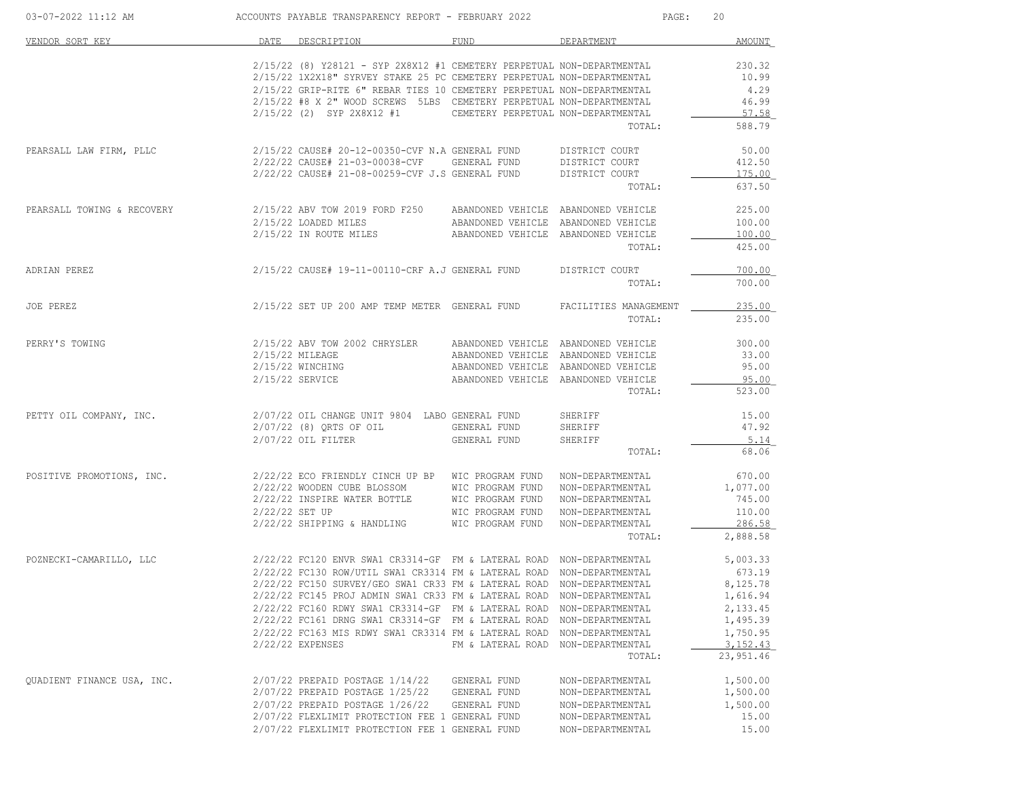| 03-07-2022 11:12 AM        |                | ACCOUNTS PAYABLE TRANSPARENCY REPORT - FEBRUARY 2022                     |                                     | PAGE:                 | 20         |
|----------------------------|----------------|--------------------------------------------------------------------------|-------------------------------------|-----------------------|------------|
| VENDOR SORT KEY            |                | DATE DESCRIPTION                                                         | FUND                                | DEPARTMENT            | AMOUNT     |
|                            |                | $2/15/22$ (8) Y28121 - SYP 2X8X12 #1 CEMETERY PERPETUAL NON-DEPARTMENTAL |                                     |                       | 230.32     |
|                            |                | 2/15/22 1X2X18" SYRVEY STAKE 25 PC CEMETERY PERPETUAL NON-DEPARTMENTAL   |                                     |                       | 10.99      |
|                            |                | 2/15/22 GRIP-RITE 6" REBAR TIES 10 CEMETERY PERPETUAL NON-DEPARTMENTAL   |                                     |                       | 4.29       |
|                            |                | 2/15/22 #8 X 2" WOOD SCREWS 5LBS CEMETERY PERPETUAL NON-DEPARTMENTAL     |                                     |                       | 46.99      |
|                            |                | 2/15/22 (2) SYP 2X8X12 #1                                                | CEMETERY PERPETUAL NON-DEPARTMENTAL |                       | 57.58      |
|                            |                |                                                                          |                                     | TOTAL:                | 588.79     |
| PEARSALL LAW FIRM, PLLC    |                | 2/15/22 CAUSE# 20-12-00350-CVF N.A GENERAL FUND                          |                                     | DISTRICT COURT        | 50.00      |
|                            |                | 2/22/22 CAUSE# 21-03-00038-CVF                                           | GENERAL FUND                        | DISTRICT COURT        | 412.50     |
|                            |                | 2/22/22 CAUSE# 21-08-00259-CVF J.S GENERAL FUND                          |                                     | DISTRICT COURT        | 175.00     |
|                            |                |                                                                          |                                     | TOTAL:                | 637.50     |
| PEARSALL TOWING & RECOVERY |                | 2/15/22 ABV TOW 2019 FORD F250 ABANDONED VEHICLE ABANDONED VEHICLE       |                                     |                       | 225.00     |
|                            |                | 2/15/22 LOADED MILES                                                     | ABANDONED VEHICLE ABANDONED VEHICLE |                       | 100.00     |
|                            |                | 2/15/22 IN ROUTE MILES                                                   | ABANDONED VEHICLE ABANDONED VEHICLE |                       | 100.00     |
|                            |                |                                                                          |                                     | TOTAL:                | 425.00     |
| ADRIAN PEREZ               |                | 2/15/22 CAUSE# 19-11-00110-CRF A.J GENERAL FUND                          |                                     | DISTRICT COURT        | 700.00     |
|                            |                |                                                                          |                                     | TOTAL:                | 700.00     |
| JOE PEREZ                  |                | 2/15/22 SET UP 200 AMP TEMP METER GENERAL FUND                           |                                     | FACILITIES MANAGEMENT | 235.00     |
|                            |                |                                                                          |                                     | TOTAL:                | 235.00     |
| PERRY'S TOWING             |                | 2/15/22 ABV TOW 2002 CHRYSLER                                            | ABANDONED VEHICLE ABANDONED VEHICLE |                       | 300.00     |
|                            |                | 2/15/22 MILEAGE                                                          | ABANDONED VEHICLE ABANDONED VEHICLE |                       | 33.00      |
|                            |                | 2/15/22 WINCHING                                                         | ABANDONED VEHICLE ABANDONED VEHICLE |                       | 95.00      |
|                            |                | 2/15/22 SERVICE                                                          | ABANDONED VEHICLE ABANDONED VEHICLE |                       | 95.00      |
|                            |                |                                                                          |                                     | TOTAL:                | 523.00     |
| PETTY OIL COMPANY, INC.    |                | 2/07/22 OIL CHANGE UNIT 9804 LABO GENERAL FUND                           |                                     | SHERIFF               | 15.00      |
|                            |                | 2/07/22 (8) QRTS OF OIL                                                  | GENERAL FUND                        | SHERIFF               | 47.92      |
|                            |                | $2/07/22$ OIL FILTER                                                     | GENERAL FUND                        | SHERIFF               | 5.14       |
|                            |                |                                                                          |                                     | TOTAL:                | 68.06      |
| POSITIVE PROMOTIONS, INC.  |                | 2/22/22 ECO FRIENDLY CINCH UP BP WIC PROGRAM FUND                        |                                     | NON-DEPARTMENTAL      | 670.00     |
|                            |                | 2/22/22 WOODEN CUBE BLOSSOM WIC PROGRAM FUND                             |                                     | NON-DEPARTMENTAL      | 1,077.00   |
|                            |                | 2/22/22 INSPIRE WATER BOTTLE                                             | WIC PROGRAM FUND                    | NON-DEPARTMENTAL      | 745.00     |
|                            | 2/22/22 SET UP |                                                                          | WIC PROGRAM FUND                    | NON-DEPARTMENTAL      | 110.00     |
|                            |                | 2/22/22 SHIPPING & HANDLING                                              | WIC PROGRAM FUND                    | NON-DEPARTMENTAL      | 286.58     |
|                            |                |                                                                          |                                     | TOTAL:                | 2,888.58   |
| POZNECKI-CAMARILLO, LLC    |                | 2/22/22 FC120 ENVR SWA1 CR3314-GF FM & LATERAL ROAD NON-DEPARTMENTAL     |                                     |                       | 5,003.33   |
|                            |                | 2/22/22 FC130 ROW/UTIL SWA1 CR3314 FM & LATERAL ROAD NON-DEPARTMENTAL    |                                     |                       | 673.19     |
|                            |                | 2/22/22 FC150 SURVEY/GEO SWA1 CR33 FM & LATERAL ROAD NON-DEPARTMENTAL    |                                     |                       | 8,125.78   |
|                            |                | 2/22/22 FC145 PROJ ADMIN SWA1 CR33 FM & LATERAL ROAD NON-DEPARTMENTAL    |                                     |                       | 1,616.94   |
|                            |                | 2/22/22 FC160 RDWY SWA1 CR3314-GF FM & LATERAL ROAD                      |                                     | NON-DEPARTMENTAL      | 2,133.45   |
|                            |                | 2/22/22 FC161 DRNG SWA1 CR3314-GF FM & LATERAL ROAD NON-DEPARTMENTAL     |                                     |                       | 1,495.39   |
|                            |                | 2/22/22 FC163 MIS RDWY SWA1 CR3314 FM & LATERAL ROAD NON-DEPARTMENTAL    |                                     |                       | 1,750.95   |
|                            |                | 2/22/22 EXPENSES                                                         | FM & LATERAL ROAD NON-DEPARTMENTAL  |                       | 3, 152, 43 |
|                            |                |                                                                          |                                     | TOTAL:                | 23,951.46  |
| QUADIENT FINANCE USA, INC. |                | 2/07/22 PREPAID POSTAGE 1/14/22                                          | GENERAL FUND                        | NON-DEPARTMENTAL      | 1,500.00   |
|                            |                | 2/07/22 PREPAID POSTAGE 1/25/22                                          | GENERAL FUND                        | NON-DEPARTMENTAL      | 1,500.00   |
|                            |                | 2/07/22 PREPAID POSTAGE 1/26/22                                          | GENERAL FUND                        | NON-DEPARTMENTAL      | 1,500.00   |
|                            |                | 2/07/22 FLEXLIMIT PROTECTION FEE 1 GENERAL FUND                          |                                     | NON-DEPARTMENTAL      | 15.00      |
|                            |                | 2/07/22 FLEXLIMIT PROTECTION FEE 1 GENERAL FUND                          |                                     | NON-DEPARTMENTAL      | 15.00      |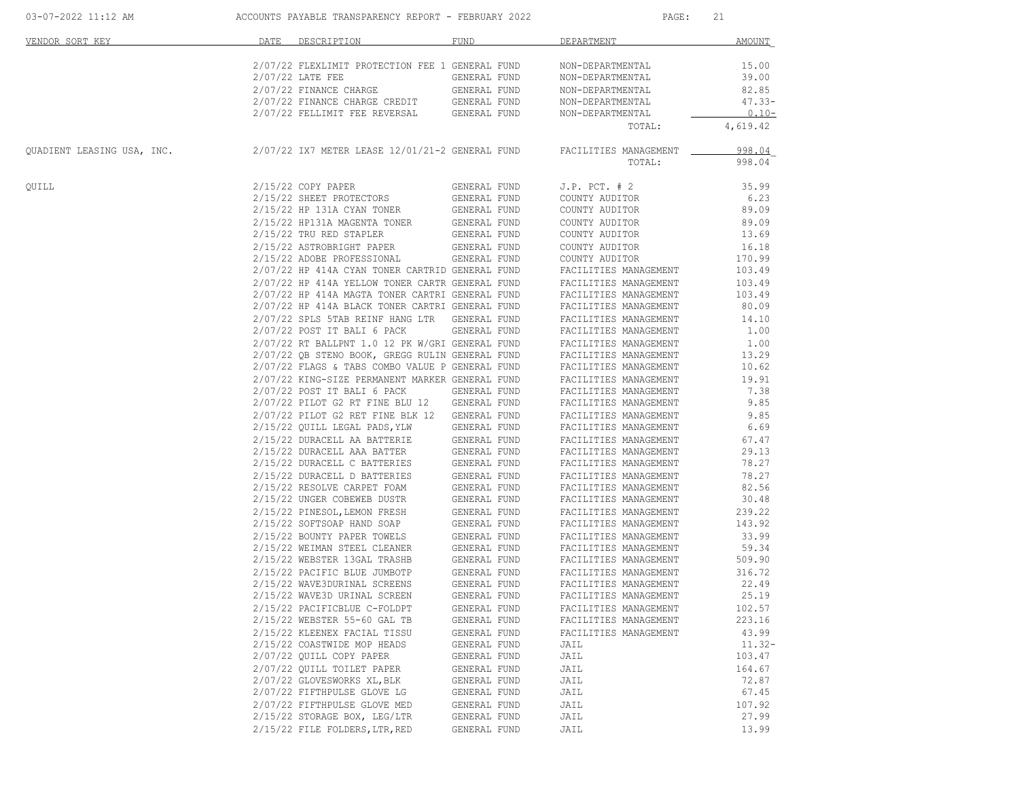| VENDOR SORT KEY            | DATE | DESCRIPTION                                     | FUND         | DEPARTMENT            | <b>AMOUNT</b> |
|----------------------------|------|-------------------------------------------------|--------------|-----------------------|---------------|
|                            |      | 2/07/22 FLEXLIMIT PROTECTION FEE 1 GENERAL FUND |              | NON-DEPARTMENTAL      | 15.00         |
|                            |      | $2/07/22$ LATE FEE                              | GENERAL FUND | NON-DEPARTMENTAL      | 39.00         |
|                            |      | 2/07/22 FINANCE CHARGE                          | GENERAL FUND | NON-DEPARTMENTAL      | 82.85         |
|                            |      | 2/07/22 FINANCE CHARGE CREDIT                   | GENERAL FUND | NON-DEPARTMENTAL      | $47.33 -$     |
|                            |      | 2/07/22 FELLIMIT FEE REVERSAL                   | GENERAL FUND | NON-DEPARTMENTAL      | $0.10 -$      |
|                            |      |                                                 |              | TOTAL:                | 4,619.42      |
| QUADIENT LEASING USA, INC. |      | 2/07/22 IX7 METER LEASE 12/01/21-2 GENERAL FUND |              | FACILITIES MANAGEMENT | 998.04        |
|                            |      |                                                 |              | TOTAL:                | 998.04        |
| QUILL                      |      | 2/15/22 COPY PAPER                              | GENERAL FUND | $J.P.$ PCT. $# 2$     | 35.99         |
|                            |      | 2/15/22 SHEET PROTECTORS                        | GENERAL FUND | COUNTY AUDITOR        | 6.23          |
|                            |      | 2/15/22 HP 131A CYAN TONER                      | GENERAL FUND | COUNTY AUDITOR        | 89.09         |
|                            |      | 2/15/22 HP131A MAGENTA TONER                    | GENERAL FUND | COUNTY AUDITOR        | 89.09         |
|                            |      | 2/15/22 TRU RED STAPLER                         | GENERAL FUND | COUNTY AUDITOR        | 13.69         |
|                            |      | 2/15/22 ASTROBRIGHT PAPER                       | GENERAL FUND | COUNTY AUDITOR        | 16.18         |
|                            |      | 2/15/22 ADOBE PROFESSIONAL                      | GENERAL FUND | COUNTY AUDITOR        | 170.99        |
|                            |      | 2/07/22 HP 414A CYAN TONER CARTRID GENERAL FUND |              | FACILITIES MANAGEMENT | 103.49        |
|                            |      | 2/07/22 HP 414A YELLOW TONER CARTR GENERAL FUND |              | FACILITIES MANAGEMENT | 103.49        |
|                            |      | 2/07/22 HP 414A MAGTA TONER CARTRI GENERAL FUND |              | FACILITIES MANAGEMENT | 103.49        |
|                            |      | 2/07/22 HP 414A BLACK TONER CARTRI GENERAL FUND |              | FACILITIES MANAGEMENT | 80.09         |
|                            |      | 2/07/22 SPLS 5TAB REINF HANG LTR                | GENERAL FUND | FACILITIES MANAGEMENT | 14.10         |
|                            |      | 2/07/22 POST IT BALI 6 PACK                     | GENERAL FUND | FACILITIES MANAGEMENT | 1.00          |
|                            |      | 2/07/22 RT BALLPNT 1.0 12 PK W/GRI GENERAL FUND |              | FACILITIES MANAGEMENT | 1.00          |
|                            |      | 2/07/22 QB STENO BOOK, GREGG RULIN GENERAL FUND |              | FACILITIES MANAGEMENT | 13.29         |
|                            |      | 2/07/22 FLAGS & TABS COMBO VALUE P GENERAL FUND |              | FACILITIES MANAGEMENT | 10.62         |
|                            |      | 2/07/22 KING-SIZE PERMANENT MARKER GENERAL FUND |              | FACILITIES MANAGEMENT | 19.91         |
|                            |      | $2/07/22$ POST IT BALI 6 PACK                   | GENERAL FUND | FACILITIES MANAGEMENT | 7.38          |
|                            |      | 2/07/22 PILOT G2 RT FINE BLU 12                 | GENERAL FUND | FACILITIES MANAGEMENT | 9.85          |
|                            |      | 2/07/22 PILOT G2 RET FINE BLK 12                | GENERAL FUND | FACILITIES MANAGEMENT | 9.85          |
|                            |      | 2/15/22 QUILL LEGAL PADS, YLW                   | GENERAL FUND | FACILITIES MANAGEMENT | 6.69          |
|                            |      |                                                 |              |                       |               |
|                            |      | 2/15/22 DURACELL AA BATTERIE                    | GENERAL FUND | FACILITIES MANAGEMENT | 67.47         |
|                            |      | 2/15/22 DURACELL AAA BATTER                     | GENERAL FUND | FACILITIES MANAGEMENT | 29.13         |
|                            |      | 2/15/22 DURACELL C BATTERIES                    | GENERAL FUND | FACILITIES MANAGEMENT | 78.27         |
|                            |      | 2/15/22 DURACELL D BATTERIES                    | GENERAL FUND | FACILITIES MANAGEMENT | 78.27         |
|                            |      | 2/15/22 RESOLVE CARPET FOAM                     | GENERAL FUND | FACILITIES MANAGEMENT | 82.56         |
|                            |      | 2/15/22 UNGER COBEWEB DUSTR                     | GENERAL FUND | FACILITIES MANAGEMENT | 30.48         |
|                            |      | 2/15/22 PINESOL, LEMON FRESH                    | GENERAL FUND | FACILITIES MANAGEMENT | 239.22        |
|                            |      | 2/15/22 SOFTSOAP HAND SOAP                      | GENERAL FUND | FACILITIES MANAGEMENT | 143.92        |
|                            |      | 2/15/22 BOUNTY PAPER TOWELS                     | GENERAL FUND | FACILITIES MANAGEMENT | 33.99         |
|                            |      | 2/15/22 WEIMAN STEEL CLEANER                    | GENERAL FUND | FACILITIES MANAGEMENT | 59.34         |
|                            |      | 2/15/22 WEBSTER 13GAL TRASHB                    | GENERAL FUND | FACILITIES MANAGEMENT | 509.90        |
|                            |      | 2/15/22 PACIFIC BLUE JUMBOTP                    | GENERAL FUND | FACILITIES MANAGEMENT | 316.72        |
|                            |      | 2/15/22 WAVE3DURINAL SCREENS                    | GENERAL FUND | FACILITIES MANAGEMENT | 22.49         |
|                            |      | 2/15/22 WAVE3D URINAL SCREEN                    | GENERAL FUND | FACILITIES MANAGEMENT | 25.19         |
|                            |      | 2/15/22 PACIFICBLUE C-FOLDPT                    | GENERAL FUND | FACILITIES MANAGEMENT | 102.57        |
|                            |      | 2/15/22 WEBSTER 55-60 GAL TB                    | GENERAL FUND | FACILITIES MANAGEMENT | 223.16        |
|                            |      | 2/15/22 KLEENEX FACIAL TISSU                    | GENERAL FUND | FACILITIES MANAGEMENT | 43.99         |
|                            |      | 2/15/22 COASTWIDE MOP HEADS                     | GENERAL FUND | JAIL                  | $11.32 -$     |
|                            |      | 2/07/22 QUILL COPY PAPER                        | GENERAL FUND | JAIL                  | 103.47        |
|                            |      | 2/07/22 QUILL TOILET PAPER                      | GENERAL FUND | JAIL                  | 164.67        |
|                            |      | 2/07/22 GLOVESWORKS XL, BLK                     | GENERAL FUND | JAIL                  | 72.87         |
|                            |      | 2/07/22 FIFTHPULSE GLOVE LG                     | GENERAL FUND | JAIL                  | 67.45         |
|                            |      | 2/07/22 FIFTHPULSE GLOVE MED                    | GENERAL FUND | JAIL                  | 107.92        |
|                            |      | 2/15/22 STORAGE BOX, LEG/LTR                    | GENERAL FUND | JAIL                  | 27.99         |
|                            |      |                                                 |              |                       |               |
|                            |      | 2/15/22 FILE FOLDERS, LTR, RED                  | GENERAL FUND | JAIL                  | 13.99         |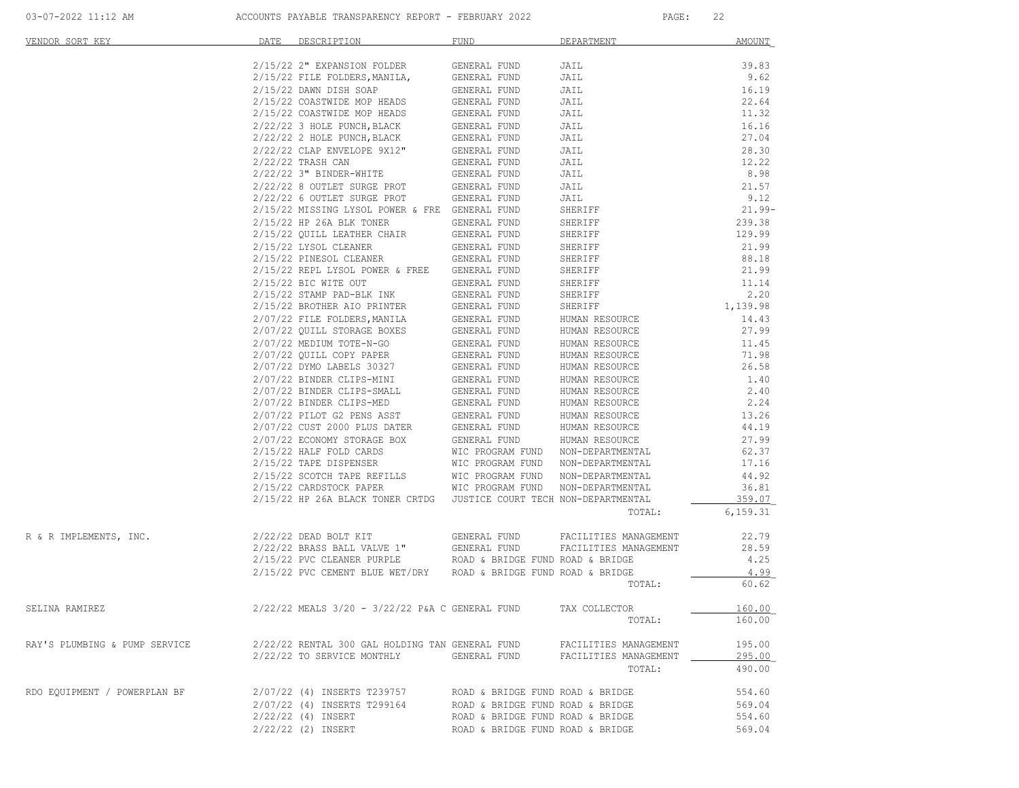| VENDOR SORT KEY                                                                                                 | DATE | DESCRIPTION                                                          | FUND                                                                   | DEPARTMENT                   | <b>AMOUNT</b>  |
|-----------------------------------------------------------------------------------------------------------------|------|----------------------------------------------------------------------|------------------------------------------------------------------------|------------------------------|----------------|
|                                                                                                                 |      | 2/15/22 2" EXPANSION FOLDER                                          | GENERAL FUND                                                           | JAIL                         | 39.83          |
|                                                                                                                 |      | 2/15/22 FILE FOLDERS, MANILA,                                        | GENERAL FUND                                                           | JAIL                         | 9.62           |
|                                                                                                                 |      | $2/15/22$ DAWN DISH SOAP                                             | GENERAL FUND                                                           | JAIL                         | 16.19          |
|                                                                                                                 |      | 2/15/22 COASTWIDE MOP HEADS                                          | GENERAL FUND                                                           | JAIL                         | 22.64          |
|                                                                                                                 |      | 2/15/22 COASTWIDE MOP HEADS                                          | GENERAL FUND                                                           | JAIL                         | 11.32          |
|                                                                                                                 |      | $2/22/22$ 3 HOLE PUNCH, BLACK                                        | GENERAL FUND                                                           | JAIL                         | 16.16          |
|                                                                                                                 |      | $2/22/22$ 2 HOLE PUNCH, BLACK                                        | GENERAL FUND                                                           | JAIL                         | 27.04          |
|                                                                                                                 |      | 2/22/22 CLAP ENVELOPE 9X12"                                          | GENERAL FUND                                                           | JAIL                         | 28.30          |
|                                                                                                                 |      | 2/22/22 TRASH CAN<br>$2/22/22$ 3" BINDER-WHITE                       | GENERAL FUND<br>GENERAL FUND                                           | JAIL<br>JAIL                 | 12.22<br>8.98  |
|                                                                                                                 |      | 2/22/22 8 OUTLET SURGE PROT                                          | <b>GENERAL FUND</b>                                                    | JAIL                         | 21.57          |
|                                                                                                                 |      | 2/22/22 6 OUTLET SURGE PROT                                          | GENERAL FUND                                                           | JAIL                         | 9.12           |
|                                                                                                                 |      | 2/15/22 MISSING LYSOL POWER & FRE GENERAL FUND                       |                                                                        | SHERIFF                      | $21.99 -$      |
|                                                                                                                 |      | 2/15/22 HP 26A BLK TONER                                             | GENERAL FUND                                                           | SHERIFF                      | 239.38         |
|                                                                                                                 |      | 2/15/22 QUILL LEATHER CHAIR                                          | GENERAL FUND                                                           | SHERIFF                      | 129.99         |
|                                                                                                                 |      | 2/15/22 LYSOL CLEANER                                                | GENERAL FUND                                                           | SHERIFF                      | 21.99          |
|                                                                                                                 |      | 2/15/22 PINESOL CLEANER                                              | GENERAL FUND                                                           | SHERIFF                      | 88.18          |
|                                                                                                                 |      | $2/15/22$ REPL LYSOL POWER & FREE                                    | GENERAL FUND                                                           | SHERIFF                      | 21.99          |
|                                                                                                                 |      | 2/15/22 BIC WITE OUT                                                 | GENERAL FUND                                                           | SHERIFF                      | 11.14          |
|                                                                                                                 |      | 2/15/22 STAMP PAD-BLK INK                                            | GENERAL FUND                                                           | SHERIFF                      | 2.20           |
|                                                                                                                 |      | 2/15/22 BROTHER AIO PRINTER                                          | GENERAL FUND                                                           | SHERIFF                      | 1,139.98       |
|                                                                                                                 |      | 2/07/22 FILE FOLDERS, MANILA                                         | GENERAL FUND                                                           | HUMAN RESOURCE               | 14.43          |
|                                                                                                                 |      | 2/07/22 QUILL STORAGE BOXES                                          | GENERAL FUND                                                           | HUMAN RESOURCE               | 27.99          |
|                                                                                                                 |      | 2/07/22 MEDIUM TOTE-N-GO                                             | GENERAL FUND                                                           | HUMAN RESOURCE               | 11.45          |
|                                                                                                                 |      | 2/07/22 QUILL COPY PAPER                                             | GENERAL FUND                                                           | HUMAN RESOURCE               | 71.98          |
|                                                                                                                 |      | 2/07/22 DYMO LABELS 30327                                            | GENERAL FUND                                                           | HUMAN RESOURCE               | 26.58          |
|                                                                                                                 |      | 2/07/22 BINDER CLIPS-MINI                                            | GENERAL FUND                                                           | HUMAN RESOURCE               | 1.40           |
|                                                                                                                 |      | 2/07/22 BINDER CLIPS-SMALL                                           | GENERAL FUND                                                           | HUMAN RESOURCE               | 2.40           |
|                                                                                                                 |      | 2/07/22 BINDER CLIPS-MED                                             | GENERAL FUND                                                           | HUMAN RESOURCE               | 2.24           |
|                                                                                                                 |      |                                                                      | GENERAL FUND                                                           | HUMAN RESOURCE               | 13.26          |
|                                                                                                                 |      |                                                                      |                                                                        | HUMAN RESOURCE               | 44.19          |
|                                                                                                                 |      | 2/07/22 ECONOMY STORAGE BOX                                          | GENERAL FUND                                                           | HUMAN RESOURCE               | 27.99          |
|                                                                                                                 |      | 2/15/22 HALF FOLD CARDS<br>2/15/22 TAPE DISPENSER                    | WIC PROGRAM FUND NON-DEPARTMENTAL<br>WIC PROGRAM FUND NON-DEPARTMENTAL |                              | 62.37<br>17.16 |
|                                                                                                                 |      |                                                                      |                                                                        |                              | 44.92          |
|                                                                                                                 |      | 2/15/22 SCOTCH TAPE REFILLS<br>2/15/22 CARDSTOCK PAPER               | WIC PROGRAM FUND<br>WIC PROGRAM FUND NON-DEPARTMENTAL                  | NON-DEPARTMENTAL             | 36.81          |
|                                                                                                                 |      | 2/15/22 HP 26A BLACK TONER CRTDG JUSTICE COURT TECH NON-DEPARTMENTAL |                                                                        |                              | 359.07         |
|                                                                                                                 |      |                                                                      |                                                                        | TOTAL:                       | 6,159.31       |
|                                                                                                                 |      |                                                                      |                                                                        |                              |                |
| R & R IMPLEMENTS, INC.                                                                                          |      | 2/22/22 DEAD BOLT KIT                                                | GENERAL FUND                                                           | FACILITIES MANAGEMENT        | 22.79          |
|                                                                                                                 |      | $2/22/22$ BRASS BALL VALVE $1"$                                      | GENERAL FUND                                                           | FACILITIES MANAGEMENT        | 28.59          |
|                                                                                                                 |      | 2/15/22 PVC CLEANER PURPLE                                           | ROAD & BRIDGE FUND ROAD & BRIDGE                                       |                              | 4.25           |
|                                                                                                                 |      | 2/15/22 PVC CEMENT BLUE WET/DRY ROAD & BRIDGE FUND ROAD & BRIDGE     |                                                                        | TOTAL:                       | 4.99<br>60.62  |
|                                                                                                                 |      |                                                                      |                                                                        |                              |                |
| SELINA RAMIREZ                                                                                                  |      | 2/22/22 MEALS 3/20 - 3/22/22 P&A C GENERAL FUND                      |                                                                        | TAX COLLECTOR                | 160.00         |
|                                                                                                                 |      |                                                                      |                                                                        | TOTAL:                       | 160.00         |
| RAY'S PLUMBING & PUMP SERVICE $2/22/22$ RENTAL 300 GAL HOLDING TAN GENERAL FUND FACILITIES MANAGEMENT           |      |                                                                      |                                                                        |                              | 195.00         |
|                                                                                                                 |      | 2/22/22 TO SERVICE MONTHLY GENERAL FUND                              |                                                                        | FACILITIES MANAGEMENT 295.00 |                |
|                                                                                                                 |      |                                                                      |                                                                        | TOTAL:                       | 490.00         |
|                                                                                                                 |      |                                                                      |                                                                        |                              | 554.60         |
| RDO EQUIPMENT / POWERPLAN BF $2/07/22$ (4) INSERTS T239757 ROAD & BRIDGE FUND ROAD & BRIDGE RIDGE ROAD & BRIDGE |      |                                                                      |                                                                        |                              | 569.04         |
|                                                                                                                 |      | 2/22/22 (4) INSERT                                                   | ROAD & BRIDGE FUND ROAD & BRIDGE                                       |                              | 554.60         |
|                                                                                                                 |      | 2/22/22 (2) INSERT                                                   | ROAD & BRIDGE FUND ROAD & BRIDGE                                       |                              | 569.04         |
|                                                                                                                 |      |                                                                      |                                                                        |                              |                |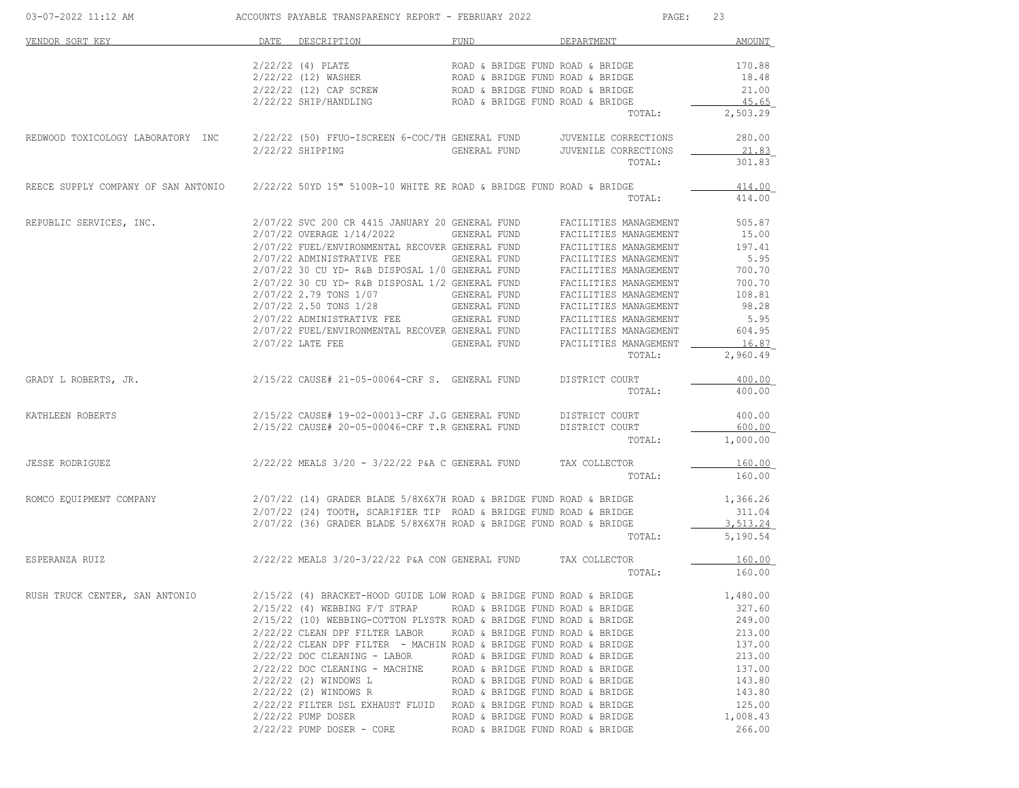| 03-07-2022 11:12 AM                                                                                     |      | ACCOUNTS PAYABLE TRANSPARENCY REPORT - FEBRUARY 2022                          |                                                                      | PAGE:                                          | 23                    |
|---------------------------------------------------------------------------------------------------------|------|-------------------------------------------------------------------------------|----------------------------------------------------------------------|------------------------------------------------|-----------------------|
| VENDOR SORT KEY                                                                                         | DATE | DESCRIPTION                                                                   | <b>FUND</b>                                                          | DEPARTMENT                                     | AMOUNT                |
|                                                                                                         |      | $2/22/22$ (4) PLATE                                                           | ROAD & BRIDGE FUND ROAD & BRIDGE                                     |                                                | 170.88                |
|                                                                                                         |      | 2/22/22 (12) WASHER                                                           | ROAD & BRIDGE FUND ROAD & BRIDGE<br>ROAD & BRIDGE FUND ROAD & BRIDGE |                                                | 18.48                 |
|                                                                                                         |      | $2/22/22$ (12) CAP SCREW ROAD & BRIDGE FUND ROAD & BRIDGE                     |                                                                      |                                                | 21.00                 |
|                                                                                                         |      | 2/22/22 SHIP/HANDLING                                                         | ROAD & BRIDGE FUND ROAD & BRIDGE                                     |                                                | 45.65                 |
|                                                                                                         |      |                                                                               |                                                                      | TOTAL:                                         | 2,503.29              |
| REDWOOD TOXICOLOGY LABORATORY INC 2/22/22 (50) FFUO-ISCREEN 6-COC/TH GENERAL FUND JUVENILE CORRECTIONS  |      |                                                                               |                                                                      |                                                | 280.00                |
|                                                                                                         |      | 2/22/22 SHIPPING                                                              | GENERAL FUND                                                         | JUVENILE CORRECTIONS                           | 21.83                 |
|                                                                                                         |      |                                                                               |                                                                      | TOTAL:                                         | 301.83                |
| REECE SUPPLY COMPANY OF SAN ANTONIO 2/22/22 50YD 15" 5100R-10 WHITE RE ROAD & BRIDGE FUND ROAD & BRIDGE |      |                                                                               |                                                                      |                                                | 414.00                |
|                                                                                                         |      |                                                                               |                                                                      | TOTAL:                                         | 414.00                |
| REPUBLIC SERVICES, INC.                                                                                 |      | 2/07/22 SVC 200 CR 4415 JANUARY 20 GENERAL FUND                               |                                                                      | FACILITIES MANAGEMENT                          | 505.87                |
|                                                                                                         |      | 2/07/22 OVERAGE 1/14/2022                                                     | GENERAL FUND                                                         | FACILITIES MANAGEMENT                          | 15.00                 |
|                                                                                                         |      | 2/07/22 FUEL/ENVIRONMENTAL RECOVER GENERAL FUND                               |                                                                      | FACILITIES MANAGEMENT                          | 197.41                |
|                                                                                                         |      | 2/07/22 ADMINISTRATIVE FEE<br>2/07/22 30 CU YD- R&B DISPOSAL 1/0 GENERAL FUND | GENERAL FUND                                                         | FACILITIES MANAGEMENT<br>FACILITIES MANAGEMENT | 5.95<br>700.70        |
|                                                                                                         |      | 2/07/22 30 CU YD- R&B DISPOSAL 1/2 GENERAL FUND                               |                                                                      | FACILITIES MANAGEMENT                          | 700.70                |
|                                                                                                         |      | 2/07/22 2.79 TONS 1/07                                                        | GENERAL FUND                                                         | FACILITIES MANAGEMENT                          | 108.81                |
|                                                                                                         |      | 2/07/22 2.50 TONS 1/28                                                        | GENERAL FUND                                                         | FACILITIES MANAGEMENT                          | 98.28                 |
|                                                                                                         |      | 2/07/22 ADMINISTRATIVE FEE                                                    | GENERAL FUND                                                         | FACILITIES MANAGEMENT                          | 5.95                  |
|                                                                                                         |      | 2/07/22 FUEL/ENVIRONMENTAL RECOVER GENERAL FUND                               |                                                                      | FACILITIES MANAGEMENT                          | 604.95                |
|                                                                                                         |      | $2/07/22$ LATE FEE                                                            | GENERAL FUND                                                         | FACILITIES MANAGEMENT                          | 16.87                 |
|                                                                                                         |      |                                                                               |                                                                      | TOTAL:                                         | 2,960.49              |
| GRADY L ROBERTS, JR.                                                                                    |      | 2/15/22 CAUSE# 21-05-00064-CRF S. GENERAL FUND                                |                                                                      | DISTRICT COURT                                 | 400.00                |
|                                                                                                         |      |                                                                               |                                                                      | TOTAL:                                         | 400.00                |
| KATHLEEN ROBERTS                                                                                        |      | 2/15/22 CAUSE# 19-02-00013-CRF J.G GENERAL FUND                               |                                                                      | DISTRICT COURT                                 | 400.00                |
|                                                                                                         |      | 2/15/22 CAUSE# 20-05-00046-CRF T.R GENERAL FUND                               |                                                                      | DISTRICT COURT                                 | 600.00                |
|                                                                                                         |      |                                                                               |                                                                      | TOTAL:                                         | 1,000.00              |
| JESSE RODRIGUEZ                                                                                         |      | 2/22/22 MEALS 3/20 - 3/22/22 P&A C GENERAL FUND                               |                                                                      | TAX COLLECTOR                                  | 160.00                |
|                                                                                                         |      |                                                                               |                                                                      | TOTAL:                                         | 160.00                |
| ROMCO EQUIPMENT COMPANY                                                                                 |      | $2/07/22$ (14) GRADER BLADE 5/8X6X7H ROAD & BRIDGE FUND ROAD & BRIDGE         |                                                                      |                                                | 1,366.26              |
|                                                                                                         |      | 2/07/22 (24) TOOTH, SCARIFIER TIP ROAD & BRIDGE FUND ROAD & BRIDGE            |                                                                      |                                                | 311.04                |
|                                                                                                         |      | $2/07/22$ (36) GRADER BLADE 5/8X6X7H ROAD & BRIDGE FUND ROAD & BRIDGE         |                                                                      | TOTAL:                                         | 3, 513.24<br>5,190.54 |
| ESPERANZA RUIZ                                                                                          |      | 2/22/22 MEALS 3/20-3/22/22 P&A CON GENERAL FUND TAX COLLECTOR                 |                                                                      |                                                | 160.00                |
|                                                                                                         |      |                                                                               |                                                                      | TOTAL:                                         | 160.00                |
| RUSH TRUCK CENTER, SAN ANTONIO                                                                          |      | 2/15/22 (4) BRACKET-HOOD GUIDE LOW ROAD & BRIDGE FUND ROAD & BRIDGE           |                                                                      |                                                | 1,480.00              |
|                                                                                                         |      | $2/15/22$ (4) WEBBING F/T STRAP                                               | ROAD & BRIDGE FUND ROAD & BRIDGE                                     |                                                | 327.60                |
|                                                                                                         |      | 2/15/22 (10) WEBBING-COTTON PLYSTR ROAD & BRIDGE FUND ROAD & BRIDGE           |                                                                      |                                                | 249.00                |
|                                                                                                         |      | 2/22/22 CLEAN DPF FILTER LABOR                                                | ROAD & BRIDGE FUND ROAD & BRIDGE                                     |                                                | 213.00                |
|                                                                                                         |      | 2/22/22 CLEAN DPF FILTER - MACHIN ROAD & BRIDGE FUND ROAD & BRIDGE            |                                                                      |                                                | 137.00                |
|                                                                                                         |      | $2/22/22$ DOC CLEANING - LABOR                                                | ROAD & BRIDGE FUND ROAD & BRIDGE                                     |                                                | 213.00                |
|                                                                                                         |      | 2/22/22 DOC CLEANING - MACHINE                                                | ROAD & BRIDGE FUND ROAD & BRIDGE                                     |                                                | 137.00                |
|                                                                                                         |      | 2/22/22 (2) WINDOWS L                                                         | ROAD & BRIDGE FUND ROAD & BRIDGE                                     |                                                | 143.80                |
|                                                                                                         |      | 2/22/22 (2) WINDOWS R                                                         | ROAD & BRIDGE FUND ROAD & BRIDGE                                     |                                                | 143.80                |
|                                                                                                         |      | 2/22/22 FILTER DSL EXHAUST FLUID ROAD & BRIDGE FUND ROAD & BRIDGE             |                                                                      |                                                | 125.00                |
|                                                                                                         |      | 2/22/22 PUMP DOSER                                                            | ROAD & BRIDGE FUND ROAD & BRIDGE                                     |                                                | 1,008.43              |
|                                                                                                         |      | $2/22/22$ PUMP DOSER - CORE                                                   | ROAD & BRIDGE FUND ROAD & BRIDGE                                     |                                                | 266.00                |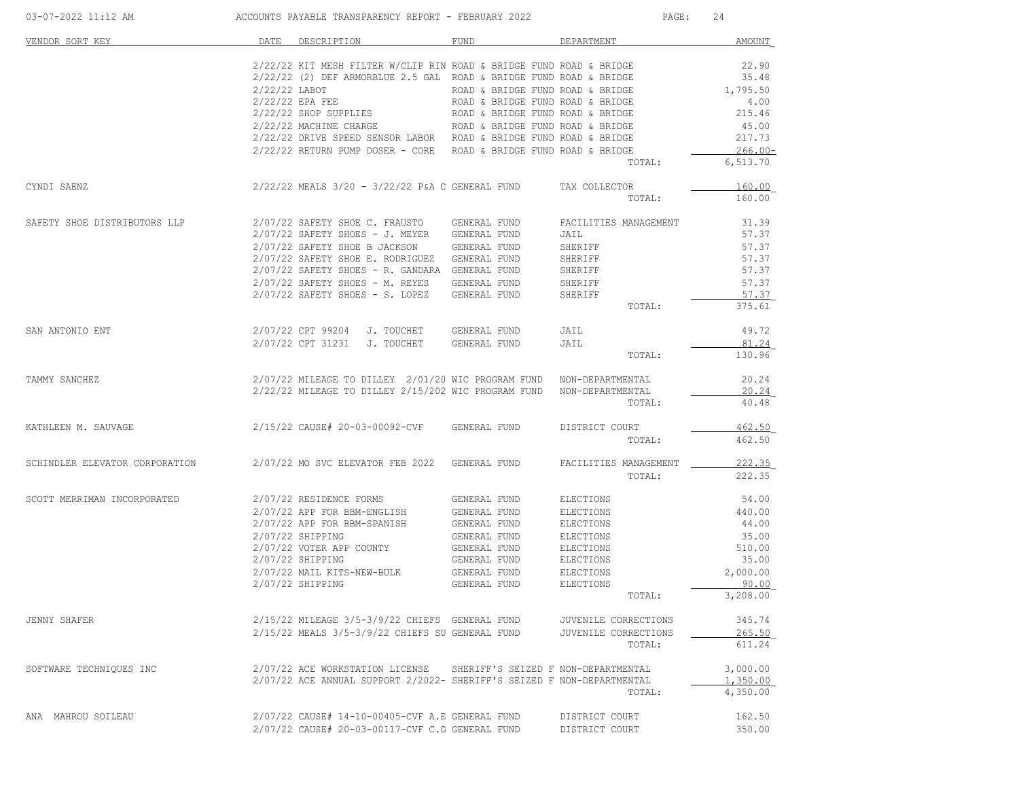| 03-07-2022 11:12 AM            |                 | ACCOUNTS PAYABLE TRANSPARENCY REPORT - FEBRUARY 2022                   |                                  | PAGE:                 | 24            |
|--------------------------------|-----------------|------------------------------------------------------------------------|----------------------------------|-----------------------|---------------|
| VENDOR SORT KEY                | DATE            | DESCRIPTION                                                            | FUND                             | DEPARTMENT            | <b>AMOUNT</b> |
|                                |                 | 2/22/22 KIT MESH FILTER W/CLIP RIN ROAD & BRIDGE FUND ROAD & BRIDGE    |                                  |                       | 22.90         |
|                                |                 | 2/22/22 (2) DEF ARMORBLUE 2.5 GAL ROAD & BRIDGE FUND ROAD & BRIDGE     |                                  |                       | 35.48         |
|                                | $2/22/22$ LABOT |                                                                        | ROAD & BRIDGE FUND ROAD & BRIDGE |                       | 1,795.50      |
|                                |                 | 2/22/22 EPA FEE                                                        | ROAD & BRIDGE FUND ROAD & BRIDGE |                       | 4.00          |
|                                |                 | 2/22/22 SHOP SUPPLIES                                                  | ROAD & BRIDGE FUND ROAD & BRIDGE |                       | 215.46        |
|                                |                 | 2/22/22 MACHINE CHARGE                                                 | ROAD & BRIDGE FUND ROAD & BRIDGE |                       | 45.00         |
|                                |                 | 2/22/22 DRIVE SPEED SENSOR LABOR ROAD & BRIDGE FUND ROAD & BRIDGE      |                                  |                       | 217.73        |
|                                |                 | 2/22/22 RETURN PUMP DOSER - CORE ROAD & BRIDGE FUND ROAD & BRIDGE      |                                  |                       | $266.00 -$    |
|                                |                 |                                                                        |                                  | TOTAL:                | 6,513.70      |
| CYNDI SAENZ                    |                 | $2/22/22$ MEALS $3/20$ - $3/22/22$ P&A C GENERAL FUND                  |                                  | TAX COLLECTOR         | 160.00        |
|                                |                 |                                                                        |                                  | TOTAL:                | 160.00        |
| SAFETY SHOE DISTRIBUTORS LLP   |                 | 2/07/22 SAFETY SHOE C. FRAUSTO                                         | GENERAL FUND                     | FACILITIES MANAGEMENT | 31.39         |
|                                |                 | $2/07/22$ SAFETY SHOES - J. MEYER                                      | GENERAL FUND                     | JAIL                  | 57.37         |
|                                |                 | 2/07/22 SAFETY SHOE B JACKSON                                          | GENERAL FUND                     | SHERIFF               | 57.37         |
|                                |                 | 2/07/22 SAFETY SHOE E. RODRIGUEZ                                       | GENERAL FUND                     | SHERIFF               | 57.37         |
|                                |                 | 2/07/22 SAFETY SHOES - R. GANDARA GENERAL FUND                         |                                  | SHERIFF               | 57.37         |
|                                |                 | 2/07/22 SAFETY SHOES - M. REYES                                        | GENERAL FUND                     | SHERIFF               | 57.37         |
|                                |                 | $2/07/22$ SAFETY SHOES - S. LOPEZ                                      | GENERAL FUND                     | SHERIFF               | 57.37         |
|                                |                 |                                                                        |                                  | TOTAL:                | 375.61        |
| SAN ANTONIO ENT                |                 | 2/07/22 CPT 99204 J. TOUCHET                                           | GENERAL FUND                     | JAIL                  | 49.72         |
|                                |                 | 2/07/22 CPT 31231<br>J. TOUCHET                                        | GENERAL FUND                     | JAIL                  | 81.24         |
|                                |                 |                                                                        |                                  | TOTAL:                | 130.96        |
| TAMMY SANCHEZ                  |                 | 2/07/22 MILEAGE TO DILLEY 2/01/20 WIC PROGRAM FUND NON-DEPARTMENTAL    |                                  |                       | 20.24         |
|                                |                 | 2/22/22 MILEAGE TO DILLEY 2/15/202 WIC PROGRAM FUND                    |                                  | NON-DEPARTMENTAL      | 20.24         |
|                                |                 |                                                                        |                                  | TOTAL:                | 40.48         |
| KATHLEEN M. SAUVAGE            |                 | 2/15/22 CAUSE# 20-03-00092-CVF                                         | GENERAL FUND                     | DISTRICT COURT        | 462.50        |
|                                |                 |                                                                        |                                  | TOTAL:                | 462.50        |
| SCHINDLER ELEVATOR CORPORATION |                 | 2/07/22 MO SVC ELEVATOR FEB 2022 GENERAL FUND                          |                                  | FACILITIES MANAGEMENT | 222.35        |
|                                |                 |                                                                        |                                  | TOTAL:                | 222.35        |
| SCOTT MERRIMAN INCORPORATED    |                 | 2/07/22 RESIDENCE FORMS                                                | GENERAL FUND                     | ELECTIONS             | 54.00         |
|                                |                 | 2/07/22 APP FOR BBM-ENGLISH                                            | GENERAL FUND                     | ELECTIONS             | 440.00        |
|                                |                 | 2/07/22 APP FOR BBM-SPANISH                                            | GENERAL FUND                     | ELECTIONS             | 44.00         |
|                                |                 | 2/07/22 SHIPPING                                                       | GENERAL FUND                     | ELECTIONS             | 35.00         |
|                                |                 | 2/07/22 VOTER APP COUNTY                                               | GENERAL FUND                     | ELECTIONS             | 510.00        |
|                                |                 | 2/07/22 SHIPPING                                                       | GENERAL FUND                     | ELECTIONS             | 35.00         |
|                                |                 | 2/07/22 MAIL KITS-NEW-BULK                                             | GENERAL FUND                     | ELECTIONS             | 2,000.00      |
|                                |                 | $2/07/22$ SHIPPING                                                     | GENERAL FUND                     | <b>ELECTIONS</b>      | 90.00         |
|                                |                 |                                                                        |                                  | TOTAL:                | 3,208.00      |
| <b>JENNY SHAFER</b>            |                 | 2/15/22 MILEAGE 3/5-3/9/22 CHIEFS GENERAL FUND JUVENILE CORRECTIONS    |                                  |                       | 345.74        |
|                                |                 | 2/15/22 MEALS 3/5-3/9/22 CHIEFS SU GENERAL FUND                        |                                  | JUVENILE CORRECTIONS  | 265.50        |
|                                |                 |                                                                        |                                  | TOTAL:                | 611.24        |
| SOFTWARE TECHNIQUES INC        |                 | 2/07/22 ACE WORKSTATION LICENSE SHERIFF'S SEIZED F NON-DEPARTMENTAL    |                                  |                       | 3,000.00      |
|                                |                 | 2/07/22 ACE ANNUAL SUPPORT 2/2022- SHERIFF'S SEIZED F NON-DEPARTMENTAL |                                  |                       | 1,350.00      |
|                                |                 |                                                                        |                                  | TOTAL:                | 4,350.00      |
| ANA MAHROU SOILEAU             |                 | $2/07/22$ CAUSE# 14-10-00405-CVF A.E GENERAL FUND                      |                                  | DISTRICT COURT        | 162.50        |
|                                |                 | 2/07/22 CAUSE# 20-03-00117-CVF C.G GENERAL FUND                        |                                  | DISTRICT COURT        | 350.00        |
|                                |                 |                                                                        |                                  |                       |               |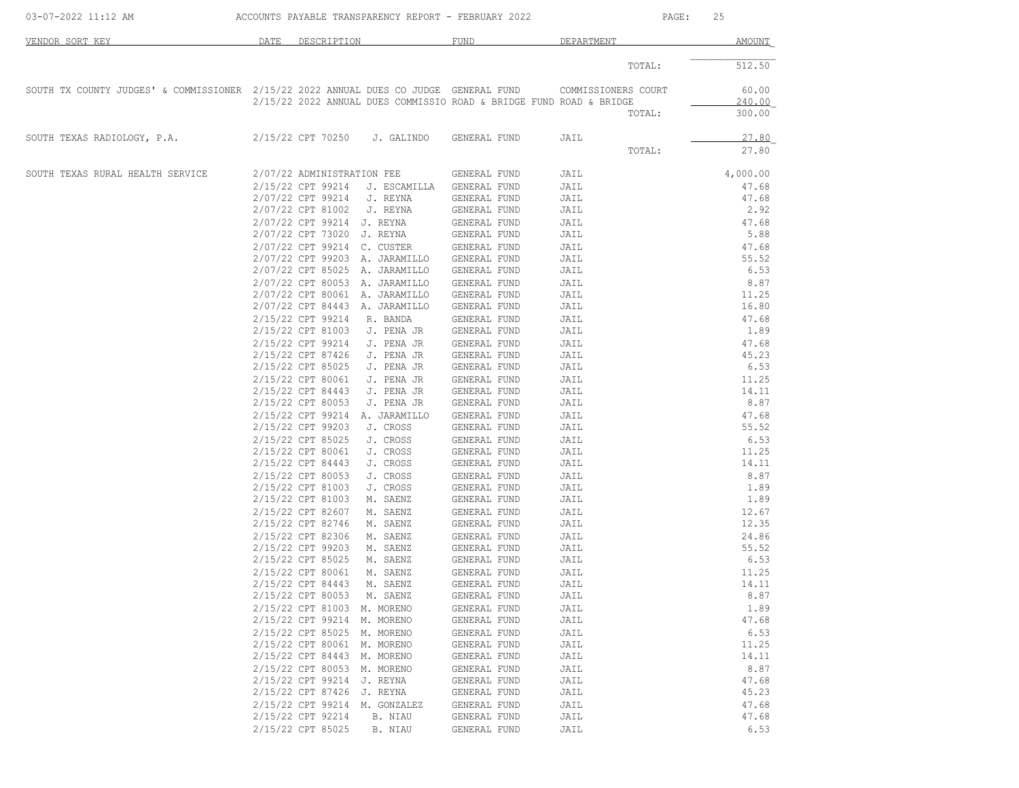| 03-07-2022 11:12 AM                                                                   |      |                                        | ACCOUNTS PAYABLE TRANSPARENCY REPORT - FEBRUARY 2022                |                              |                     | PAGE:  | 25             |
|---------------------------------------------------------------------------------------|------|----------------------------------------|---------------------------------------------------------------------|------------------------------|---------------------|--------|----------------|
| VENDOR SORT KEY                                                                       | DATE | DESCRIPTION                            |                                                                     | FUND                         | DEPARTMENT          |        | AMOUNT         |
|                                                                                       |      |                                        |                                                                     |                              |                     | TOTAL: | 512.50         |
| SOUTH TX COUNTY JUDGES' & COMMISSIONER 2/15/22 2022 ANNUAL DUES CO JUDGE GENERAL FUND |      |                                        |                                                                     |                              | COMMISSIONERS COURT |        | 60.00          |
|                                                                                       |      |                                        | 2/15/22 2022 ANNUAL DUES COMMISSIO ROAD & BRIDGE FUND ROAD & BRIDGE |                              |                     |        | 240.00         |
|                                                                                       |      |                                        |                                                                     |                              |                     | TOTAL: | 300.00         |
| SOUTH TEXAS RADIOLOGY, P.A.                                                           |      | 2/15/22 CPT 70250                      | J. GALINDO                                                          | GENERAL FUND                 | JAIL                |        | 27.80          |
|                                                                                       |      |                                        |                                                                     |                              |                     | TOTAL: | 27.80          |
| SOUTH TEXAS RURAL HEALTH SERVICE                                                      |      | 2/07/22 ADMINISTRATION FEE             |                                                                     | GENERAL FUND                 | JAIL                |        | 4,000.00       |
|                                                                                       |      | 2/15/22 CPT 99214                      | J. ESCAMILLA                                                        | GENERAL FUND                 | JAIL                |        | 47.68          |
|                                                                                       |      | 2/07/22 CPT 99214                      | J. REYNA                                                            | GENERAL FUND                 | JAIL                |        | 47.68          |
|                                                                                       |      | 2/07/22 CPT 81002                      | J. REYNA                                                            | GENERAL FUND                 | JAIL                |        | 2.92           |
|                                                                                       |      | 2/07/22 CPT 99214 J. REYNA             |                                                                     | GENERAL FUND                 | JAIL                |        | 47.68          |
|                                                                                       |      | 2/07/22 CPT 73020 J. REYNA             |                                                                     | GENERAL FUND                 | JAIL                |        | 5.88           |
|                                                                                       |      | 2/07/22 CPT 99214 C. CUSTER            |                                                                     | GENERAL FUND                 | JAIL                |        | 47.68          |
|                                                                                       |      |                                        | 2/07/22 CPT 99203 A. JARAMILLO                                      | GENERAL FUND                 | JAIL                |        | 55.52          |
|                                                                                       |      |                                        | 2/07/22 CPT 85025 A. JARAMILLO                                      | GENERAL FUND                 | JAIL                |        | 6.53           |
|                                                                                       |      | 2/07/22 CPT 80053                      | A. JARAMILLO                                                        | GENERAL FUND                 | JAIL                |        | 8.87           |
|                                                                                       |      |                                        | 2/07/22 CPT 80061 A. JARAMILLO                                      | GENERAL FUND                 | JAIL                |        | 11.25          |
|                                                                                       |      |                                        | 2/07/22 CPT 84443 A. JARAMILLO                                      | GENERAL FUND                 | JAIL                |        | 16.80          |
|                                                                                       |      | 2/15/22 CPT 99214                      | R. BANDA                                                            | GENERAL FUND                 | JAIL                |        | 47.68          |
|                                                                                       |      | 2/15/22 CPT 81003                      | J. PENA JR                                                          | GENERAL FUND                 | JAIL                |        | 1.89           |
|                                                                                       |      | 2/15/22 CPT 99214                      | J. PENA JR                                                          | GENERAL FUND                 | JAIL                |        | 47.68          |
|                                                                                       |      | 2/15/22 CPT 87426                      | J. PENA JR                                                          | GENERAL FUND                 | JAIL                |        | 45.23          |
|                                                                                       |      | 2/15/22 CPT 85025                      | J. PENA JR                                                          | GENERAL FUND                 | JAIL                |        | 6.53           |
|                                                                                       |      | 2/15/22 CPT 80061                      | J. PENA JR                                                          | GENERAL FUND                 | JAIL                |        | 11.25          |
|                                                                                       |      | 2/15/22 CPT 84443                      | J. PENA JR                                                          | GENERAL FUND                 | JAIL                |        | 14.11          |
|                                                                                       |      | 2/15/22 CPT 80053                      | J. PENA JR                                                          | GENERAL FUND                 | JAIL                |        | 8.87           |
|                                                                                       |      | 2/15/22 CPT 99214                      | A. JARAMILLO                                                        | GENERAL FUND                 | JAIL                |        | 47.68          |
|                                                                                       |      | 2/15/22 CPT 99203                      | J. CROSS                                                            | GENERAL FUND                 | JAIL                |        | 55.52          |
|                                                                                       |      | 2/15/22 CPT 85025                      | J. CROSS                                                            | GENERAL FUND                 | JAIL                |        | 6.53           |
|                                                                                       |      | 2/15/22 CPT 80061                      | J. CROSS                                                            | GENERAL FUND                 | JAIL                |        | 11.25          |
|                                                                                       |      | 2/15/22 CPT 84443                      | J. CROSS                                                            | GENERAL FUND                 | JAIL                |        | 14.11          |
|                                                                                       |      | 2/15/22 CPT 80053                      | J. CROSS                                                            | GENERAL FUND                 | JAIL                |        | 8.87           |
|                                                                                       |      | 2/15/22 CPT 81003                      | J. CROSS                                                            | GENERAL FUND                 | JAIL                |        | 1.89           |
|                                                                                       |      | 2/15/22 CPT 81003                      | M. SAENZ                                                            | GENERAL FUND                 | JAIL                |        | 1.89           |
|                                                                                       |      | 2/15/22 CPT 82607<br>2/15/22 CPT 82746 | M. SAENZ<br>M. SAENZ                                                | GENERAL FUND                 | JAIL                |        | 12.67<br>12.35 |
|                                                                                       |      | 2/15/22 CPT 82306                      |                                                                     | GENERAL FUND                 | JAIL                |        | 24.86          |
|                                                                                       |      | 2/15/22 CPT 99203                      | M. SAENZ<br>M. SAENZ                                                | GENERAL FUND                 | JAIL                |        | 55.52          |
|                                                                                       |      | 2/15/22 CPT 85025                      | M. SAENZ                                                            | GENERAL FUND<br>GENERAL FUND | JAIL<br>JAIL        |        | 6.53           |
|                                                                                       |      | 2/15/22 CPT 80061                      | M. SAENZ                                                            | GENERAL FUND                 |                     |        | 11.25          |
|                                                                                       |      | 2/15/22 CPT 84443                      | M. SAENZ                                                            | GENERAL FUND                 | JAIL<br>JAIL        |        | 14.11          |
|                                                                                       |      | 2/15/22 CPT 80053                      | M. SAENZ                                                            | GENERAL FUND                 | JAIL                |        | 8.87           |
|                                                                                       |      | 2/15/22 CPT 81003                      | M. MORENO                                                           | GENERAL FUND                 | JAIL                |        | 1.89           |
|                                                                                       |      | 2/15/22 CPT 99214 M. MORENO            |                                                                     | GENERAL FUND                 | JAIL                |        | 47.68          |
|                                                                                       |      | 2/15/22 CPT 85025                      | M. MORENO                                                           | GENERAL FUND                 | JAIL                |        | 6.53           |
|                                                                                       |      | 2/15/22 CPT 80061                      | M. MORENO                                                           | GENERAL FUND                 | JAIL                |        | 11.25          |
|                                                                                       |      | 2/15/22 CPT 84443                      | M. MORENO                                                           | GENERAL FUND                 | JAIL                |        | 14.11          |
|                                                                                       |      | 2/15/22 CPT 80053                      | M. MORENO                                                           | GENERAL FUND                 | JAIL                |        | 8.87           |
|                                                                                       |      | 2/15/22 CPT 99214                      | J. REYNA                                                            | GENERAL FUND                 | JAIL                |        | 47.68          |
|                                                                                       |      | 2/15/22 CPT 87426 J. REYNA             |                                                                     | GENERAL FUND                 | JAIL                |        | 45.23          |
|                                                                                       |      |                                        | 2/15/22 CPT 99214 M. GONZALEZ                                       | GENERAL FUND                 | JAIL                |        | 47.68          |
|                                                                                       |      | 2/15/22 CPT 92214                      | B. NIAU                                                             | GENERAL FUND                 | JAIL                |        | 47.68          |
|                                                                                       |      | 2/15/22 CPT 85025                      | B. NIAU                                                             | GENERAL FUND                 | JAIL                |        | 6.53           |
|                                                                                       |      |                                        |                                                                     |                              |                     |        |                |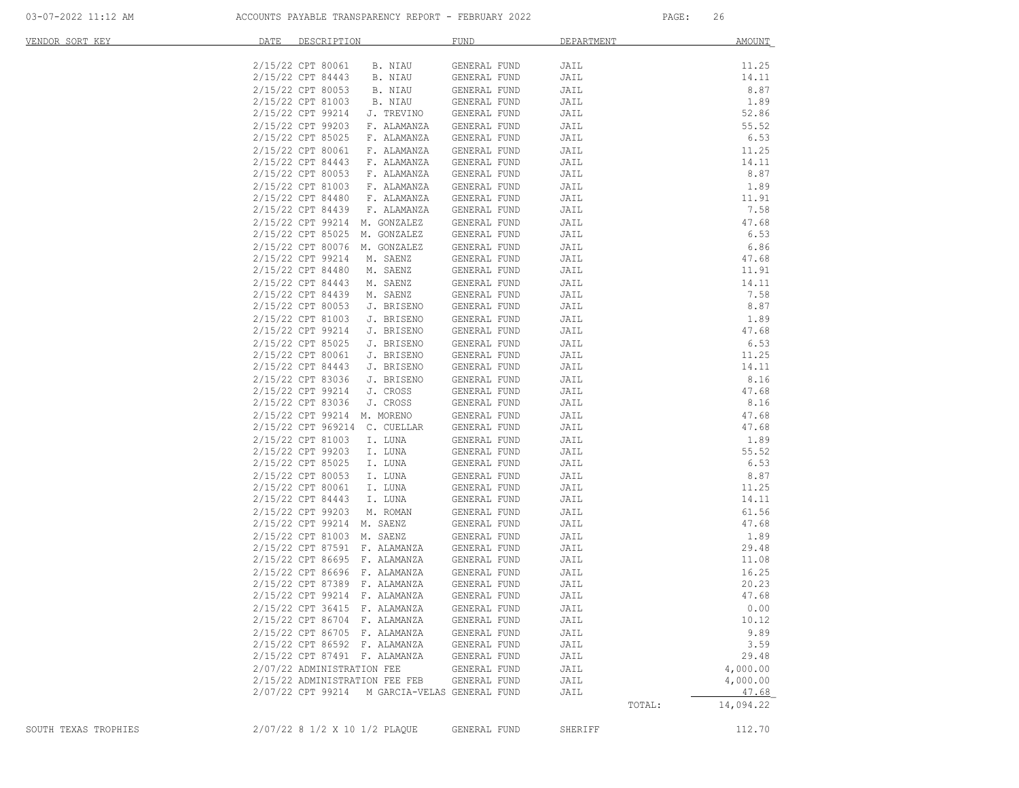| VENDOR SORT KEY      | DATE<br>DESCRIPTION                           | <b>FUND</b>         | DEPARTMENT | <b>AMOUNT</b> |
|----------------------|-----------------------------------------------|---------------------|------------|---------------|
|                      | 2/15/22 CPT 80061<br>B. NIAU                  | GENERAL FUND        | JAIL       | 11.25         |
|                      | 2/15/22 CPT 84443<br>B. NIAU                  | GENERAL FUND        | JAIL       | 14.11         |
|                      | 2/15/22 CPT 80053<br>B. NIAU                  | GENERAL FUND        | JAIL       | 8.87          |
|                      | 2/15/22 CPT 81003<br>B. NIAU                  | GENERAL FUND        | JAIL       | 1.89          |
|                      | 2/15/22 CPT 99214<br>J. TREVINO               | GENERAL FUND        | JAIL       | 52.86         |
|                      | 2/15/22 CPT 99203<br>F. ALAMANZA              | GENERAL FUND        | JAIL       | 55.52         |
|                      | 2/15/22 CPT 85025<br>F. ALAMANZA              | GENERAL FUND        | JAIL       | 6.53          |
|                      | 2/15/22 CPT 80061<br>F. ALAMANZA              | GENERAL FUND        | JAIL       | 11.25         |
|                      | 2/15/22 CPT 84443<br>F. ALAMANZA              | GENERAL FUND        | JAIL       | 14.11         |
|                      | 2/15/22 CPT 80053<br>F. ALAMANZA              | GENERAL FUND        | JAIL       | 8.87          |
|                      | 2/15/22 CPT 81003<br>F. ALAMANZA              | GENERAL FUND        | JAIL       | 1.89          |
|                      | 2/15/22 CPT 84480 F. ALAMANZA                 | GENERAL FUND        | JAIL       | 11.91         |
|                      | 2/15/22 CPT 84439<br>F. ALAMANZA              | GENERAL FUND        | JAIL       | 7.58          |
|                      | 2/15/22 CPT 99214 M. GONZALEZ                 | GENERAL FUND        | JAIL       | 47.68         |
|                      | 2/15/22 CPT 85025 M. GONZALEZ                 | GENERAL FUND        | JAIL       | 6.53          |
|                      | 2/15/22 CPT 80076 M. GONZALEZ                 | GENERAL FUND        | JAIL       | 6.86          |
|                      | 2/15/22 CPT 99214<br>M. SAENZ                 | GENERAL FUND        | JAIL       | 47.68         |
|                      | 2/15/22 CPT 84480<br>M. SAENZ                 | GENERAL FUND        | JAIL       | 11.91         |
|                      | 2/15/22 CPT 84443<br>M. SAENZ                 | GENERAL FUND        | JAIL       | 14.11         |
|                      | 2/15/22 CPT 84439<br>M. SAENZ                 | GENERAL FUND        | JAIL       | 7.58          |
|                      | 2/15/22 CPT 80053<br>J. BRISENO               | GENERAL FUND        | JAIL       | 8.87          |
|                      | 2/15/22 CPT 81003<br>J. BRISENO               | GENERAL FUND        | JAIL       | 1.89          |
|                      | 2/15/22 CPT 99214<br>J. BRISENO               | GENERAL FUND        | JAIL       | 47.68         |
|                      | 2/15/22 CPT 85025<br>J. BRISENO               | GENERAL FUND        | JAIL       | 6.53          |
|                      | 2/15/22 CPT 80061<br>J. BRISENO               | GENERAL FUND        | JAIL       | 11.25         |
|                      | 2/15/22 CPT 84443<br>J. BRISENO               | GENERAL FUND        | JAIL       | 14.11         |
|                      | 2/15/22 CPT 83036<br>J. BRISENO               | GENERAL FUND        | JAIL       | 8.16          |
|                      | 2/15/22 CPT 99214<br>J. CROSS                 | GENERAL FUND        | JAIL       | 47.68         |
|                      | 2/15/22 CPT 83036<br>J. CROSS                 | GENERAL FUND        | JAIL       | 8.16          |
|                      | 2/15/22 CPT 99214 M. MORENO                   | GENERAL FUND        | JAIL       | 47.68         |
|                      | 2/15/22 CPT 969214 C. CUELLAR                 | GENERAL FUND        | JAIL       | 47.68         |
|                      | 2/15/22 CPT 81003<br>I. LUNA                  | GENERAL FUND        | JAIL       | 1.89          |
|                      | 2/15/22 CPT 99203<br>I. LUNA                  | GENERAL FUND        | JAIL       | 55.52         |
|                      | 2/15/22 CPT 85025<br>I. LUNA                  | GENERAL FUND        | JAIL       | 6.53          |
|                      | 2/15/22 CPT 80053<br>I. LUNA                  | GENERAL FUND        | JAIL       | 8.87          |
|                      | 2/15/22 CPT 80061<br>I. LUNA                  | GENERAL FUND        | JAIL       | 11.25         |
|                      | 2/15/22 CPT 84443 I. LUNA                     | GENERAL FUND        | JAIL       | 14.11         |
|                      | 2/15/22 CPT 99203<br>M. ROMAN                 | GENERAL FUND        | JAIL       | 61.56         |
|                      | 2/15/22 CPT 99214 M. SAENZ                    | GENERAL FUND        | JAIL       | 47.68         |
|                      | 2/15/22 CPT 81003 M. SAENZ                    | GENERAL FUND        | JAIL       | 1.89          |
|                      | 2/15/22 CPT 87591 F. ALAMANZA                 | GENERAL FUND        | JAIL       | 29.48         |
|                      | 2/15/22 CPT 86695 F. ALAMANZA                 | GENERAL FUND        | JAIL       | 11.08         |
|                      | 2/15/22 CPT 86696 F. ALAMANZA                 | GENERAL FUND        | JAIL       | 16.25         |
|                      | 2/15/22 CPT 87389 F. ALAMANZA                 | GENERAL FUND        | JAIL       | 20.23         |
|                      | 2/15/22 CPT 99214 F. ALAMANZA                 | GENERAL FUND        | JAIL       | 47.68         |
|                      | 2/15/22 CPT 36415 F. ALAMANZA                 | GENERAL FUND        | JAIL       | 0.00          |
|                      | 2/15/22 CPT 86704 F. ALAMANZA                 | GENERAL FUND        | JAIL       | 10.12         |
|                      | 2/15/22 CPT 86705 F. ALAMANZA                 | GENERAL FUND        | JAIL       | 9.89          |
|                      | 2/15/22 CPT 86592 F. ALAMANZA                 | <b>GENERAL FUND</b> | JAIL       | 3.59          |
|                      | 2/15/22 CPT 87491 F. ALAMANZA                 | <b>GENERAL FUND</b> | JAIL       | 29.48         |
|                      | 2/07/22 ADMINISTRATION FEE                    | GENERAL FUND        | JAIL       | 4,000.00      |
|                      | 2/15/22 ADMINISTRATION FEE FEB                | GENERAL FUND        | JAIL       | 4,000.00      |
|                      | 2/07/22 CPT 99214 M GARCIA-VELAS GENERAL FUND |                     | JAIL       | 47.68         |
|                      |                                               |                     | TOTAL:     | 14,094.22     |
| SOUTH TEXAS TROPHIES | 2/07/22 8 1/2 X 10 1/2 PLAQUE                 | GENERAL FUND        | SHERIFF    | 112.70        |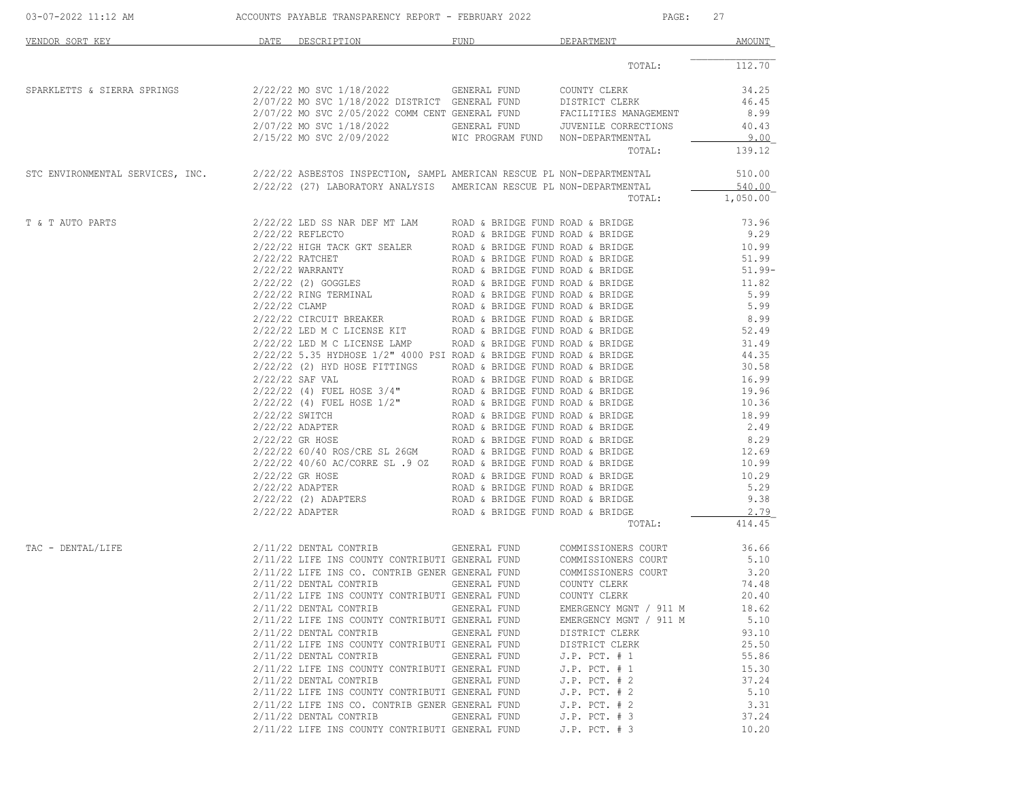| VENDOR SORT KEY                  | DATE                            | DESCRIPTION                                                                                                                                                                                                                                                                                                                                                                                                                                                                                                                                                                                                                                                                                                                                                                                                                                                                                                                                                                                                                          | FUND                                                                                                                                                                                                                                                                                                                                                                                                                                                                                                                                                                                                                                                                                                                                         | DEPARTMENT                                                                                                                                                                                                                                                                                                                                   | AMOUNT                                                                                                                                                                                                                             |
|----------------------------------|---------------------------------|--------------------------------------------------------------------------------------------------------------------------------------------------------------------------------------------------------------------------------------------------------------------------------------------------------------------------------------------------------------------------------------------------------------------------------------------------------------------------------------------------------------------------------------------------------------------------------------------------------------------------------------------------------------------------------------------------------------------------------------------------------------------------------------------------------------------------------------------------------------------------------------------------------------------------------------------------------------------------------------------------------------------------------------|----------------------------------------------------------------------------------------------------------------------------------------------------------------------------------------------------------------------------------------------------------------------------------------------------------------------------------------------------------------------------------------------------------------------------------------------------------------------------------------------------------------------------------------------------------------------------------------------------------------------------------------------------------------------------------------------------------------------------------------------|----------------------------------------------------------------------------------------------------------------------------------------------------------------------------------------------------------------------------------------------------------------------------------------------------------------------------------------------|------------------------------------------------------------------------------------------------------------------------------------------------------------------------------------------------------------------------------------|
|                                  |                                 |                                                                                                                                                                                                                                                                                                                                                                                                                                                                                                                                                                                                                                                                                                                                                                                                                                                                                                                                                                                                                                      |                                                                                                                                                                                                                                                                                                                                                                                                                                                                                                                                                                                                                                                                                                                                              | TOTAL:                                                                                                                                                                                                                                                                                                                                       | 112.70                                                                                                                                                                                                                             |
| SPARKLETTS & SIERRA SPRINGS      |                                 | 2/22/22 MO SVC 1/18/2022<br>2/07/22 MO SVC 1/18/2022 DISTRICT GENERAL FUND<br>2/07/22 MO SVC 2/05/2022 COMM CENT GENERAL FUND<br>2/07/22 MO SVC 1/18/2022<br>2/15/22 MO SVC 2/09/2022                                                                                                                                                                                                                                                                                                                                                                                                                                                                                                                                                                                                                                                                                                                                                                                                                                                | GENERAL FUND<br>GENERAL FUND<br>WIC PROGRAM FUND NON-DEPARTMENTAL                                                                                                                                                                                                                                                                                                                                                                                                                                                                                                                                                                                                                                                                            | COUNTY CLERK<br>DISTRICT CLERK<br>FACILITIES MANAGEMENT<br>JUVENILE CORRECTIONS<br>TOTAL:                                                                                                                                                                                                                                                    | 34.25<br>46.45<br>8.99<br>40.43<br>9.00<br>139.12                                                                                                                                                                                  |
| STC ENVIRONMENTAL SERVICES, INC. |                                 | 2/22/22 ASBESTOS INSPECTION, SAMPL AMERICAN RESCUE PL NON-DEPARTMENTAL<br>2/22/22 (27) LABORATORY ANALYSIS AMERICAN RESCUE PL NON-DEPARTMENTAL                                                                                                                                                                                                                                                                                                                                                                                                                                                                                                                                                                                                                                                                                                                                                                                                                                                                                       |                                                                                                                                                                                                                                                                                                                                                                                                                                                                                                                                                                                                                                                                                                                                              | TOTAL:                                                                                                                                                                                                                                                                                                                                       | 510.00<br>540.00<br>1,050.00                                                                                                                                                                                                       |
| T & T AUTO PARTS                 | 2/22/22 CLAMP<br>2/22/22 SWITCH | $2/22/22$ LED SS NAR DEF MT LAM<br>2/22/22 REFLECTO<br>2/22/22 HIGH TACK GKT SEALER<br>$2/22/22$ RATCHET<br>$2/22/22$ WARRANTY<br>2/22/22 (2) GOGGLES<br>2/22/22 RING TERMINAL<br>$2/22/22 \text{ CIRCUIT BREAKER} \hspace{3.9cm} \text{ROAD} \hspace{0.2cm} \& \hspace{0.2cm} \text{BRIDE FUND RORD} \hspace{0.2cm} \& \hspace{0.2cm} \text{BRIDEE} \\ 2/22/22 \text{ LED M C LICENSE KIT} \hspace{3.9cm} \text{ROAD} \hspace{0.2cm} \& \hspace{0.2cm} \text{BRIDE FUND RORD} \hspace{0.2cm} \& \hspace{0.2cm} \text{BRIDGE} \\ 2/22/22 \text{ LED M C LICENSE LAMP} \hspace{3.9cm} \text{$<br>$2/22/22$ 5.35 HYDHOSE $1/2$ " 4000 PSI ROAD & BRIDGE FUND ROAD & BRIDGE<br>2/22/22 (2) HYD HOSE FITTINGS<br>$2/22/22$ SAF VAL<br>$2/22/22$ (4) FUEL HOSE $3/4$ "<br>$2/22/22$ (4) FUEL HOSE $1/2$ "<br>2/22/22 ADAPTER<br>2/22/22 GR HOSE<br>$2/22/22$ 60/40 ROS/CRE SL 26GM ROAD & BRIDGE FUND ROAD & BRIDGE<br>2/22/22 40/60 AC/CORRE SL .9 OZ<br>2/22/22 GR HOSE<br>2/22/22 ADAPTER<br>2/22/22 (2) ADAPTERS<br>$2/22/22$ ADAPTER | ROAD & BRIDGE FUND ROAD & BRIDGE<br>ROAD & BRIDGE FUND ROAD & BRIDGE<br>ROAD & BRIDGE FUND ROAD & BRIDGE<br>ROAD & BRIDGE FUND ROAD & BRIDGE<br>ROAD & BRIDGE FUND ROAD & BRIDGE<br>ROAD & BRIDGE FUND ROAD & BRIDGE<br>ROAD & BRIDGE FUND ROAD & BRIDGE<br>ROAD & BRIDGE FUND ROAD & BRIDGE<br>ROAD & BRIDGE FUND ROAD & BRIDGE<br>ROAD & BRIDGE FUND ROAD & BRIDGE<br>ROAD & BRIDGE FUND ROAD & BRIDGE<br>ROAD & BRIDGE FUND ROAD & BRIDGE<br>ROAD & BRIDGE FUND ROAD & BRIDGE<br>ROAD & BRIDGE FUND ROAD & BRIDGE<br>ROAD & BRIDGE FUND ROAD & BRIDGE<br>ROAD & BRIDGE FUND ROAD & BRIDGE<br>ROAD & BRIDGE FUND ROAD & BRIDGE<br>ROAD & BRIDGE FUND ROAD & BRIDGE<br>ROAD & BRIDGE FUND ROAD & BRIDGE<br>ROAD & BRIDGE FUND ROAD & BRIDGE | TOTAL:                                                                                                                                                                                                                                                                                                                                       | 73.96<br>9.29<br>10.99<br>51.99<br>$51.99 -$<br>11.82<br>5.99<br>5.99<br>8.99<br>52.49<br>31.49<br>44.35<br>30.58<br>16.99<br>19.96<br>10.36<br>18.99<br>2.49<br>8.29<br>12.69<br>10.99<br>10.29<br>5.29<br>9.38<br>2.79<br>414.45 |
| TAC - DENTAL/LIFE                |                                 | 2/11/22 DENTAL CONTRIB<br>2/11/22 LIFE INS COUNTY CONTRIBUTI GENERAL FUND<br>2/11/22 LIFE INS CO. CONTRIB GENER GENERAL FUND<br>2/11/22 DENTAL CONTRIB<br>2/11/22 LIFE INS COUNTY CONTRIBUTI GENERAL FUND<br>2/11/22 DENTAL CONTRIB<br>2/11/22 LIFE INS COUNTY CONTRIBUTI GENERAL FUND<br>2/11/22 DENTAL CONTRIB<br>2/11/22 LIFE INS COUNTY CONTRIBUTI GENERAL FUND<br>2/11/22 DENTAL CONTRIB<br>2/11/22 LIFE INS COUNTY CONTRIBUTI GENERAL FUND<br>2/11/22 DENTAL CONTRIB<br>2/11/22 LIFE INS COUNTY CONTRIBUTI GENERAL FUND<br>2/11/22 LIFE INS CO. CONTRIB GENER GENERAL FUND<br>2/11/22 DENTAL CONTRIB<br>2/11/22 LIFE INS COUNTY CONTRIBUTI GENERAL FUND                                                                                                                                                                                                                                                                                                                                                                        | GENERAL FUND<br>GENERAL FUND<br>GENERAL FUND<br>GENERAL FUND<br>GENERAL FUND<br>GENERAL FUND<br>GENERAL FUND                                                                                                                                                                                                                                                                                                                                                                                                                                                                                                                                                                                                                                 | COMMISSIONERS COURT<br>COMMISSIONERS COURT<br>COMMISSIONERS COURT<br>COUNTY CLERK<br>COUNTY CLERK<br>EMERGENCY MGNT / 911 M<br>EMERGENCY MGNT / 911 M<br>DISTRICT CLERK<br>DISTRICT CLERK<br>$J.P.$ PCT. $# 1$<br>$J.P.$ PCT. $# 1$<br>$J.P.$ PCT. $# 2$<br>$J.P.$ PCT. $# 2$<br>$J.P.$ PCT. $# 2$<br>$J.P.$ PCT. $# 3$<br>$J.P.$ PCT. $# 3$ | 36.66<br>5.10<br>3.20<br>74.48<br>20.40<br>18.62<br>5.10<br>93.10<br>25.50<br>55.86<br>15.30<br>37.24<br>5.10<br>3.31<br>37.24<br>10.20                                                                                            |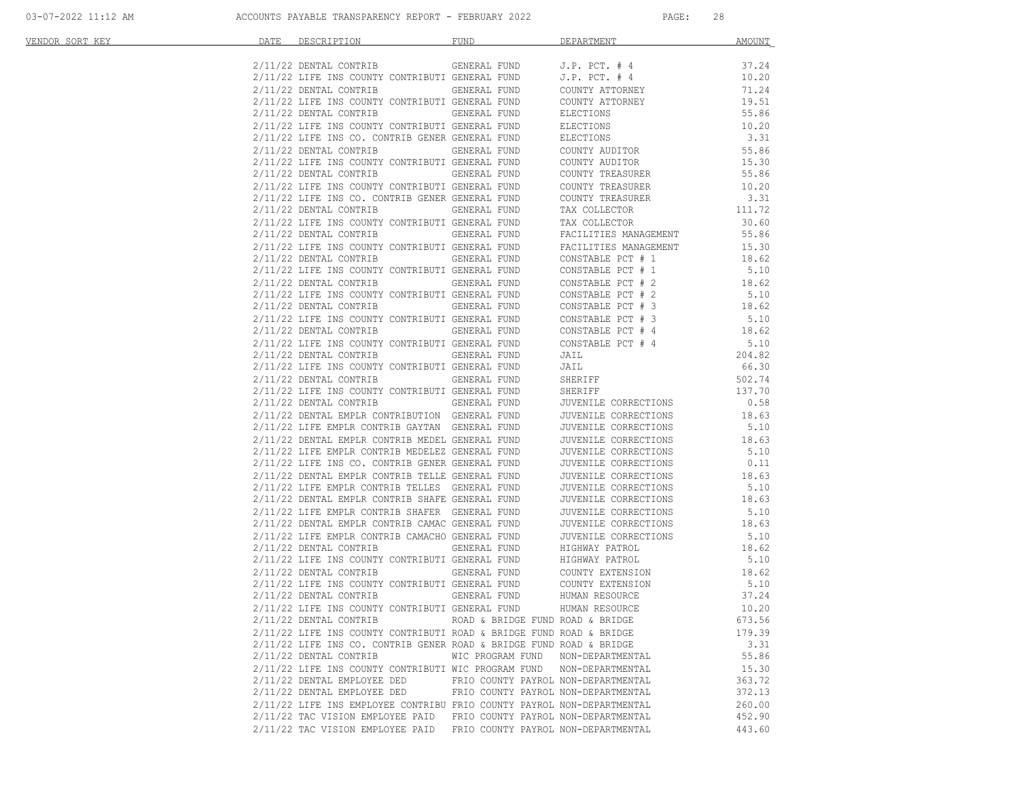| VENDOR SORT KEY | DATE | DESCRIPTION DESCRIPTION                                                                                                                                                                                                                                                                                                                                                                                                             | FUND                                | DEPARTMENT                                                                                  | <b>AMOUNT</b>    |
|-----------------|------|-------------------------------------------------------------------------------------------------------------------------------------------------------------------------------------------------------------------------------------------------------------------------------------------------------------------------------------------------------------------------------------------------------------------------------------|-------------------------------------|---------------------------------------------------------------------------------------------|------------------|
|                 |      | $2/11/22$ DENTAL CONTRIB GENERAL FUND J.P. PCT. # 4                                                                                                                                                                                                                                                                                                                                                                                 |                                     |                                                                                             | 37.24            |
|                 |      |                                                                                                                                                                                                                                                                                                                                                                                                                                     |                                     |                                                                                             | 10.20            |
|                 |      | $2/11/22$ LIFE INS COUNTY CONTRIBUTI GENERAL FUND $J.P.$ PCT. # 4<br>$2/11/22$ DENTAL CONTRIB GENERAL FUND COUNTY ATTORNEY                                                                                                                                                                                                                                                                                                          |                                     |                                                                                             | 71.24            |
|                 |      | 2/11/22 LIFE INS COUNTY CONTRIBUTI GENERAL FUND                                                                                                                                                                                                                                                                                                                                                                                     |                                     |                                                                                             | 19.51            |
|                 |      | 2/11/22 DENTAL CONTRIB GENERAL FUND                                                                                                                                                                                                                                                                                                                                                                                                 |                                     | COUNTY ATTORNEY<br>ELECTIONS                                                                | 55.86            |
|                 |      | 2/11/22 LIFE INS COUNTY CONTRIBUTI GENERAL FUND                                                                                                                                                                                                                                                                                                                                                                                     |                                     |                                                                                             | 10.20            |
|                 |      | 2/11/22 LIFE INS CO. CONTRIB GENER GENERAL FUND                                                                                                                                                                                                                                                                                                                                                                                     |                                     | CONTRIBUTI GENERAL FUND<br>TRIB GENER GENERAL FUND ELECTIONS<br>GENERAL FUND COUNTY AUDITOR | 3.31             |
|                 |      | 2/11/22 DENTAL CONTRIB                                                                                                                                                                                                                                                                                                                                                                                                              |                                     |                                                                                             | 55.86            |
|                 |      | 2/11/22 LIFE INS COUNTY CONTRIBUTI GENERAL FUND                                                                                                                                                                                                                                                                                                                                                                                     |                                     | COUNTY AUDITOR<br>COUNTY TREASURER                                                          | 15.30            |
|                 |      | 2/11/22 DENTAL CONTRIB GENERAL FUND                                                                                                                                                                                                                                                                                                                                                                                                 |                                     |                                                                                             | 55.86            |
|                 |      | $2/11/22$ LIFE INS COUNTY CONTRIBUTI GENERAL FUND COUNTY TREASURER $2/11/22$ LIFE INS CO. CONTRIB GENER GENERAL FUND COUNTY TREASURER                                                                                                                                                                                                                                                                                               |                                     |                                                                                             | 10.20            |
|                 |      |                                                                                                                                                                                                                                                                                                                                                                                                                                     |                                     |                                                                                             | 3.31             |
|                 |      |                                                                                                                                                                                                                                                                                                                                                                                                                                     |                                     |                                                                                             | 111.72           |
|                 |      | 2/11/22 DENTAL CONTRIB GENERAL FUND TAX COLLECTOR<br>2/11/22 LIFE INS COUNTY CONTRIBUTI GENERAL FUND TAX COLLECTOR<br>2/11/22 LIFE INS COUNTY CONTRIBUTI GENERAL FUND FACILITIES MANAGEMENT<br>2/11/22 LIFE INS COUNTY CONTRIBUTI GENER                                                                                                                                                                                             |                                     |                                                                                             | 30.60            |
|                 |      |                                                                                                                                                                                                                                                                                                                                                                                                                                     |                                     |                                                                                             | 55.86            |
|                 |      |                                                                                                                                                                                                                                                                                                                                                                                                                                     |                                     |                                                                                             | 15.30            |
|                 |      |                                                                                                                                                                                                                                                                                                                                                                                                                                     |                                     |                                                                                             | 18.62            |
|                 |      | 2/11/22 LIFE INS COUNTY CONTRIBUTI GENERAL FUND CONSTABLE PCT # 1<br>2/11/22 LIFE INS COUNTY CONTRIBUTI GENERAL FUND CONSTABLE PCT # 2<br>2/11/22 LIFE INS COUNTY CONTRIBUTI GENERAL FUND CONSTABLE PCT # 2<br>2/11/22 LIFE INS COUNTY                                                                                                                                                                                              |                                     |                                                                                             | 5.10<br>18.62    |
|                 |      |                                                                                                                                                                                                                                                                                                                                                                                                                                     |                                     |                                                                                             |                  |
|                 |      |                                                                                                                                                                                                                                                                                                                                                                                                                                     |                                     |                                                                                             | 5.10             |
|                 |      |                                                                                                                                                                                                                                                                                                                                                                                                                                     |                                     |                                                                                             | 18.62            |
|                 |      |                                                                                                                                                                                                                                                                                                                                                                                                                                     |                                     |                                                                                             | 5.10             |
|                 |      | $\begin{tabular}{lllllllllllll} \hline 2/11/22 & \texttt{DENTAL} & \texttt{GORITHM} & \texttt{GENEKAL} & \texttt{LUND} & \texttt{CONSTABLE} & \texttt{CCT} & \texttt{?} & \texttt{?} & \texttt{?} & \texttt{?} & \texttt{?} & \texttt{?} & \texttt{?} & \texttt{?} & \texttt{?} & \texttt{?} & \texttt{?} & \texttt{?} & \texttt{?} & \texttt{?} & \texttt{?} & \texttt{?} & \texttt{?} & \texttt{?} & \texttt{?} & \texttt{?} & \$ |                                     |                                                                                             |                  |
|                 |      |                                                                                                                                                                                                                                                                                                                                                                                                                                     |                                     |                                                                                             |                  |
|                 |      |                                                                                                                                                                                                                                                                                                                                                                                                                                     |                                     |                                                                                             | 66.30            |
|                 |      |                                                                                                                                                                                                                                                                                                                                                                                                                                     |                                     |                                                                                             |                  |
|                 |      |                                                                                                                                                                                                                                                                                                                                                                                                                                     |                                     |                                                                                             | 502.74<br>137.70 |
|                 |      |                                                                                                                                                                                                                                                                                                                                                                                                                                     |                                     |                                                                                             | 0.58             |
|                 |      |                                                                                                                                                                                                                                                                                                                                                                                                                                     |                                     |                                                                                             | 18.63            |
|                 |      |                                                                                                                                                                                                                                                                                                                                                                                                                                     |                                     |                                                                                             | 5.10             |
|                 |      |                                                                                                                                                                                                                                                                                                                                                                                                                                     |                                     |                                                                                             | 18.63            |
|                 |      |                                                                                                                                                                                                                                                                                                                                                                                                                                     |                                     |                                                                                             | 5.10             |
|                 |      |                                                                                                                                                                                                                                                                                                                                                                                                                                     |                                     |                                                                                             | 0.11             |
|                 |      |                                                                                                                                                                                                                                                                                                                                                                                                                                     |                                     |                                                                                             | 18.63            |
|                 |      | $2/11/22$ LIFE EMPLR CONTRIB TELLES GENERAL FUND $\,$ JUVENILE CORRECTIONS $2/11/22$ DENTAL EMPLR CONTRIB SHAFE GENERAL FUND $\,$ JUVENILE CORRECTIONS                                                                                                                                                                                                                                                                              |                                     |                                                                                             | 5.10             |
|                 |      |                                                                                                                                                                                                                                                                                                                                                                                                                                     |                                     |                                                                                             | 18.63            |
|                 |      |                                                                                                                                                                                                                                                                                                                                                                                                                                     |                                     |                                                                                             |                  |
|                 |      |                                                                                                                                                                                                                                                                                                                                                                                                                                     |                                     |                                                                                             |                  |
|                 |      |                                                                                                                                                                                                                                                                                                                                                                                                                                     |                                     |                                                                                             |                  |
|                 |      |                                                                                                                                                                                                                                                                                                                                                                                                                                     |                                     |                                                                                             |                  |
|                 |      | 2/11/22 LIFE EMPLE CONTRIB SHAPE GENERAL FUND<br>2/11/22 LIFE EMPLE CONTRIB SHAPER GENERAL FUND JUVENILE CORRECTIONS<br>2/11/22 LIFE EMPLE CONTRIB CAMACHO GENERAL FUND JUVENILE CORRECTIONS<br>2/11/22 LIFE EMPLE CONTRIB CAMACHO GENE                                                                                                                                                                                             |                                     |                                                                                             |                  |
|                 |      |                                                                                                                                                                                                                                                                                                                                                                                                                                     |                                     |                                                                                             |                  |
|                 |      |                                                                                                                                                                                                                                                                                                                                                                                                                                     |                                     |                                                                                             |                  |
|                 |      | 2/11/22 DENTAL CONTRIB                                                                                                                                                                                                                                                                                                                                                                                                              | GENERAL FUND                        | HUMAN RESOURCE                                                                              | 37.24            |
|                 |      | 2/11/22 LIFE INS COUNTY CONTRIBUTI GENERAL FUND                                                                                                                                                                                                                                                                                                                                                                                     |                                     | HUMAN RESOURCE                                                                              | 10.20            |
|                 |      | 2/11/22 DENTAL CONTRIB                                                                                                                                                                                                                                                                                                                                                                                                              | ROAD & BRIDGE FUND ROAD & BRIDGE    |                                                                                             | 673.56           |
|                 |      | 2/11/22 LIFE INS COUNTY CONTRIBUTI ROAD & BRIDGE FUND ROAD & BRIDGE                                                                                                                                                                                                                                                                                                                                                                 |                                     |                                                                                             | 179.39           |
|                 |      | $2/11/22$ LIFE INS CO. CONTRIB GENER ROAD & BRIDGE FUND ROAD & BRIDGE                                                                                                                                                                                                                                                                                                                                                               |                                     |                                                                                             | 3.31             |
|                 |      | 2/11/22 DENTAL CONTRIB                                                                                                                                                                                                                                                                                                                                                                                                              | WIC PROGRAM FUND NON-DEPARTMENTAL   |                                                                                             | 55.86            |
|                 |      | 2/11/22 LIFE INS COUNTY CONTRIBUTI WIC PROGRAM FUND NON-DEPARTMENTAL                                                                                                                                                                                                                                                                                                                                                                |                                     |                                                                                             | 15.30            |
|                 |      | 2/11/22 DENTAL EMPLOYEE DED<br>2/11/22 DENTAL EMPLOYEE DED                                                                                                                                                                                                                                                                                                                                                                          | FRIO COUNTY PAYROL NON-DEPARTMENTAL |                                                                                             | 363.72           |
|                 |      |                                                                                                                                                                                                                                                                                                                                                                                                                                     | FRIO COUNTY PAYROL NON-DEPARTMENTAL |                                                                                             | 372.13           |
|                 |      | 2/11/22 LIFE INS EMPLOYEE CONTRIBU FRIO COUNTY PAYROL NON-DEPARTMENTAL<br>2/11/22 TAC VISION EMPLOYEE PAID FRIO COUNTY PAYROL NON-DEPARTMENTAL                                                                                                                                                                                                                                                                                      |                                     |                                                                                             | 260.00<br>452.90 |
|                 |      | 2/11/22 TAC VISION EMPLOYEE PAID FRIO COUNTY PAYROL NON-DEPARTMENTAL                                                                                                                                                                                                                                                                                                                                                                |                                     |                                                                                             | 443.60           |
|                 |      |                                                                                                                                                                                                                                                                                                                                                                                                                                     |                                     |                                                                                             |                  |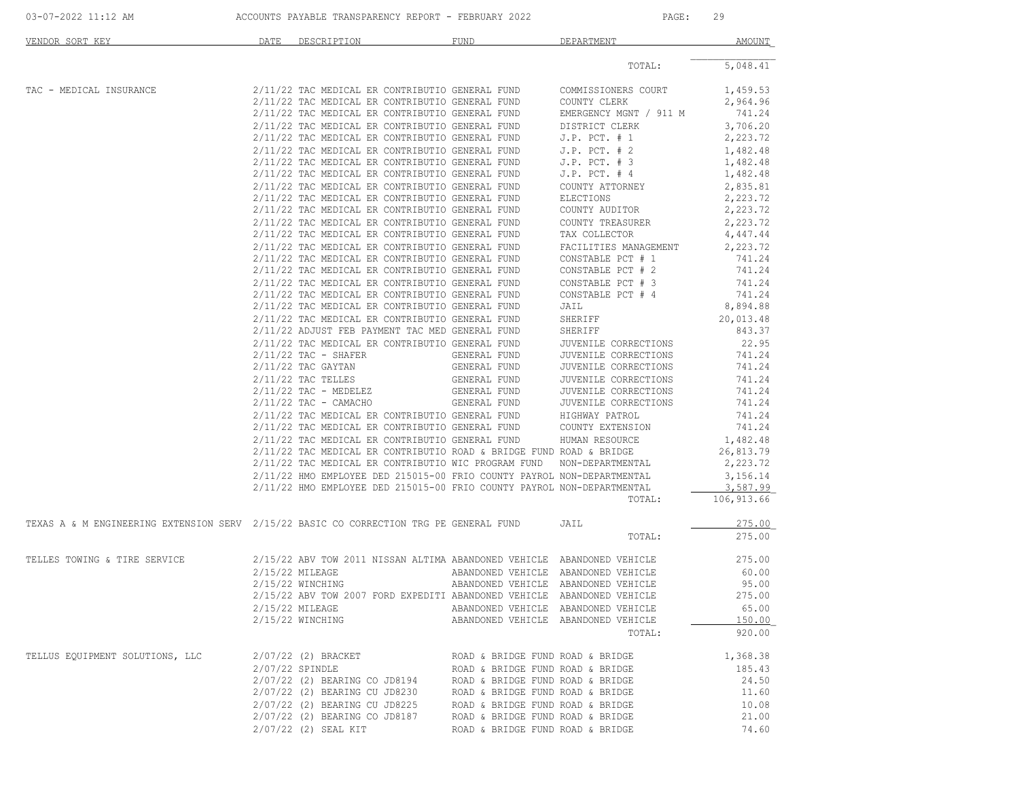| 03-07-2022 11:12 AM                                                                    |      | ACCOUNTS PAYABLE TRANSPARENCY REPORT - FEBRUARY 2022                                               |                                     | PAGE:                                         | 29                 |
|----------------------------------------------------------------------------------------|------|----------------------------------------------------------------------------------------------------|-------------------------------------|-----------------------------------------------|--------------------|
| VENDOR SORT KEY                                                                        | DATE | DESCRIPTION                                                                                        | FUND                                | DEPARTMENT                                    | AMOUNT             |
|                                                                                        |      |                                                                                                    |                                     | TOTAL:                                        | 5,048.41           |
| TAC - MEDICAL INSURANCE                                                                |      | 2/11/22 TAC MEDICAL ER CONTRIBUTIO GENERAL FUND COMMISSIONERS COURT                                |                                     |                                               | 1,459.53           |
|                                                                                        |      | 2/11/22 TAC MEDICAL ER CONTRIBUTIO GENERAL FUND                                                    |                                     | COUNTY CLERK                                  | 2,964.96           |
|                                                                                        |      | 2/11/22 TAC MEDICAL ER CONTRIBUTIO GENERAL FUND                                                    |                                     | EMERGENCY MGNT / 911 M                        | 741.24             |
|                                                                                        |      | 2/11/22 TAC MEDICAL ER CONTRIBUTIO GENERAL FUND                                                    |                                     | DISTRICT CLERK<br>J.P. PCT. # 1               | 3,706.20           |
|                                                                                        |      | 2/11/22 TAC MEDICAL ER CONTRIBUTIO GENERAL FUND                                                    |                                     | $J.P.$ PCT. $# 1$                             | 2,223.72           |
|                                                                                        |      | 2/11/22 TAC MEDICAL ER CONTRIBUTIO GENERAL FUND                                                    |                                     | $J.P.$ PCT. $# 2$                             | 1,482.48           |
|                                                                                        |      | 2/11/22 TAC MEDICAL ER CONTRIBUTIO GENERAL FUND                                                    |                                     | $J.P.$ PCT. $# 3$                             | 1,482.48           |
|                                                                                        |      | 2/11/22 TAC MEDICAL ER CONTRIBUTIO GENERAL FUND                                                    |                                     | $J.P.$ PCT. $#4$                              | 1,482.48           |
|                                                                                        |      | 2/11/22 TAC MEDICAL ER CONTRIBUTIO GENERAL FUND                                                    |                                     | COUNTY ATTORNEY                               | 2,835.81           |
|                                                                                        |      | 2/11/22 TAC MEDICAL ER CONTRIBUTIO GENERAL FUND                                                    |                                     | ELECTIONS                                     | 2,223.72           |
|                                                                                        |      | 2/11/22 TAC MEDICAL ER CONTRIBUTIO GENERAL FUND                                                    |                                     | COUNTY AUDITOR                                | 2,223.72           |
|                                                                                        |      | 2/11/22 TAC MEDICAL ER CONTRIBUTIO GENERAL FUND                                                    |                                     | COUNTY TREASURER                              | 2,223.72           |
|                                                                                        |      | 2/11/22 TAC MEDICAL ER CONTRIBUTIO GENERAL FUND                                                    |                                     | TAX COLLECTOR                                 | 4,447.44           |
|                                                                                        |      | 2/11/22 TAC MEDICAL ER CONTRIBUTIO GENERAL FUND<br>2/11/22 TAC MEDICAL ER CONTRIBUTIO GENERAL FUND |                                     | FACILITIES MANAGEMENT<br>CONSTABLE PCT # 1    | 2,223.72<br>741.24 |
|                                                                                        |      | 2/11/22 TAC MEDICAL ER CONTRIBUTIO GENERAL FUND                                                    |                                     | CONSTABLE PCT # 2                             | 741.24             |
|                                                                                        |      | 2/11/22 TAC MEDICAL ER CONTRIBUTIO GENERAL FUND                                                    |                                     | CONSTABLE PCT # 3                             | 741.24             |
|                                                                                        |      | 2/11/22 TAC MEDICAL ER CONTRIBUTIO GENERAL FUND                                                    |                                     | CONSTABLE PCT # 4                             | 741.24             |
|                                                                                        |      | 2/11/22 TAC MEDICAL ER CONTRIBUTIO GENERAL FUND                                                    |                                     | JAIL                                          | 8,894.88           |
|                                                                                        |      | 2/11/22 TAC MEDICAL ER CONTRIBUTIO GENERAL FUND                                                    |                                     | SHERIFF                                       | 20,013.48          |
|                                                                                        |      | 2/11/22 ADJUST FEB PAYMENT TAC MED GENERAL FUND                                                    |                                     | SHERIFF                                       | 843.37             |
|                                                                                        |      | 2/11/22 TAC MEDICAL ER CONTRIBUTIO GENERAL FUND                                                    |                                     | JUVENILE CORRECTIONS                          | 22.95              |
|                                                                                        |      | $2/11/22$ TAC - SHAFER                                                                             | GENERAL FUND                        | JUVENILE CORRECTIONS                          | 741.24             |
|                                                                                        |      | $2/11/22$ TAC GAYTAN                                                                               | GENERAL FUND                        | JUVENILE CORRECTIONS                          | 741.24             |
|                                                                                        |      | $2/11/22$ TAC TELLES                                                                               | GENERAL FUND                        | JUVENILE CORRECTIONS                          | 741.24             |
|                                                                                        |      | $2/11/22$ TAC - MEDELEZ                                                                            | GENERAL FUND                        | JUVENILE CORRECTIONS                          | 741.24             |
|                                                                                        |      | $2/11/22$ TAC - CAMACHO                                                                            | GENERAL FUND                        | JUVENILE CORRECTIONS                          | 741.24             |
|                                                                                        |      |                                                                                                    |                                     |                                               | 741.24             |
|                                                                                        |      |                                                                                                    |                                     |                                               | 741.24             |
|                                                                                        |      |                                                                                                    |                                     |                                               | 1,482.48           |
|                                                                                        |      | $2/11/22$ TAC MEDICAL ER CONTRIBUTIO ROAD & BRIDGE FUND ROAD & BRIDGE                              |                                     |                                               | 26,813.79          |
|                                                                                        |      | 2/11/22 TAC MEDICAL ER CONTRIBUTIO WIC PROGRAM FUND NON-DEPARTMENTAL                               |                                     |                                               | 2,223.72           |
|                                                                                        |      | 2/11/22 HMO EMPLOYEE DED 215015-00 FRIO COUNTY PAYROL NON-DEPARTMENTAL                             |                                     |                                               | 3,156.14           |
|                                                                                        |      | 2/11/22 HMO EMPLOYEE DED 215015-00 FRIO COUNTY PAYROL NON-DEPARTMENTAL                             |                                     |                                               | 3,587.99           |
|                                                                                        |      |                                                                                                    |                                     | TOTAL:                                        | 106, 913.66        |
| TEXAS A & M ENGINEERING EXTENSION SERV 2/15/22 BASIC CO CORRECTION TRG PE GENERAL FUND |      |                                                                                                    |                                     | JAIL                                          | 275.00             |
|                                                                                        |      |                                                                                                    |                                     | TOTAL:                                        | 275.00             |
| TELLES TOWING & TIRE SERVICE                                                           |      | 2/15/22 ABV TOW 2011 NISSAN ALTIMA ABANDONED VEHICLE ABANDONED VEHICLE                             |                                     |                                               | 275.00             |
|                                                                                        |      | 2/15/22 MILEAGE                                                                                    | ABANDONED VEHICLE ABANDONED VEHICLE |                                               | 60.00              |
|                                                                                        |      | 2/15/22 WINCHING                                                                                   | ABANDONED VEHICLE ABANDONED VEHICLE |                                               | 95.00              |
|                                                                                        |      | 2/15/22 ABV TOW 2007 FORD EXPEDITI ABANDONED VEHICLE ABANDONED VEHICLE                             |                                     |                                               | 275.00             |
|                                                                                        |      | 2/15/22 MILEAGE                                                                                    | ABANDONED VEHICLE ABANDONED VEHICLE |                                               | 65.00              |
|                                                                                        |      | $2/15/22$ WINCHING                                                                                 |                                     | ABANDONED VEHICLE ABANDONED VEHICLE<br>TOTAL: | 150.00<br>920.00   |
| TELLUS EQUIPMENT SOLUTIONS, LLC                                                        |      | 2/07/22 (2) BRACKET                                                                                | ROAD & BRIDGE FUND ROAD & BRIDGE    |                                               | 1,368.38           |
|                                                                                        |      | 2/07/22 SPINDLE                                                                                    | ROAD & BRIDGE FUND ROAD & BRIDGE    |                                               | 185.43             |
|                                                                                        |      | 2/07/22 (2) BEARING CO JD8194                                                                      | ROAD & BRIDGE FUND ROAD & BRIDGE    |                                               | 24.50              |
|                                                                                        |      | 2/07/22 (2) BEARING CU JD8230                                                                      | ROAD & BRIDGE FUND ROAD & BRIDGE    |                                               | 11.60              |
|                                                                                        |      | 2/07/22 (2) BEARING CU JD8225                                                                      | ROAD & BRIDGE FUND ROAD & BRIDGE    |                                               | 10.08              |
|                                                                                        |      | 2/07/22 (2) BEARING CO JD8187                                                                      | ROAD & BRIDGE FUND ROAD & BRIDGE    |                                               | 21.00              |
|                                                                                        |      | 2/07/22 (2) SEAL KIT                                                                               | ROAD & BRIDGE FUND ROAD & BRIDGE    |                                               | 74.60              |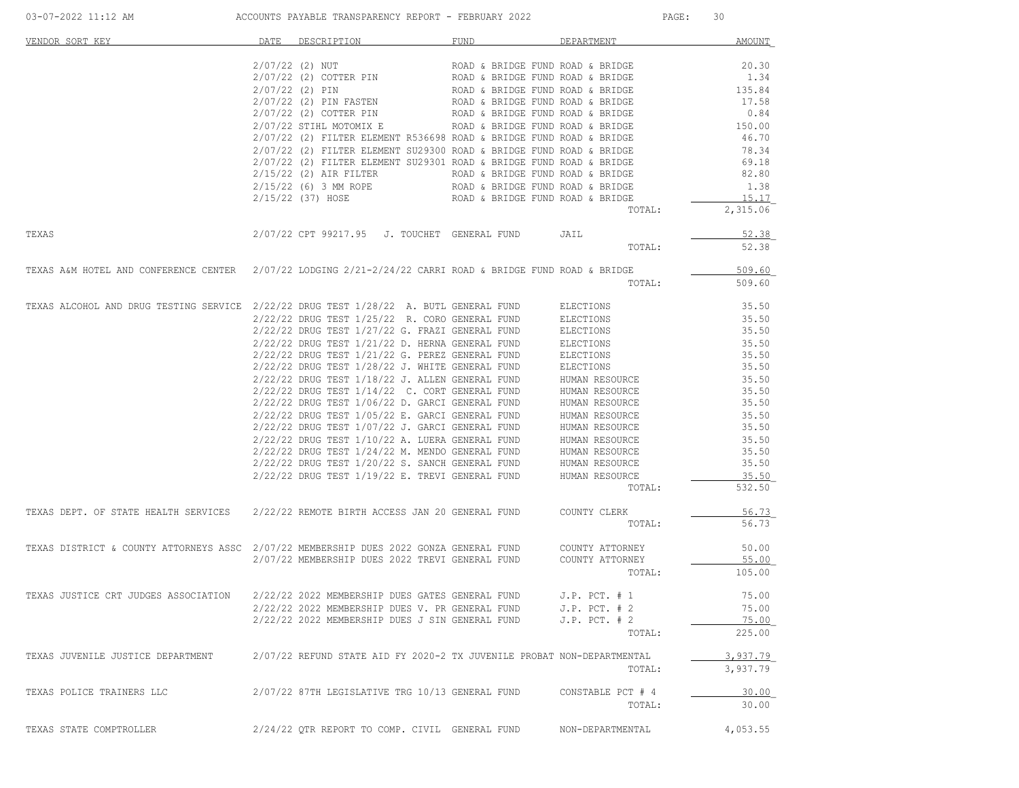| VENDOR SORT KEY                                                                                           | DATE | DESCRIPTION                                                            | FUND                                                                 | DEPARTMENT               | <b>AMOUNT</b>     |
|-----------------------------------------------------------------------------------------------------------|------|------------------------------------------------------------------------|----------------------------------------------------------------------|--------------------------|-------------------|
|                                                                                                           |      | $2/07/22$ (2) NUT                                                      | ROAD & BRIDGE FUND ROAD & BRIDGE                                     |                          | 20.30             |
|                                                                                                           |      | 2/07/22 (2) COTTER PIN                                                 | ROAD & BRIDGE FUND ROAD & BRIDGE                                     |                          | 1.34              |
|                                                                                                           |      | $2/07/22$ (2) PIN                                                      | ROAD & BRIDGE FUND ROAD & BRIDGE<br>ROAD & BRIDGE FUND ROAD & BRIDGE |                          | 135.84            |
|                                                                                                           |      | 2/07/22 (2) PIN FASTEN                                                 |                                                                      |                          | 17.58             |
|                                                                                                           |      | 2/07/22 (2) COTTER PIN                                                 | ROAD & BRIDGE FUND ROAD & BRIDGE                                     |                          | 0.84              |
|                                                                                                           |      | 2/07/22 STIHL MOTOMIX E                                                | ROAD & BRIDGE FUND ROAD & BRIDGE                                     |                          | 150.00            |
|                                                                                                           |      | $2/07/22$ (2) FILTER ELEMENT R536698 ROAD & BRIDGE FUND ROAD & BRIDGE  |                                                                      |                          | 46.70             |
|                                                                                                           |      | 2/07/22 (2) FILTER ELEMENT SU29300 ROAD & BRIDGE FUND ROAD & BRIDGE    |                                                                      |                          | 78.34             |
|                                                                                                           |      | 2/07/22 (2) FILTER ELEMENT SU29301 ROAD & BRIDGE FUND ROAD & BRIDGE    |                                                                      |                          | 69.18             |
|                                                                                                           |      | $2/15/22$ (2) AIR FILTER                                               | ROAD & BRIDGE FUND ROAD & BRIDGE                                     |                          | 82.80             |
|                                                                                                           |      | $2/15/22$ (6) 3 MM ROPE                                                | ROAD & BRIDGE FUND ROAD & BRIDGE                                     |                          | 1.38              |
|                                                                                                           |      | 2/15/22 (37) HOSE                                                      | ROAD & BRIDGE FUND ROAD & BRIDGE                                     | TOTAL:                   | 15.17<br>2,315.06 |
|                                                                                                           |      |                                                                        |                                                                      |                          |                   |
| TEXAS                                                                                                     |      | 2/07/22 CPT 99217.95 J. TOUCHET GENERAL FUND                           |                                                                      | JAIL                     | 52.38             |
|                                                                                                           |      |                                                                        |                                                                      | TOTAL:                   | 52.38             |
| TEXAS A&M HOTEL AND CONFERENCE CENTER 2/07/22 LODGING 2/21-2/24/22 CARRI ROAD & BRIDGE FUND ROAD & BRIDGE |      |                                                                        |                                                                      |                          | 509.60            |
|                                                                                                           |      |                                                                        |                                                                      | TOTAL:                   | 509.60            |
| TEXAS ALCOHOL AND DRUG TESTING SERVICE 2/22/22 DRUG TEST 1/28/22 A. BUTL GENERAL FUND                     |      |                                                                        |                                                                      | ELECTIONS                | 35.50             |
|                                                                                                           |      | 2/22/22 DRUG TEST 1/25/22 R. CORO GENERAL FUND                         |                                                                      | ELECTIONS                | 35.50             |
|                                                                                                           |      | 2/22/22 DRUG TEST 1/27/22 G. FRAZI GENERAL FUND                        |                                                                      | ELECTIONS                | 35.50             |
|                                                                                                           |      | 2/22/22 DRUG TEST 1/21/22 D. HERNA GENERAL FUND                        |                                                                      | ELECTIONS                | 35.50             |
|                                                                                                           |      | 2/22/22 DRUG TEST 1/21/22 G. PEREZ GENERAL FUND                        |                                                                      | ELECTIONS                | 35.50             |
|                                                                                                           |      | 2/22/22 DRUG TEST 1/28/22 J. WHITE GENERAL FUND                        |                                                                      | ELECTIONS                | 35.50             |
|                                                                                                           |      | $2/22/22$ DRUG TEST $1/18/22$ J. ALLEN GENERAL FUND                    |                                                                      | HUMAN RESOURCE           | 35.50             |
|                                                                                                           |      | 2/22/22 DRUG TEST 1/14/22 C. CORT GENERAL FUND                         |                                                                      | HUMAN RESOURCE           | 35.50             |
|                                                                                                           |      | $2/22/22$ DRUG TEST $1/06/22$ D. GARCI GENERAL FUND                    |                                                                      | HUMAN RESOURCE           | 35.50             |
|                                                                                                           |      | 2/22/22 DRUG TEST 1/05/22 E. GARCI GENERAL FUND                        |                                                                      | HUMAN RESOURCE           | 35.50             |
|                                                                                                           |      | 2/22/22 DRUG TEST 1/07/22 J. GARCI GENERAL FUND                        |                                                                      | HUMAN RESOURCE           | 35.50             |
|                                                                                                           |      | 2/22/22 DRUG TEST 1/10/22 A. LUERA GENERAL FUND                        |                                                                      | HUMAN RESOURCE           | 35.50             |
|                                                                                                           |      | 2/22/22 DRUG TEST 1/24/22 M. MENDO GENERAL FUND                        |                                                                      | HUMAN RESOURCE           | 35.50             |
|                                                                                                           |      | 2/22/22 DRUG TEST 1/20/22 S. SANCH GENERAL FUND                        |                                                                      | HUMAN RESOURCE           | 35.50             |
|                                                                                                           |      | $2/22/22$ DRUG TEST $1/19/22$ E. TREVI GENERAL FUND                    |                                                                      | HUMAN RESOURCE<br>TOTAL: | 35.50<br>532.50   |
|                                                                                                           |      |                                                                        |                                                                      |                          |                   |
| TEXAS DEPT. OF STATE HEALTH SERVICES 2/22/22 REMOTE BIRTH ACCESS JAN 20 GENERAL FUND                      |      |                                                                        |                                                                      | COUNTY CLERK             | 56.73             |
|                                                                                                           |      |                                                                        |                                                                      | TOTAL:                   | 56.73             |
| TEXAS DISTRICT & COUNTY ATTORNEYS ASSC 2/07/22 MEMBERSHIP DUES 2022 GONZA GENERAL FUND                    |      |                                                                        |                                                                      | COUNTY ATTORNEY          | 50.00             |
|                                                                                                           |      | 2/07/22 MEMBERSHIP DUES 2022 TREVI GENERAL FUND                        |                                                                      | COUNTY ATTORNEY          | 55.00             |
|                                                                                                           |      |                                                                        |                                                                      | TOTAL:                   | 105.00            |
| TEXAS JUSTICE CRT JUDGES ASSOCIATION                                                                      |      | 2/22/22 2022 MEMBERSHIP DUES GATES GENERAL FUND                        |                                                                      | $J.P.$ PCT. $# 1$        | 75.00             |
|                                                                                                           |      | 2/22/22 2022 MEMBERSHIP DUES V. PR GENERAL FUND                        |                                                                      | J.P. PCT. # 2            | 75.00             |
|                                                                                                           |      | 2/22/22 2022 MEMBERSHIP DUES J SIN GENERAL FUND                        |                                                                      | $J.P.$ PCT. $# 2$        | 75.00             |
|                                                                                                           |      |                                                                        |                                                                      | TOTAL:                   | 225.00            |
| TEXAS JUVENILE JUSTICE DEPARTMENT                                                                         |      | 2/07/22 REFUND STATE AID FY 2020-2 TX JUVENILE PROBAT NON-DEPARTMENTAL |                                                                      |                          | 3,937.79          |
|                                                                                                           |      |                                                                        |                                                                      | TOTAL:                   | 3,937.79          |
| TEXAS POLICE TRAINERS LLC                                                                                 |      | 2/07/22 87TH LEGISLATIVE TRG 10/13 GENERAL FUND                        |                                                                      | CONSTABLE PCT # 4        | 30.00             |
|                                                                                                           |      |                                                                        |                                                                      | TOTAL:                   | 30.00             |
| TEXAS STATE COMPTROLLER                                                                                   |      | 2/24/22 OTR REPORT TO COMP. CIVIL GENERAL FUND                         |                                                                      | NON-DEPARTMENTAL         | 4,053.55          |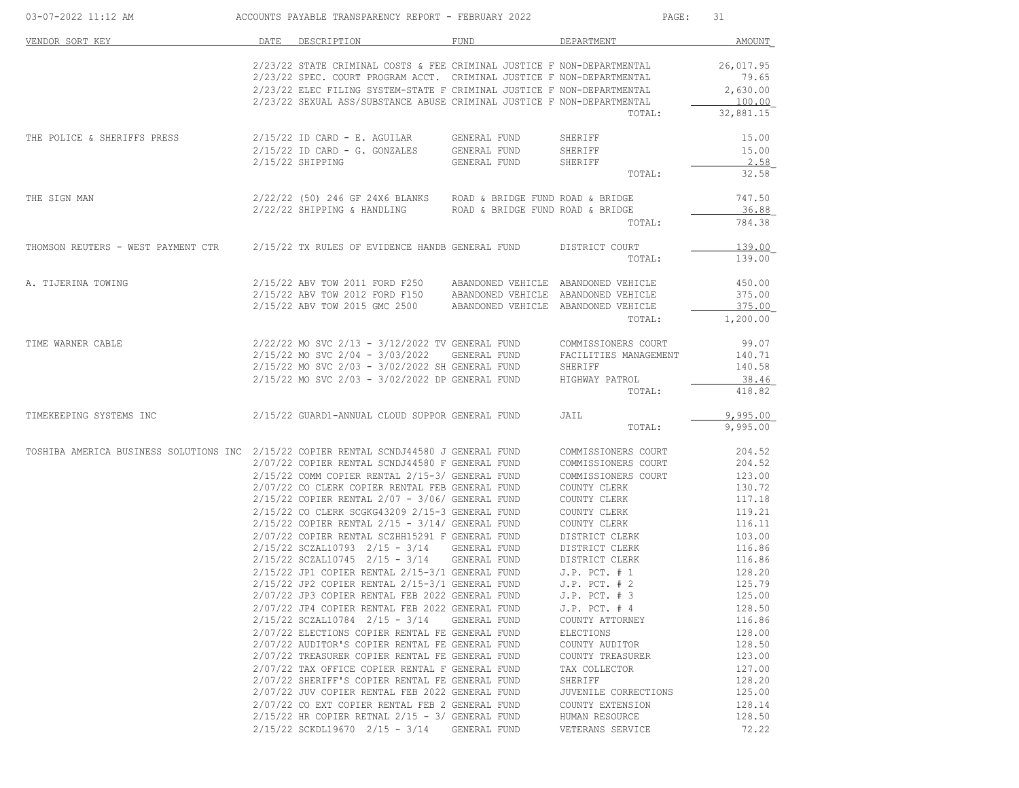| 03-07-2022 11:12 AM                                                                    | ACCOUNTS PAYABLE TRANSPARENCY REPORT - FEBRUARY 2022                                                                                            |              | PAGE:                                      | 31                  |
|----------------------------------------------------------------------------------------|-------------------------------------------------------------------------------------------------------------------------------------------------|--------------|--------------------------------------------|---------------------|
| VENDOR SORT KEY                                                                        | DATE DESCRIPTION                                                                                                                                | FUND         | DEPARTMENT                                 | AMOUNT              |
|                                                                                        | 2/23/22 STATE CRIMINAL COSTS & FEE CRIMINAL JUSTICE F NON-DEPARTMENTAL<br>2/23/22 SPEC. COURT PROGRAM ACCT. CRIMINAL JUSTICE F NON-DEPARTMENTAL |              |                                            | 26,017.95<br>79.65  |
|                                                                                        | 2/23/22 ELEC FILING SYSTEM-STATE F CRIMINAL JUSTICE F NON-DEPARTMENTAL                                                                          |              |                                            | 2,630.00            |
|                                                                                        | 2/23/22 SEXUAL ASS/SUBSTANCE ABUSE CRIMINAL JUSTICE F NON-DEPARTMENTAL                                                                          |              | TOTAL:                                     | 100.00<br>32,881.15 |
| THE POLICE & SHERIFFS PRESS                                                            |                                                                                                                                                 |              | SHERIFF                                    | 15.00               |
|                                                                                        | $2/15/22$ ID CARD - E. AGUILAR GENERAL FUND<br>$2/15/22$ ID CARD - G. GONZALES GENERAL FUND                                                     |              | SHERIFF                                    | 15.00               |
|                                                                                        | $2/15/22$ SHIPPING                                                                                                                              | GENERAL FUND | SHERIFF<br>TOTAL:                          | 2.58<br>32.58       |
|                                                                                        |                                                                                                                                                 |              |                                            |                     |
| THE SIGN MAN                                                                           | $2/22/22$ (50) 246 GF 24X6 BLANKS ROAD & BRIDGE FUND ROAD & BRIDGE<br>$2/22/22$ SHIPPING & HANDLING ROAD & BRIDGE FUND ROAD & BRIDGE            |              |                                            | 747.50<br>36.88     |
|                                                                                        |                                                                                                                                                 |              | TOTAL:                                     | 784.38              |
| THOMSON REUTERS - WEST PAYMENT CTR 2/15/22 TX RULES OF EVIDENCE HANDB GENERAL FUND     |                                                                                                                                                 |              | DISTRICT COURT                             | 139.00              |
|                                                                                        |                                                                                                                                                 |              | TOTAL:                                     | 139.00              |
| A. TIJERINA TOWING                                                                     | 2/15/22 ABV TOW 2011 FORD F250 ABANDONED VEHICLE ABANDONED VEHICLE                                                                              |              |                                            | 450.00              |
|                                                                                        | 2/15/22 ABV TOW 2012 FORD F150 ABANDONED VEHICLE ABANDONED VEHICLE                                                                              |              |                                            | 375.00              |
|                                                                                        | 2/15/22 ABV TOW 2015 GMC 2500 ABANDONED VEHICLE ABANDONED VEHICLE                                                                               |              | TOTAL:                                     | 375.00<br>1,200.00  |
| TIME WARNER CABLE                                                                      | 2/22/22 MO SVC 2/13 - 3/12/2022 TV GENERAL FUND                                                                                                 |              | COMMISSIONERS COURT                        | 99.07               |
|                                                                                        | 2/15/22 MO SVC 2/04 - 3/03/2022                                                                                                                 | GENERAL FUND | FACILITIES MANAGEMENT                      | 140.71              |
|                                                                                        | 2/15/22 MO SVC 2/03 - 3/02/2022 SH GENERAL FUND                                                                                                 |              | SHERIFF                                    | 140.58              |
|                                                                                        | 2/15/22 MO SVC 2/03 - 3/02/2022 DP GENERAL FUND                                                                                                 |              | HIGHWAY PATROL                             | 38.46               |
|                                                                                        |                                                                                                                                                 |              | TOTAL:                                     | 418.82              |
| TIMEKEEPING SYSTEMS INC                                                                | 2/15/22 GUARD1-ANNUAL CLOUD SUPPOR GENERAL FUND                                                                                                 |              | JAIL                                       | 9,995.00            |
|                                                                                        |                                                                                                                                                 |              | TOTAL:                                     | 9,995.00            |
| TOSHIBA AMERICA BUSINESS SOLUTIONS INC 2/15/22 COPIER RENTAL SCNDJ44580 J GENERAL FUND |                                                                                                                                                 |              | COMMISSIONERS COURT                        | 204.52              |
|                                                                                        | 2/07/22 COPIER RENTAL SCNDJ44580 F GENERAL FUND<br>2/15/22 COMM COPIER RENTAL 2/15-3/ GENERAL FUND                                              |              | COMMISSIONERS COURT<br>COMMISSIONERS COURT | 204.52<br>123.00    |
|                                                                                        | 2/07/22 CO CLERK COPIER RENTAL FEB GENERAL FUND                                                                                                 |              | COUNTY CLERK                               | 130.72              |
|                                                                                        | $2/15/22$ COPIER RENTAL $2/07 - 3/06/$ GENERAL FUND                                                                                             |              | COUNTY CLERK                               | 117.18              |
|                                                                                        | 2/15/22 CO CLERK SCGKG43209 2/15-3 GENERAL FUND<br>$2/15/22$ COPIER RENTAL $2/15 - 3/14/$ GENERAL FUND                                          |              | COUNTY CLERK<br>COUNTY CLERK               | 119.21<br>116.11    |
|                                                                                        | 2/07/22 COPIER RENTAL SCZHH15291 F GENERAL FUND                                                                                                 |              | DISTRICT CLERK                             | 103.00              |
|                                                                                        | $2/15/22$ SCZAL10793 $2/15 - 3/14$                                                                                                              | GENERAL FUND | DISTRICT CLERK                             | 116.86              |
|                                                                                        | $2/15/22$ SCZAL10745 $2/15 - 3/14$                                                                                                              | GENERAL FUND | DISTRICT CLERK                             | 116.86              |
|                                                                                        | $2/15/22$ JP1 COPIER RENTAL $2/15-3/1$ GENERAL FUND                                                                                             |              | $J.P.$ PCT. $# 1$                          | 128.20              |
|                                                                                        | 2/15/22 JP2 COPIER RENTAL 2/15-3/1 GENERAL FUND<br>2/07/22 JP3 COPIER RENTAL FEB 2022 GENERAL FUND                                              |              | $J.P.$ PCT. $# 2$                          | 125.79<br>125.00    |
|                                                                                        | 2/07/22 JP4 COPIER RENTAL FEB 2022 GENERAL FUND                                                                                                 |              | $J.P.$ PCT. $# 3$<br>$J.P.$ PCT. $#4$      | 128.50              |
|                                                                                        | $2/15/22$ SCZAL10784 $2/15 - 3/14$                                                                                                              | GENERAL FUND | COUNTY ATTORNEY                            | 116.86              |
|                                                                                        | 2/07/22 ELECTIONS COPIER RENTAL FE GENERAL FUND                                                                                                 |              | ELECTIONS                                  | 128.00              |
|                                                                                        | 2/07/22 AUDITOR'S COPIER RENTAL FE GENERAL FUND                                                                                                 |              | COUNTY AUDITOR                             | 128.50              |
|                                                                                        | 2/07/22 TREASURER COPIER RENTAL FE GENERAL FUND                                                                                                 |              | COUNTY TREASURER                           | 123.00              |
|                                                                                        | 2/07/22 TAX OFFICE COPIER RENTAL F GENERAL FUND<br>2/07/22 SHERIFF'S COPIER RENTAL FE GENERAL FUND                                              |              | TAX COLLECTOR<br>SHERIFF                   | 127.00<br>128.20    |
|                                                                                        | 2/07/22 JUV COPIER RENTAL FEB 2022 GENERAL FUND                                                                                                 |              | JUVENILE CORRECTIONS                       | 125.00              |
|                                                                                        | 2/07/22 CO EXT COPIER RENTAL FEB 2 GENERAL FUND                                                                                                 |              | COUNTY EXTENSION                           | 128.14              |
|                                                                                        | $2/15/22$ HR COPIER RETNAL $2/15 - 3/$ GENERAL FUND                                                                                             |              | HUMAN RESOURCE                             | 128.50              |
|                                                                                        | $2/15/22$ SCKDL19670 $2/15$ - 3/14                                                                                                              | GENERAL FUND | VETERANS SERVICE                           | 72.22               |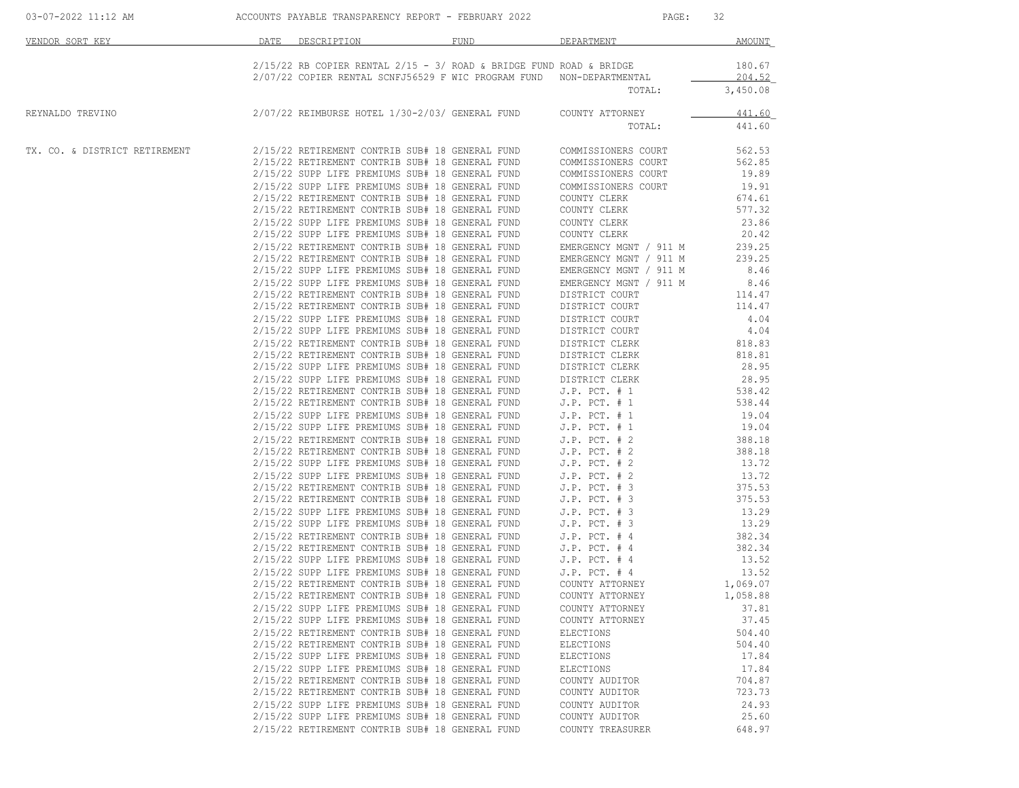| 03-07-2022 11:12 AM           |                                                 | ACCOUNTS PAYABLE TRANSPARENCY REPORT - FEBRUARY 2022                                                                                                                                                                                   | PAGE:                          | 32               |  |
|-------------------------------|-------------------------------------------------|----------------------------------------------------------------------------------------------------------------------------------------------------------------------------------------------------------------------------------------|--------------------------------|------------------|--|
| VENDOR SORT KEY               | DATE DESCRIPTION                                | FUND                                                                                                                                                                                                                                   | DEPARTMENT                     | AMOUNT           |  |
|                               |                                                 | $2/15/22$ RB COPIER RENTAL $2/15$ - 3/ ROAD & BRIDGE FUND ROAD & BRIDGE<br>2/07/22 COPIER RENTAL SCNFJ56529 F WIC PROGRAM FUND NON-DEPARTMENTAL                                                                                        |                                | 180.67<br>204.52 |  |
|                               |                                                 |                                                                                                                                                                                                                                        | TOTAL:                         | 3,450.08         |  |
| REYNALDO TREVINO              |                                                 | 2/07/22 REIMBURSE HOTEL 1/30-2/03/ GENERAL FUND                                                                                                                                                                                        | COUNTY ATTORNEY                | 441.60           |  |
|                               |                                                 |                                                                                                                                                                                                                                        | TOTAL:                         | 441.60           |  |
| TX. CO. & DISTRICT RETIREMENT |                                                 | 2/15/22 RETIREMENT CONTRIB SUB# 18 GENERAL FUND                                                                                                                                                                                        | COMMISSIONERS COURT            | 562.53           |  |
|                               |                                                 | 2/15/22 RETIREMENT CONTRIB SUB# 18 GENERAL FUND                                                                                                                                                                                        | COMMISSIONERS COURT            | 562.85           |  |
|                               |                                                 | 2/15/22 SUPP LIFE PREMIUMS SUB# 18 GENERAL FUND                                                                                                                                                                                        | COMMISSIONERS COURT            | 19.89            |  |
|                               |                                                 | 2/15/22 SUPP LIFE PREMIUMS SUB# 18 GENERAL FUND                                                                                                                                                                                        | COMMISSIONERS COURT            | 19.91            |  |
|                               |                                                 | 2/15/22 RETIREMENT CONTRIB SUB# 18 GENERAL FUND                                                                                                                                                                                        | COUNTY CLERK                   | 674.61           |  |
|                               |                                                 | 2/15/22 RETIREMENT CONTRIB SUB# 18 GENERAL FUND                                                                                                                                                                                        | COUNTY CLERK                   | 577.32           |  |
|                               |                                                 | 2/15/22 SUPP LIFE PREMIUMS SUB# 18 GENERAL FUND                                                                                                                                                                                        | COUNTY CLERK                   | 23.86            |  |
|                               |                                                 | 2/15/22 SUPP LIFE PREMIUMS SUB# 18 GENERAL FUND                                                                                                                                                                                        | COUNTY CLERK                   | 20.42            |  |
|                               |                                                 | 2/15/22 RETIREMENT CONTRIB SUB# 18 GENERAL FUND                                                                                                                                                                                        | EMERGENCY MGNT / 911 M         | 239.25           |  |
|                               |                                                 | 2/15/22 RETIREMENT CONTRIB SUB# 18 GENERAL FUND                                                                                                                                                                                        | EMERGENCY MGNT / 911 M         | 239.25           |  |
|                               |                                                 | 2/15/22 SUPP LIFE PREMIUMS SUB# 18 GENERAL FUND                                                                                                                                                                                        | EMERGENCY MGNT / 911 M         | 8.46             |  |
|                               |                                                 | 2/15/22 SUPP LIFE PREMIUMS SUB# 18 GENERAL FUND                                                                                                                                                                                        | EMERGENCY MGNT / 911 M         | 8.46             |  |
|                               |                                                 | 2/15/22 RETIREMENT CONTRIB SUB# 18 GENERAL FUND                                                                                                                                                                                        | DISTRICT COURT                 | 114.47           |  |
|                               |                                                 | 2/15/22 RETIREMENT CONTRIB SUB# 18 GENERAL FUND                                                                                                                                                                                        | DISTRICT COURT                 | 114.47           |  |
|                               |                                                 | 2/15/22 SUPP LIFE PREMIUMS SUB# 18 GENERAL FUND                                                                                                                                                                                        | DISTRICT COURT                 | 4.04             |  |
|                               |                                                 |                                                                                                                                                                                                                                        |                                | 4.04             |  |
|                               |                                                 |                                                                                                                                                                                                                                        |                                |                  |  |
|                               |                                                 |                                                                                                                                                                                                                                        |                                | 818.83           |  |
|                               |                                                 |                                                                                                                                                                                                                                        |                                | 818.81           |  |
|                               |                                                 |                                                                                                                                                                                                                                        |                                | 28.95            |  |
|                               |                                                 | 2/15/22 SUPP LIFE PREMIUMS SUB# 18 GENERAL FUND<br>2/15/22 SUPP LIFE PREMIUMS SUB# 18 GENERAL FUND DISTRICT COURT<br>2/15/22 RETIREMENT CONTRIB SUB# 18 GENERAL FUND DISTRICT CLERK<br>2/15/22 SUPP LIFE PREMIUMS SUB# 18 GENERAL FUND |                                | 28.95            |  |
|                               |                                                 | 2/15/22 SUPP LIFE PREFIUS SUP 10 SENERAL FUND J.P. PCT. # 1<br>2/15/22 RETIREMENT CONTRIB SUB# 18 GENERAL FUND J.P. PCT. # 1                                                                                                           |                                | 538.42           |  |
|                               |                                                 |                                                                                                                                                                                                                                        |                                | 538.44           |  |
|                               |                                                 | 2/15/22 SUPP LIFE PREMIUMS SUB# 18 GENERAL FUND J.P. PCT. # 1<br>2/15/22 SUPP LIFE PREMIUMS SUB# 18 GENERAL FUND J.P. PCT. # 1<br>2/15/22 RETIREMENT CONTRIB SUB# 18 GENERAL FUND J.P. PCT. # 2                                        |                                | 19.04            |  |
|                               |                                                 |                                                                                                                                                                                                                                        |                                | 19.04            |  |
|                               |                                                 |                                                                                                                                                                                                                                        |                                | 388.18           |  |
|                               |                                                 |                                                                                                                                                                                                                                        |                                | 388.18           |  |
|                               |                                                 | $2/15/22$ RETIREMENT CONTRIB SUB# 18 GENERAL FUND J.P. PCT. # 2 $2/15/22$ SUPP LIFE PREMIUMS SUB# 18 GENERAL FUND J.P. PCT. # 2                                                                                                        |                                | 13.72            |  |
|                               |                                                 |                                                                                                                                                                                                                                        |                                | 13.72            |  |
|                               |                                                 | 2/15/22 SUPP LIFE PREMIUMS SUB# 18 GENERAL FUND J.P. PCT. # 2<br>2/15/22 RETIREMENT CONTRIB SUB# 18 GENERAL FUND J.P. PCT. # 3                                                                                                         |                                | 375.53           |  |
|                               |                                                 |                                                                                                                                                                                                                                        |                                | 375.53           |  |
|                               |                                                 | $2/15/22$ RETIREMENT CONTRIB SUB# 18 GENERAL FUND J.P. PCT. # 3<br>2/15/22 SUPP LIFE PREMIUMS SUB# 18 GENERAL FUND J.P. PCT. # 3<br>2/15/22 SUPP LIFE PREMIUMS SUB# 18 GENERAL FUND J.P. PCT. # 3                                      |                                | 13.29            |  |
|                               |                                                 |                                                                                                                                                                                                                                        |                                | 13.29            |  |
|                               |                                                 | 2/15/22 RETIREMENT CONTRIB SUB# 18 GENERAL FUND                                                                                                                                                                                        |                                | 382.34           |  |
|                               |                                                 | 2/15/22 RETIREMENT CONTRIB SUB# 18 GENERAL FUND                                                                                                                                                                                        | J.P. PCT. # 4<br>J.P. PCT. # 4 | 382.34           |  |
|                               |                                                 | 2/15/22 SUPP LIFE PREMIUMS SUB# 18 GENERAL FUND                                                                                                                                                                                        |                                |                  |  |
|                               |                                                 |                                                                                                                                                                                                                                        | $J.P.$ PCT. $#$ 4              | 13.52            |  |
|                               |                                                 | 2/15/22 SUPP LIFE PREMIUMS SUB# 18 GENERAL FUND                                                                                                                                                                                        | $J.P.$ PCT. $#4$               | 13.52            |  |
|                               |                                                 | 2/15/22 RETIREMENT CONTRIB SUB# 18 GENERAL FUND                                                                                                                                                                                        | COUNTY ATTORNEY                | 1,069.07         |  |
|                               |                                                 | 2/15/22 RETIREMENT CONTRIB SUB# 18 GENERAL FUND                                                                                                                                                                                        | COUNTY ATTORNEY                | 1,058.88         |  |
|                               |                                                 | 2/15/22 SUPP LIFE PREMIUMS SUB# 18 GENERAL FUND                                                                                                                                                                                        | COUNTY ATTORNEY                | 37.81            |  |
|                               |                                                 | 2/15/22 SUPP LIFE PREMIUMS SUB# 18 GENERAL FUND                                                                                                                                                                                        | COUNTY ATTORNEY                | 37.45            |  |
|                               |                                                 | 2/15/22 RETIREMENT CONTRIB SUB# 18 GENERAL FUND                                                                                                                                                                                        | ELECTIONS                      | 504.40           |  |
|                               |                                                 | 2/15/22 RETIREMENT CONTRIB SUB# 18 GENERAL FUND                                                                                                                                                                                        | ELECTIONS                      | 504.40           |  |
|                               |                                                 | 2/15/22 SUPP LIFE PREMIUMS SUB# 18 GENERAL FUND                                                                                                                                                                                        | ELECTIONS                      | 17.84            |  |
|                               |                                                 | 2/15/22 SUPP LIFE PREMIUMS SUB# 18 GENERAL FUND                                                                                                                                                                                        | ELECTIONS                      | 17.84            |  |
|                               |                                                 | 2/15/22 RETIREMENT CONTRIB SUB# 18 GENERAL FUND                                                                                                                                                                                        | COUNTY AUDITOR                 | 704.87           |  |
|                               |                                                 | 2/15/22 RETIREMENT CONTRIB SUB# 18 GENERAL FUND                                                                                                                                                                                        | COUNTY AUDITOR                 | 723.73           |  |
|                               |                                                 | 2/15/22 SUPP LIFE PREMIUMS SUB# 18 GENERAL FUND                                                                                                                                                                                        | COUNTY AUDITOR                 | 24.93            |  |
|                               | 2/15/22 SUPP LIFE PREMIUMS SUB# 18 GENERAL FUND |                                                                                                                                                                                                                                        | COUNTY AUDITOR                 | 25.60            |  |
|                               |                                                 |                                                                                                                                                                                                                                        |                                |                  |  |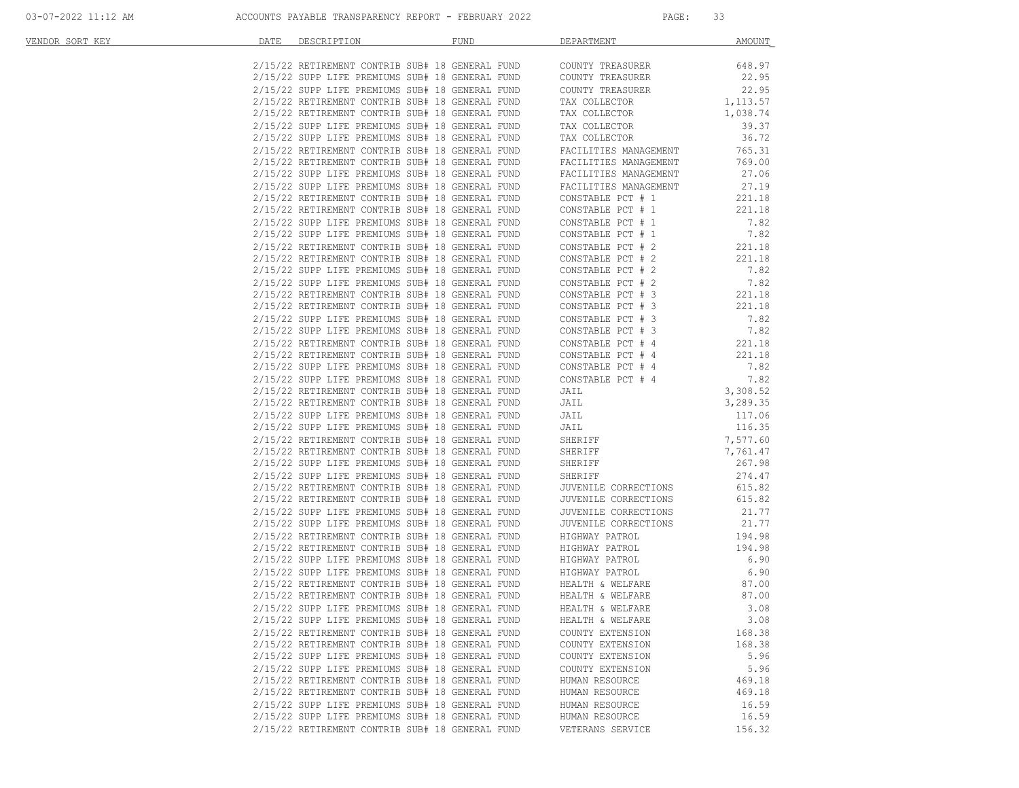| VENDOR SORT KEY | DATE | DESCRIPTION                                                                                                                                                                                                                            | <b>FUND</b> | DEPARTMENT                             | <b>AMOUNT</b>    |
|-----------------|------|----------------------------------------------------------------------------------------------------------------------------------------------------------------------------------------------------------------------------------------|-------------|----------------------------------------|------------------|
|                 |      | 2/15/22 RETIREMENT CONTRIB SUB# 18 GENERAL FUND                                                                                                                                                                                        |             | COUNTY TREASURER                       | 648.97           |
|                 |      |                                                                                                                                                                                                                                        |             |                                        | 22.95            |
|                 |      | 2/15/22 RETIREMENT CONTRIB SUB# 10 GENERAL FUND COUNTY TREASURER<br>2/15/22 SUPP LIFE PREMIUMS SUB# 18 GENERAL FUND COUNTY TREASURER                                                                                                   |             |                                        | 22.95            |
|                 |      | 2/15/22 RETIREMENT CONTRIB SUB# 18 GENERAL FUND                                                                                                                                                                                        |             | TAX COLLECTOR                          | 1,113.57         |
|                 |      | 2/15/22 RETIREMENT CONTRIB SUB# 18 GENERAL FUND                                                                                                                                                                                        |             | TAX COLLECTOR                          | 1,038.74         |
|                 |      | 2/15/22 SUPP LIFE PREMIUMS SUB# 18 GENERAL FUND                                                                                                                                                                                        |             | TAX COLLECTOR                          | 39.37            |
|                 |      | 2/15/22 SUPP LIFE PREMIUMS SUB# 18 GENERAL FUND                                                                                                                                                                                        |             | TAX COLLECTOR                          | 36.72            |
|                 |      | 2/15/22 RETIREMENT CONTRIB SUB# 18 GENERAL FUND                                                                                                                                                                                        |             | FACILITIES MANAGEMENT                  | 765.31           |
|                 |      | 2/15/22 RETIREMENT CONTRIB SUB# 18 GENERAL FUND                                                                                                                                                                                        |             | FACILITIES MANAGEMENT                  | 769.00           |
|                 |      | 2/15/22 SUPP LIFE PREMIUMS SUB# 18 GENERAL FUND                                                                                                                                                                                        |             | FACILITIES MANAGEMENT                  | 27.06            |
|                 |      | 2/15/22 SUPP LIFE PREMIUMS SUB# 18 GENERAL FUND                                                                                                                                                                                        |             | FACILITIES MANAGEMENT                  | 27.19            |
|                 |      | 2/15/22 RETIREMENT CONTRIB SUB# 18 GENERAL FUND                                                                                                                                                                                        |             | CONSTABLE PCT # 1                      | 221.18           |
|                 |      | 2/15/22 RETIREMENT CONTRIB SUB# 18 GENERAL FUND                                                                                                                                                                                        |             | CONSTABLE PCT # 1                      | 221.18           |
|                 |      | 2/15/22 SUPP LIFE PREMIUMS SUB# 18 GENERAL FUND                                                                                                                                                                                        |             | CONSTABLE PCT # 1                      | 7.82             |
|                 |      | 2/15/22 SUPP LIFE PREMIUMS SUB# 18 GENERAL FUND                                                                                                                                                                                        |             | CONSTABLE PCT # 1                      | 7.82             |
|                 |      | 2/15/22 RETIREMENT CONTRIB SUB# 18 GENERAL FUND                                                                                                                                                                                        |             | CONSTABLE PCT # 2                      | 221.18           |
|                 |      | 2/15/22 RETIREMENT CONTRIB SUB# 18 GENERAL FUND                                                                                                                                                                                        |             | CONSTABLE PCT # 2                      | 221.18           |
|                 |      | 2/15/22 SUPP LIFE PREMIUMS SUB# 18 GENERAL FUND                                                                                                                                                                                        |             | CONSTABLE PCT # 2<br>CONSTABLE PCT # 2 | 7.82             |
|                 |      | 2/15/22 SUPP LIFE PREMIUMS SUB# 18 GENERAL FUND                                                                                                                                                                                        |             |                                        | 7.82             |
|                 |      | 2/15/22 RETIREMENT CONTRIB SUB# 18 GENERAL FUND                                                                                                                                                                                        |             | CONSTABLE PCT # 3<br>CONSTABLE PCT # 3 | 221.18           |
|                 |      | 2/15/22 RETIREMENT CONTRIB SUB# 18 GENERAL FUND<br>2/15/22 SUPP LIFE PREMIUMS SUB# 18 GENERAL FUND                                                                                                                                     |             |                                        | 221.18           |
|                 |      | 2/15/22 SUPP LIFE PREMIUMS SUB# 18 GENERAL FUND                                                                                                                                                                                        |             | CONSTABLE PCT # 3<br>CONSTABLE PCT # 3 | 7.82<br>7.82     |
|                 |      | 2/15/22 RETIREMENT CONTRIB SUB# 18 GENERAL FUND                                                                                                                                                                                        |             | CONSTABLE PCT # 4                      | 221.18           |
|                 |      | 2/15/22 RETIREMENT CONTRIB SUB# 18 GENERAL FUND                                                                                                                                                                                        |             |                                        | 221.18           |
|                 |      | 2/15/22 SUPP LIFE PREMIUMS SUB# 18 GENERAL FUND                                                                                                                                                                                        |             | CONSTABLE PCT # 4<br>CONSTABLE PCT # 4 | 7.82             |
|                 |      | 2/15/22 SUPP LIFE PREMIUMS SUB# 18 GENERAL FUND                                                                                                                                                                                        |             | CONSTABLE PCT # 4                      | 7.82             |
|                 |      | 2/15/22 RETIREMENT CONTRIB SUB# 18 GENERAL FUND                                                                                                                                                                                        |             | <b>JAIL</b>                            | 3,308.52         |
|                 |      | 2/15/22 RETIREMENT CONTRIB SUB# 18 GENERAL FUND                                                                                                                                                                                        |             | JAIL                                   | 3,289.35         |
|                 |      | 2/15/22 SUPP LIFE PREMIUMS SUB# 18 GENERAL FUND                                                                                                                                                                                        |             |                                        | 117.06           |
|                 |      | 2/15/22 SUPP LIFE PREMIUMS SUB# 18 GENERAL FUND                                                                                                                                                                                        |             | JAIL<br>JAIL                           | 116.35           |
|                 |      | 2/15/22 RETIREMENT CONTRIB SUB# 18 GENERAL FUND                                                                                                                                                                                        |             | SHERIFF                                | 7,577.60         |
|                 |      | 2/15/22 RETIREMENT CONTRIB SUB# 18 GENERAL FUND                                                                                                                                                                                        |             | SHERIFF                                | 7,761.47         |
|                 |      | 2/15/22 SUPP LIFE PREMIUMS SUB# 18 GENERAL FUND                                                                                                                                                                                        |             | SHERIFF<br>SHERIFF                     | 267.98           |
|                 |      | 2/15/22 SUPP LIFE PREMIUMS SUB# 18 GENERAL FUND                                                                                                                                                                                        |             | SHERIFF                                | 274.47           |
|                 |      | 2/15/22 RETIREMENT CONTRIB SUB# 18 GENERAL FUND                                                                                                                                                                                        |             | JUVENILE CORRECTIONS                   | 615.82           |
|                 |      | 2/15/22 RETIREMENT CONTRIB SUB# 18 GENERAL FUND                                                                                                                                                                                        |             | JUVENILE CORRECTIONS                   | 615.82           |
|                 |      | 2/15/22 SUPP LIFE PREMIUMS SUB# 18 GENERAL FUND                                                                                                                                                                                        |             | JUVENILE CORRECTIONS                   | 21.77            |
|                 |      | 2/15/22 SUPP LIFE PREMIUMS SUB# 18 GENERAL FUND                                                                                                                                                                                        |             | JUVENILE CORRECTIONS                   | 21.77            |
|                 |      |                                                                                                                                                                                                                                        |             |                                        | 194.98           |
|                 |      |                                                                                                                                                                                                                                        |             |                                        | 194.98           |
|                 |      |                                                                                                                                                                                                                                        |             |                                        | 6.90             |
|                 |      | 2/15/22 SOIT LIFE INSTITUTED SUB- 10 GENERAL FUND 600 BINEARY PATROL<br>2/15/22 RETIREMENT CONTRIB SUB+ 18 GENERAL FUND HIGHWAY PATROL<br>2/15/22 SUPP LIFE PREMIUMS SUB+ 18 GENERAL FUND HIGHWAY PATROL<br>2/15/22 SUPP LIFE PREMIUMS |             |                                        | 6.90             |
|                 |      |                                                                                                                                                                                                                                        |             |                                        | 87.00            |
|                 |      | 2/15/22 RETIREMENT CONTRIB SUB# 18 GENERAL FUND                                                                                                                                                                                        |             | HEALTH & WELFARE                       | 87.00            |
|                 |      | 2/15/22 SUPP LIFE PREMIUMS SUB# 18 GENERAL FUND                                                                                                                                                                                        |             | HEALTH & WELFARE                       | 3.08             |
|                 |      | 2/15/22 SUPP LIFE PREMIUMS SUB# 18 GENERAL FUND                                                                                                                                                                                        |             | HEALTH & WELFARE                       | 3.08             |
|                 |      | 2/15/22 RETIREMENT CONTRIB SUB# 18 GENERAL FUND                                                                                                                                                                                        |             | COUNTY EXTENSION                       | 168.38           |
|                 |      | 2/15/22 RETIREMENT CONTRIB SUB# 18 GENERAL FUND                                                                                                                                                                                        |             | COUNTY EXTENSION                       | 168.38           |
|                 |      | 2/15/22 SUPP LIFE PREMIUMS SUB# 18 GENERAL FUND                                                                                                                                                                                        |             | COUNTY EXTENSION                       | 5.96             |
|                 |      | 2/15/22 SUPP LIFE PREMIUMS SUB# 18 GENERAL FUND                                                                                                                                                                                        |             | COUNTY EXTENSION                       | 5.96             |
|                 |      | 2/15/22 RETIREMENT CONTRIB SUB# 18 GENERAL FUND                                                                                                                                                                                        |             | HUMAN RESOURCE                         | 469.18<br>469.18 |
|                 |      | 2/15/22 RETIREMENT CONTRIB SUB# 18 GENERAL FUND<br>2/15/22 SUPP LIFE PREMIUMS SUB# 18 GENERAL FUND                                                                                                                                     |             | HUMAN RESOURCE                         |                  |
|                 |      | 2/15/22 SUPP LIFE PREMIUMS SUB# 18 GENERAL FUND                                                                                                                                                                                        |             | HUMAN RESOURCE<br>HUMAN RESOURCE       | 16.59<br>16.59   |
|                 |      |                                                                                                                                                                                                                                        |             |                                        | 156.32           |
|                 |      | 2/15/22 RETIREMENT CONTRIB SUB# 18 GENERAL FUND                                                                                                                                                                                        |             | VETERANS SERVICE                       |                  |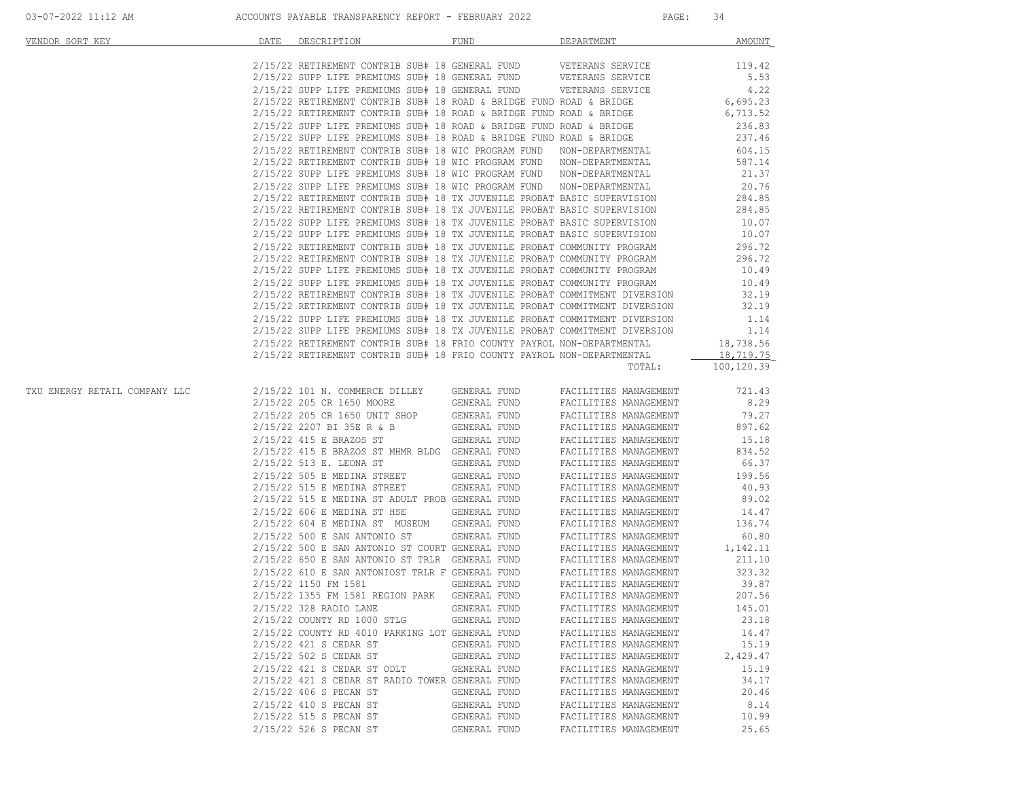| VENDOR SORT KEY               | DATE<br>DESCRIPTION                                                                                                                                                                                                                                                                                                                                                                                                                                                                                                                                                                                        | <b>FUND</b>  | DEPARTMENT            | AMOUNT     |
|-------------------------------|------------------------------------------------------------------------------------------------------------------------------------------------------------------------------------------------------------------------------------------------------------------------------------------------------------------------------------------------------------------------------------------------------------------------------------------------------------------------------------------------------------------------------------------------------------------------------------------------------------|--------------|-----------------------|------------|
|                               |                                                                                                                                                                                                                                                                                                                                                                                                                                                                                                                                                                                                            |              |                       | 119.42     |
|                               |                                                                                                                                                                                                                                                                                                                                                                                                                                                                                                                                                                                                            |              |                       | 5.53       |
|                               | $2/15/22$ RETIREMENT CONTRIB SUB# 18 GENERAL FUND VETERANS SERVICE<br>$2/15/22$ SUPP LIFE PREMIUMS SUB# 18 GENERAL FUND VETERANS SERVICE<br>$2/15/22$ SUPP LIFE PREMIUMS SUB# 18 GENERAL FUND VETERANS SERVICE<br>$2/15/22 RETIREMENT CONTRIB SUB# 18 GENERAL FUND VETERANS SERVICE 4.22\n2/15/22 RETIREMENT CONTRIB SUB# 18 ROAD & BRIDGE FUND ROAD & BRIDGE 6,695.23\n2/15/22 RETIREMENT CONTRIB SUB# 18 ROAD & BRIDGE FUND ROAD & BRIDGE 6,713.52\n2/15/22 SUPER LIFE PREMIUMS SUB# 18 ROAD & BRIDGE FUND ROAD & BRIDGE 6,713.52\n2/15/22 SUPP LIFE PREMIUMS SUB# 18 ROAD & BRIDGE FUND ROAD & BRIDGE $ |              |                       |            |
|                               |                                                                                                                                                                                                                                                                                                                                                                                                                                                                                                                                                                                                            |              |                       |            |
|                               |                                                                                                                                                                                                                                                                                                                                                                                                                                                                                                                                                                                                            |              |                       |            |
|                               |                                                                                                                                                                                                                                                                                                                                                                                                                                                                                                                                                                                                            |              |                       |            |
|                               |                                                                                                                                                                                                                                                                                                                                                                                                                                                                                                                                                                                                            |              |                       |            |
|                               |                                                                                                                                                                                                                                                                                                                                                                                                                                                                                                                                                                                                            |              |                       |            |
|                               | 2/15/22 RETIREMENT CONTRIB SUB# 18 WIC PROGRAM FUND NON-DEPARTMENTAL 587.14                                                                                                                                                                                                                                                                                                                                                                                                                                                                                                                                |              |                       |            |
|                               |                                                                                                                                                                                                                                                                                                                                                                                                                                                                                                                                                                                                            |              |                       |            |
|                               | 2/15/22 SUPP LIFE PREMIUMS SUB# 18 WIC PROGRAM FUND NON-DEPARTMENTAL 21.37<br>2/15/22 SUPP LIFE PREMIUMS SUB# 18 WIC PROGRAM FUND NON-DEPARTMENTAL 20.76<br>2/15/22 RETIREMENT CONTRIB SUB# 18 TX JUVENILE PROBAT BASIC SUPERVISION                                                                                                                                                                                                                                                                                                                                                                        |              |                       |            |
|                               |                                                                                                                                                                                                                                                                                                                                                                                                                                                                                                                                                                                                            |              |                       |            |
|                               |                                                                                                                                                                                                                                                                                                                                                                                                                                                                                                                                                                                                            |              |                       |            |
|                               |                                                                                                                                                                                                                                                                                                                                                                                                                                                                                                                                                                                                            |              |                       |            |
|                               |                                                                                                                                                                                                                                                                                                                                                                                                                                                                                                                                                                                                            |              |                       |            |
|                               | 2/15/22 SUPP LIFE PREMIUMS SUB# 18 TX JUVENILE PROBAT BASIC SUPERVISION 10.07<br>2/15/22 SUPP LIFE PREMIUMS SUB# 18 TX JUVENILE PROBAT BASIC SUPERVISION 10.07<br>2/15/22 RETIREMENT CONTRIB SUB# 18 TX JUVENILE PROBAT COMMUNITY PR                                                                                                                                                                                                                                                                                                                                                                       |              |                       |            |
|                               |                                                                                                                                                                                                                                                                                                                                                                                                                                                                                                                                                                                                            |              |                       |            |
|                               |                                                                                                                                                                                                                                                                                                                                                                                                                                                                                                                                                                                                            |              |                       |            |
|                               |                                                                                                                                                                                                                                                                                                                                                                                                                                                                                                                                                                                                            |              |                       |            |
|                               |                                                                                                                                                                                                                                                                                                                                                                                                                                                                                                                                                                                                            |              |                       |            |
|                               | 2/15/22 RETIREMENT CONTRIB SUB# 18 TX JUVENILE PROBAT COMMITMENT DIVERSION 32.19<br>2/15/22 SUPP LIFE PREMIUMS SUB# 18 TX JUVENILE PROBAT COMMITMENT DIVERSION 1.14                                                                                                                                                                                                                                                                                                                                                                                                                                        |              |                       |            |
|                               |                                                                                                                                                                                                                                                                                                                                                                                                                                                                                                                                                                                                            |              |                       |            |
|                               |                                                                                                                                                                                                                                                                                                                                                                                                                                                                                                                                                                                                            |              |                       |            |
|                               | 2/15/22 SUPP LIFE PREMIUMS SUB# 18 TX JUVENILE PROBAT COMMITMENT DIVERSION 1.14<br>2/15/22 SUPP LIFE PREMIUMS SUB# 18 TX JUVENILE PROBAT COMMITMENT DIVERSION 18,738.56                                                                                                                                                                                                                                                                                                                                                                                                                                    |              |                       |            |
|                               | 2/15/22 RETIREMENT CONTRIB SUB# 18 FRIO COUNTY PAYROL NON-DEPARTMENTAL                                                                                                                                                                                                                                                                                                                                                                                                                                                                                                                                     |              |                       | 18,719.75  |
|                               |                                                                                                                                                                                                                                                                                                                                                                                                                                                                                                                                                                                                            |              | TOTAL:                | 100,120.39 |
| TXU ENERGY RETAIL COMPANY LLC |                                                                                                                                                                                                                                                                                                                                                                                                                                                                                                                                                                                                            |              |                       |            |
|                               |                                                                                                                                                                                                                                                                                                                                                                                                                                                                                                                                                                                                            |              |                       |            |
|                               |                                                                                                                                                                                                                                                                                                                                                                                                                                                                                                                                                                                                            |              |                       |            |
|                               |                                                                                                                                                                                                                                                                                                                                                                                                                                                                                                                                                                                                            |              |                       |            |
|                               |                                                                                                                                                                                                                                                                                                                                                                                                                                                                                                                                                                                                            |              |                       |            |
|                               |                                                                                                                                                                                                                                                                                                                                                                                                                                                                                                                                                                                                            |              |                       |            |
|                               |                                                                                                                                                                                                                                                                                                                                                                                                                                                                                                                                                                                                            |              |                       |            |
|                               |                                                                                                                                                                                                                                                                                                                                                                                                                                                                                                                                                                                                            |              |                       |            |
|                               |                                                                                                                                                                                                                                                                                                                                                                                                                                                                                                                                                                                                            |              |                       |            |
|                               | $2/15/22 \ 515 \ E \ MEDINA \ ST \ ADULT \ PROB \ GENERAL \ FUND \T ACLLITIES \ MANAGEMENT \T 89.02 \T 2/15/22 \ 606 \ E \ MEDINA \ ST \ HSE \T GENERAL \ FUND \T ACLLITIES \ MANAGEMENT \T 14.47$                                                                                                                                                                                                                                                                                                                                                                                                         |              |                       |            |
|                               |                                                                                                                                                                                                                                                                                                                                                                                                                                                                                                                                                                                                            |              |                       |            |
|                               |                                                                                                                                                                                                                                                                                                                                                                                                                                                                                                                                                                                                            |              |                       |            |
|                               | $2/15/22\;$ 604 E MEDINA ST MUSEUM GENERAL FUND FACILITIES MANAGEMENT 136.74 $2/15/22\;$ 500 E SAN ANTONIO ST GENERAL FUND FACILITIES MANAGEMENT 60.80                                                                                                                                                                                                                                                                                                                                                                                                                                                     |              |                       | 60.80      |
|                               | 2/15/22 500 E SAN ANTONIO ST COURT GENERAL FUND FACILITIES MANAGEMENT 1,142.11<br>2/15/22 650 E SAN ANTONIO ST TRLR GENERAL FUND FACILITIES MANAGEMENT 211.10<br>2/15/22 610 E SAN ANTONIOST TRLR F GENERAL FUND FACILITIES MANAGEME                                                                                                                                                                                                                                                                                                                                                                       |              |                       |            |
|                               |                                                                                                                                                                                                                                                                                                                                                                                                                                                                                                                                                                                                            |              |                       |            |
|                               |                                                                                                                                                                                                                                                                                                                                                                                                                                                                                                                                                                                                            |              |                       |            |
|                               |                                                                                                                                                                                                                                                                                                                                                                                                                                                                                                                                                                                                            |              |                       | 39.87      |
|                               |                                                                                                                                                                                                                                                                                                                                                                                                                                                                                                                                                                                                            |              |                       |            |
|                               | 2/15/22 328 RADIO LANE GENERAL FUND FACILITIES MANAGEMENT                                                                                                                                                                                                                                                                                                                                                                                                                                                                                                                                                  |              |                       | 145.01     |
|                               | 2/15/22 COUNTY RD 1000 STLG                                                                                                                                                                                                                                                                                                                                                                                                                                                                                                                                                                                | GENERAL FUND | FACILITIES MANAGEMENT | 23.18      |
|                               | 2/15/22 COUNTY RD 4010 PARKING LOT GENERAL FUND                                                                                                                                                                                                                                                                                                                                                                                                                                                                                                                                                            |              | FACILITIES MANAGEMENT | 14.47      |
|                               | 2/15/22 421 S CEDAR ST                                                                                                                                                                                                                                                                                                                                                                                                                                                                                                                                                                                     | GENERAL FUND | FACILITIES MANAGEMENT | 15.19      |
|                               | 2/15/22 502 S CEDAR ST                                                                                                                                                                                                                                                                                                                                                                                                                                                                                                                                                                                     | GENERAL FUND | FACILITIES MANAGEMENT | 2,429.47   |
|                               | 2/15/22 421 S CEDAR ST ODLT                                                                                                                                                                                                                                                                                                                                                                                                                                                                                                                                                                                | GENERAL FUND | FACILITIES MANAGEMENT | 15.19      |
|                               | 2/15/22 421 S CEDAR ST RADIO TOWER GENERAL FUND                                                                                                                                                                                                                                                                                                                                                                                                                                                                                                                                                            |              | FACILITIES MANAGEMENT | 34.17      |
|                               | 2/15/22 406 S PECAN ST                                                                                                                                                                                                                                                                                                                                                                                                                                                                                                                                                                                     | GENERAL FUND | FACILITIES MANAGEMENT | 20.46      |
|                               | 2/15/22 410 S PECAN ST                                                                                                                                                                                                                                                                                                                                                                                                                                                                                                                                                                                     | GENERAL FUND | FACILITIES MANAGEMENT | 8.14       |
|                               | 2/15/22 515 S PECAN ST                                                                                                                                                                                                                                                                                                                                                                                                                                                                                                                                                                                     | GENERAL FUND | FACILITIES MANAGEMENT | 10.99      |
|                               | 2/15/22 526 S PECAN ST                                                                                                                                                                                                                                                                                                                                                                                                                                                                                                                                                                                     | GENERAL FUND | FACILITIES MANAGEMENT | 25.65      |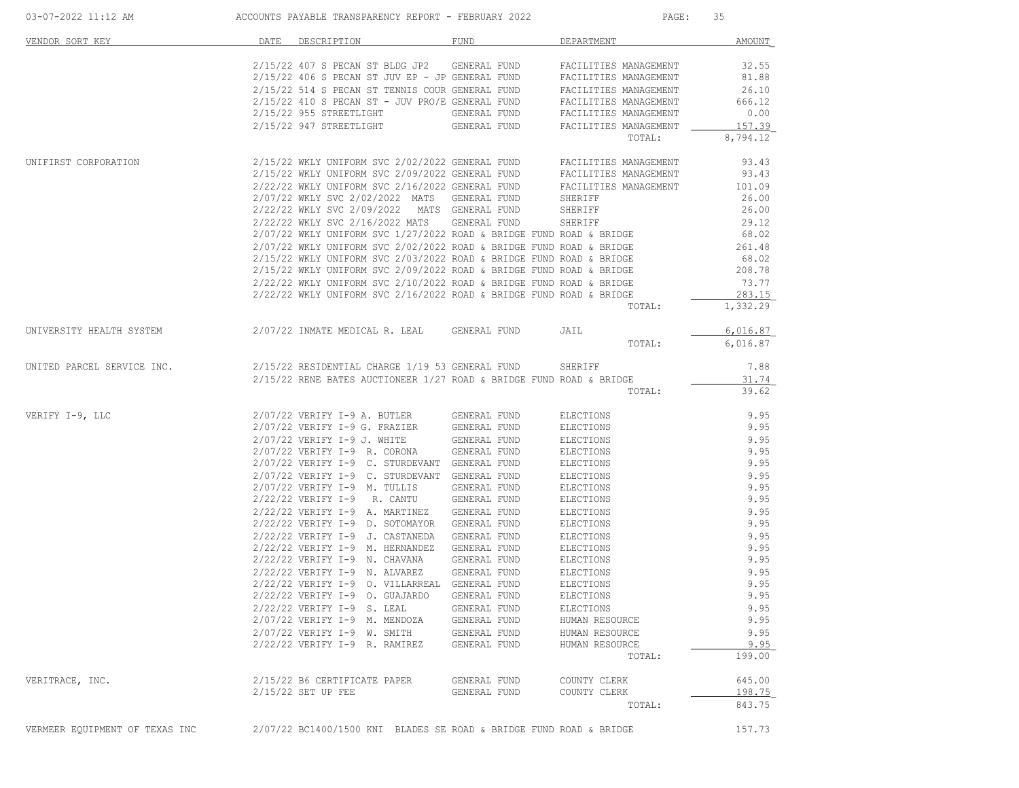| 03-07-2022 11:12 AM            | ACCOUNTS PAYABLE TRANSPARENCY REPORT - FEBRUARY 2022                                                                                             |                     | PAGE:                            | 35              |
|--------------------------------|--------------------------------------------------------------------------------------------------------------------------------------------------|---------------------|----------------------------------|-----------------|
| VENDOR SORT KEY                | DATE<br>DESCRIPTION                                                                                                                              | FUND                | DEPARTMENT                       | <b>AMOUNT</b>   |
|                                | 2/15/22 407 S PECAN ST BLDG JP2 GENERAL FUND                                                                                                     |                     | FACILITIES MANAGEMENT            | 32.55           |
|                                | $2/15/22$ 406 S PECAN ST JUV EP - JP GENERAL FUND                                                                                                |                     | FACILITIES MANAGEMENT            | 81.88           |
|                                | 2/15/22 514 S PECAN ST TENNIS COUR GENERAL FUND                                                                                                  |                     | FACILITIES MANAGEMENT            | 26.10           |
|                                | $2/15/22$ 410 S PECAN ST - JUV PRO/E GENERAL FUND                                                                                                |                     | FACILITIES MANAGEMENT            | 666.12          |
|                                | $2/15/22$ 955 STREETLIGHT                                                                                                                        | GENERAL FUND        | FACILITIES MANAGEMENT            | 0.00            |
|                                | 2/15/22 947 STREETLIGHT                                                                                                                          | GENERAL FUND        | FACILITIES MANAGEMENT            | 157.39          |
|                                |                                                                                                                                                  |                     | TOTAL:                           | 8,794.12        |
| UNIFIRST CORPORATION           | 2/15/22 WKLY UNIFORM SVC 2/02/2022 GENERAL FUND                                                                                                  |                     | FACILITIES MANAGEMENT            | 93.43           |
|                                | 2/15/22 WKLY UNIFORM SVC 2/09/2022 GENERAL FUND                                                                                                  |                     | FACILITIES MANAGEMENT            | 93.43           |
|                                | 2/22/22 WKLY UNIFORM SVC 2/16/2022 GENERAL FUND                                                                                                  |                     | FACILITIES MANAGEMENT            | 101.09          |
|                                | 2/07/22 WKLY SVC 2/02/2022 MATS GENERAL FUND                                                                                                     |                     | SHERIFF                          | 26.00           |
|                                | 2/22/22 WKLY SVC 2/09/2022 MATS GENERAL FUND                                                                                                     |                     | SHERIFF                          | 26.00           |
|                                | 2/22/22 WKLY SVC 2/16/2022 MATS GENERAL FUND                                                                                                     |                     | SHERIFF                          | 29.12           |
|                                | $2/07/22$ WKLY UNIFORM SVC $1/27/2022$ ROAD & BRIDGE FUND ROAD & BRIDGE                                                                          |                     |                                  | 68.02           |
|                                | $2/07/22$ WKLY UNIFORM SVC $2/02/2022$ ROAD & BRIDGE FUND ROAD & BRIDGE<br>$2/15/22$ WKLY UNIFORM SVC 2/03/2022 ROAD & BRIDGE FUND ROAD & BRIDGE |                     |                                  | 261.48<br>68.02 |
|                                | $2/15/22$ WKLY UNIFORM SVC $2/09/2022$ ROAD & BRIDGE FUND ROAD & BRIDGE                                                                          |                     |                                  | 208.78          |
|                                | $2/22/22$ WKLY UNIFORM SVC $2/10/2022$ ROAD & BRIDGE FUND ROAD & BRIDGE                                                                          |                     |                                  | 73.77           |
|                                | $2/22/22$ WKLY UNIFORM SVC $2/16/2022$ ROAD & BRIDGE FUND ROAD & BRIDGE                                                                          |                     |                                  | 283.15          |
|                                |                                                                                                                                                  |                     | TOTAL:                           | 1,332.29        |
| UNIVERSITY HEALTH SYSTEM       | 2/07/22 INMATE MEDICAL R. LEAL GENERAL FUND                                                                                                      |                     | JAIL                             | 6,016.87        |
|                                |                                                                                                                                                  |                     | TOTAL:                           | 6,016.87        |
| UNITED PARCEL SERVICE INC.     | 2/15/22 RESIDENTIAL CHARGE 1/19 53 GENERAL FUND                                                                                                  |                     | SHERIFF                          | 7.88            |
|                                | 2/15/22 RENE BATES AUCTIONEER 1/27 ROAD & BRIDGE FUND ROAD & BRIDGE                                                                              |                     |                                  | 31.74           |
|                                |                                                                                                                                                  |                     | TOTAL:                           | 39.62           |
| VERIFY I-9, LLC                | 2/07/22 VERIFY I-9 A. BUTLER                                                                                                                     | GENERAL FUND        | ELECTIONS                        | 9.95            |
|                                | 2/07/22 VERIFY I-9 G. FRAZIER                                                                                                                    | GENERAL FUND        | ELECTIONS                        | 9.95            |
|                                | 2/07/22 VERIFY I-9 J. WHITE                                                                                                                      | GENERAL FUND        | ELECTIONS                        | 9.95            |
|                                | $2/07/22$ VERIFY I-9 R. CORONA                                                                                                                   | GENERAL FUND        | ELECTIONS                        | 9.95            |
|                                | 2/07/22 VERIFY I-9 C. STURDEVANT GENERAL FUND                                                                                                    |                     | ELECTIONS                        | 9.95            |
|                                | 2/07/22 VERIFY I-9 C. STURDEVANT GENERAL FUND                                                                                                    |                     | ELECTIONS                        | 9.95            |
|                                | 2/07/22 VERIFY I-9 M. TULLIS                                                                                                                     | GENERAL FUND        | ELECTIONS                        | 9.95            |
|                                | $2/22/22$ VERIFY I-9 R. CANTU                                                                                                                    | GENERAL FUND        | ELECTIONS                        | 9.95            |
|                                | 2/22/22 VERIFY I-9 A. MARTINEZ GENERAL FUND                                                                                                      |                     | ELECTIONS                        | 9.95            |
|                                | 2/22/22 VERIFY I-9 D. SOTOMAYOR GENERAL FUND                                                                                                     |                     | ELECTIONS                        | 9.95            |
|                                | 2/22/22 VERIFY I-9 J. CASTANEDA GENERAL FUND                                                                                                     |                     | ELECTIONS                        | 9.95            |
|                                | 2/22/22 VERIFY I-9 M. HERNANDEZ GENERAL FUND                                                                                                     |                     | ELECTIONS                        | 9.95            |
|                                | $2/22/22$ VERIFY I-9 N. CHAVANA                                                                                                                  | GENERAL FUND        | ELECTIONS                        | 9.95            |
|                                | $2/22/22$ VERIFY I-9 N. ALVAREZ                                                                                                                  | GENERAL FUND        | ELECTIONS                        | 9.95            |
|                                | 2/22/22 VERIFY I-9 O. VILLARREAL GENERAL FUND                                                                                                    |                     | ELECTIONS                        | 9.95            |
|                                | 2/22/22 VERIFY I-9 0. GUAJARDO GENERAL FUND                                                                                                      |                     | ELECTIONS                        | 9.95            |
|                                | 2/22/22 VERIFY I-9 S. LEAL                                                                                                                       | <b>GENERAL FUND</b> | ELECTIONS<br>HUMAN RESOURCE      | 9.95            |
|                                | 2/07/22 VERIFY I-9 M. MENDOZA GENERAL FUND<br>2/07/22 VERIFY I-9 W. SMITH GENERAL FUND                                                           |                     |                                  | 9.95            |
|                                | 2/22/22 VERIFY I-9 R. RAMIREZ GENERAL FUND                                                                                                       |                     | HUMAN RESOURCE<br>HUMAN RESOURCE | 9.95<br>9.95    |
|                                |                                                                                                                                                  |                     | TOTAL:                           | 199.00          |
| VERITRACE, INC.                | 2/15/22 B6 CERTIFICATE PAPER                                                                                                                     | GENERAL FUND        | COUNTY CLERK                     | 645.00          |
|                                | 2/15/22 SET UP FEE                                                                                                                               | GENERAL FUND        | COUNTY CLERK                     | 198.75          |
|                                |                                                                                                                                                  |                     | TOTAL:                           | 843.75          |
| VERMEER EQUIPMENT OF TEXAS INC | $2/07/22$ BC1400/1500 KNI BLADES SE ROAD & BRIDGE FUND ROAD & BRIDGE                                                                             |                     |                                  | 157.73          |
|                                |                                                                                                                                                  |                     |                                  |                 |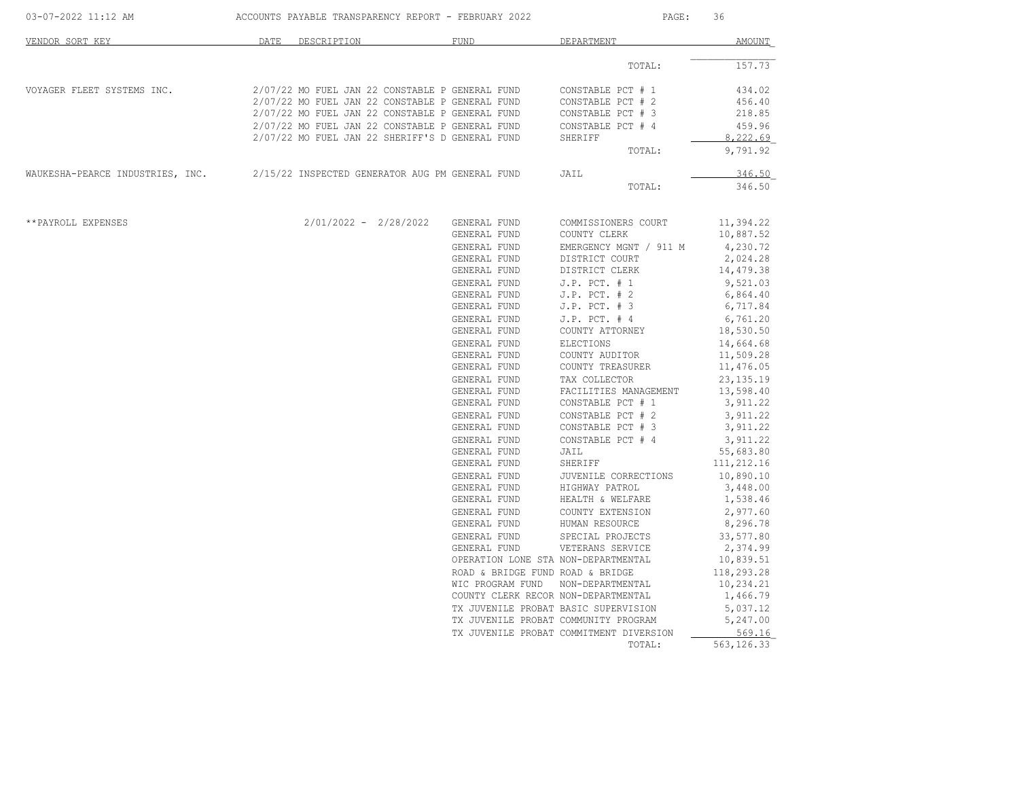|                                                                                  |      |                                                 |              | PAGE:<br>36      |                                         |             |
|----------------------------------------------------------------------------------|------|-------------------------------------------------|--------------|------------------|-----------------------------------------|-------------|
| VENDOR SORT KEY                                                                  | DATE | DESCRIPTION                                     | <b>FUND</b>  |                  | DEPARTMENT                              | AMOUNT      |
|                                                                                  |      |                                                 |              |                  | TOTAL:                                  | 157.73      |
| VOYAGER FLEET SYSTEMS INC.                                                       |      | 2/07/22 MO FUEL JAN 22 CONSTABLE P GENERAL FUND |              |                  | CONSTABLE PCT # 1                       | 434.02      |
|                                                                                  |      | 2/07/22 MO FUEL JAN 22 CONSTABLE P GENERAL FUND |              |                  | CONSTABLE PCT # 2                       | 456.40      |
|                                                                                  |      | 2/07/22 MO FUEL JAN 22 CONSTABLE P GENERAL FUND |              |                  | CONSTABLE PCT # 3                       | 218.85      |
|                                                                                  |      | 2/07/22 MO FUEL JAN 22 CONSTABLE P GENERAL FUND |              |                  | CONSTABLE PCT # 4                       | 459.96      |
|                                                                                  |      | 2/07/22 MO FUEL JAN 22 SHERIFF'S D GENERAL FUND |              |                  | SHERIFF                                 | 8,222.69    |
|                                                                                  |      |                                                 |              |                  | TOTAL:                                  | 9,791.92    |
| WAUKESHA-PEARCE INDUSTRIES, INC. 2/15/22 INSPECTED GENERATOR AUG PM GENERAL FUND |      |                                                 |              |                  | JAIL                                    | 346.50      |
|                                                                                  |      |                                                 |              |                  | TOTAL:                                  | 346.50      |
| **PAYROLL EXPENSES                                                               |      | $2/01/2022 - 2/28/2022$                         | GENERAL FUND |                  | COMMISSIONERS COURT                     | 11,394.22   |
|                                                                                  |      |                                                 | GENERAL FUND |                  | COUNTY CLERK                            | 10,887.52   |
|                                                                                  |      |                                                 | GENERAL FUND |                  | EMERGENCY MGNT / 911 M                  | 4,230.72    |
|                                                                                  |      |                                                 | GENERAL FUND |                  | DISTRICT COURT                          | 2,024.28    |
|                                                                                  |      |                                                 | GENERAL FUND |                  | DISTRICT CLERK                          | 14,479.38   |
|                                                                                  |      |                                                 | GENERAL FUND |                  | $J.P.$ PCT. $# 1$                       | 9,521.03    |
|                                                                                  |      |                                                 | GENERAL FUND |                  | $J.P.$ PCT. $# 2$                       | 6,864.40    |
|                                                                                  |      |                                                 | GENERAL FUND |                  | $J.P.$ PCT. $# 3$                       | 6,717.84    |
|                                                                                  |      |                                                 | GENERAL FUND |                  | $J.P.$ PCT. $#4$                        | 6,761.20    |
|                                                                                  |      |                                                 | GENERAL FUND |                  | COUNTY ATTORNEY                         | 18,530.50   |
|                                                                                  |      |                                                 | GENERAL FUND |                  | ELECTIONS                               | 14,664.68   |
|                                                                                  |      |                                                 | GENERAL FUND |                  | COUNTY AUDITOR                          | 11,509.28   |
|                                                                                  |      |                                                 | GENERAL FUND |                  | COUNTY TREASURER                        | 11,476.05   |
|                                                                                  |      |                                                 | GENERAL FUND |                  | TAX COLLECTOR                           | 23, 135. 19 |
|                                                                                  |      |                                                 | GENERAL FUND |                  | FACILITIES MANAGEMENT                   | 13,598.40   |
|                                                                                  |      |                                                 | GENERAL FUND |                  | CONSTABLE PCT # 1                       | 3,911.22    |
|                                                                                  |      |                                                 | GENERAL FUND |                  | CONSTABLE PCT # 2                       | 3,911.22    |
|                                                                                  |      |                                                 | GENERAL FUND |                  | CONSTABLE PCT # 3                       | 3,911.22    |
|                                                                                  |      |                                                 | GENERAL FUND |                  | CONSTABLE PCT # 4                       | 3,911.22    |
|                                                                                  |      |                                                 | GENERAL FUND |                  | JAIL                                    | 55,683.80   |
|                                                                                  |      |                                                 | GENERAL FUND |                  | SHERIFF                                 | 111,212.16  |
|                                                                                  |      |                                                 | GENERAL FUND |                  | JUVENILE CORRECTIONS                    | 10,890.10   |
|                                                                                  |      |                                                 | GENERAL FUND |                  |                                         | 3,448.00    |
|                                                                                  |      |                                                 | GENERAL FUND |                  | HIGHWAY PATROL<br>HEALTH & WELFARE      | 1,538.46    |
|                                                                                  |      |                                                 | GENERAL FUND |                  |                                         | 2,977.60    |
|                                                                                  |      |                                                 | GENERAL FUND |                  | COUNTY EXTENSION<br>HUMAN RESOURCE      | 8,296.78    |
|                                                                                  |      |                                                 | GENERAL FUND |                  | SPECIAL PROJECTS                        | 33,577.80   |
|                                                                                  |      |                                                 | GENERAL FUND |                  | VETERANS SERVICE                        | 2,374.99    |
|                                                                                  |      |                                                 |              |                  | OPERATION LONE STA NON-DEPARTMENTAL     | 10,839.51   |
|                                                                                  |      |                                                 |              |                  | ROAD & BRIDGE FUND ROAD & BRIDGE        | 118,293.28  |
|                                                                                  |      |                                                 |              | WIC PROGRAM FUND | NON-DEPARTMENTAL                        | 10,234.21   |
|                                                                                  |      |                                                 |              |                  | COUNTY CLERK RECOR NON-DEPARTMENTAL     | 1,466.79    |
|                                                                                  |      |                                                 |              |                  |                                         |             |
|                                                                                  |      |                                                 |              |                  | TX JUVENILE PROBAT BASIC SUPERVISION    | 5,037.12    |
|                                                                                  |      |                                                 |              |                  | TX JUVENILE PROBAT COMMUNITY PROGRAM    | 5,247.00    |
|                                                                                  |      |                                                 |              |                  | TX JUVENILE PROBAT COMMITMENT DIVERSION | 569.16      |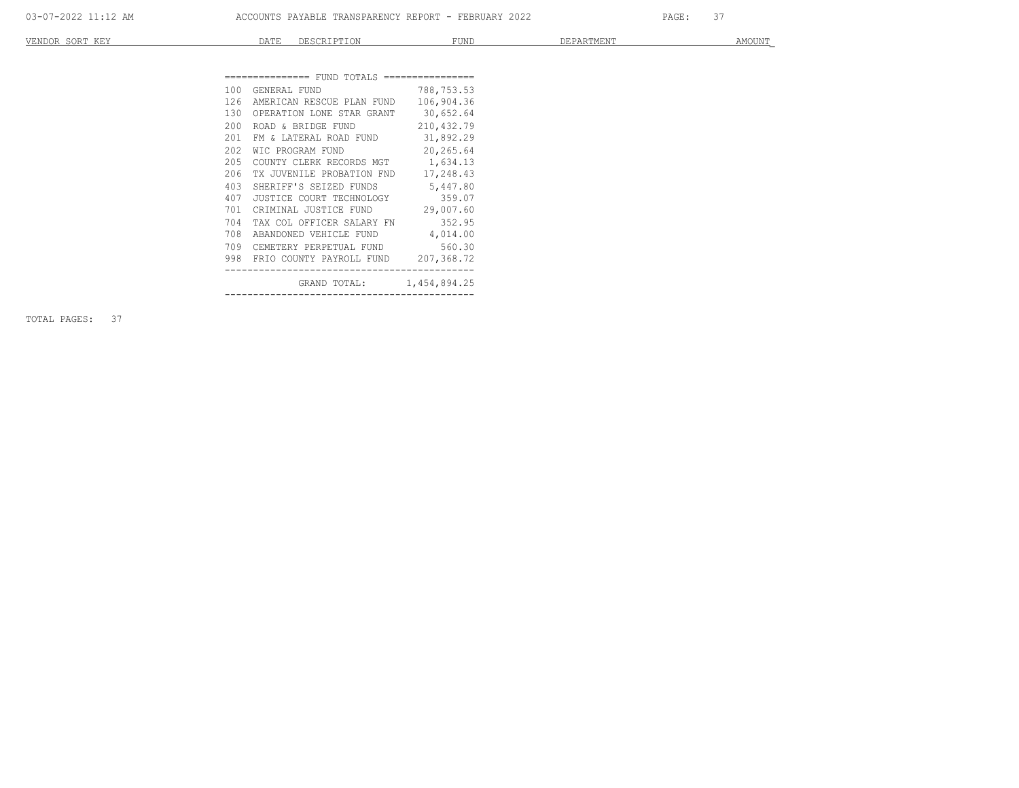| VENDOR<br>T T T T T T<br>$\sim$ $\sim$ $\sim$<br>- 14<br>- 7011<br>-- | $ -$<br><u>_____</u> | $- - - -$<br>---- | FUND | $191m +$<br>≠ יוםנו⊥יונו בום ש | $AMOIIN^{rr}$<br>711100IV |
|-----------------------------------------------------------------------|----------------------|-------------------|------|--------------------------------|---------------------------|
|                                                                       |                      |                   |      |                                |                           |

| 100  | GENERAL FUND                            | 788,753.53 |
|------|-----------------------------------------|------------|
| 126  | AMERICAN RESCUE PLAN FUND 106,904.36    |            |
| 130  | OPERATION LONE STAR GRANT 30,652.64     |            |
| 200  | ROAD & BRIDGE FUND                      | 210,432.79 |
| 201  | FM & LATERAL ROAD FUND 31,892.29        |            |
| 2.02 | WIC PROGRAM FUND                        | 20,265.64  |
| 205  | COUNTY CLERK RECORDS MGT 1,634.13       |            |
| 206  | TX JUVENILE PROBATION FND 17,248.43     |            |
| 403  | SHERIFF'S SEIZED FUNDS 5,447.80         |            |
| 407  | JUSTICE COURT TECHNOLOGY 359.07         |            |
| 701  | CRIMINAL JUSTICE FUND 29,007.60         |            |
| 704  | TAX COL OFFICER SALARY FN 352.95        |            |
| 708  | ABANDONED VEHICLE FUND 4,014.00         |            |
| 709  | CEMETERY PERPETUAL FUND 560.30          |            |
|      | 998 FRIO COUNTY PAYROLL FUND 207,368.72 |            |
|      | GRAND TOTAL: 1,454,894.25               |            |

TOTAL PAGES: 37